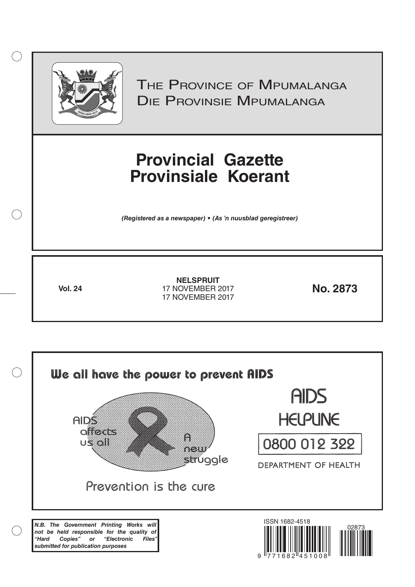

 $( )$ 

THE PROVINCE OF MPUMALANGA Die Provinsie Mpumalanga

# **Provincial Gazette Provinsiale Koerant**

*(Registered as a newspaper) • (As 'n nuusblad geregistreer)*

**Vol. 24 No. 2873** 17 NOVEMBER 2017 **NELSPRUIT** 17 NOVEMBER 2017

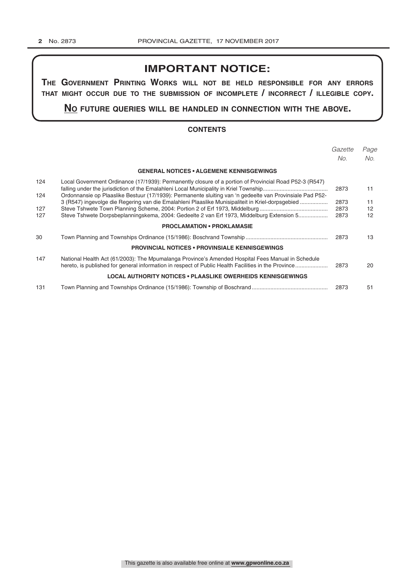## **IMPORTANT NOTICE:**

**The GovernmenT PrinTinG Works Will noT be held resPonsible for any errors ThaT miGhT occur due To The submission of incomPleTe / incorrecT / illeGible coPy.**

**no fuTure queries Will be handled in connecTion WiTh The above.**

## **CONTENTS**

|            |                                                                                                                                                                                                                    | Gazette | Page              |
|------------|--------------------------------------------------------------------------------------------------------------------------------------------------------------------------------------------------------------------|---------|-------------------|
|            |                                                                                                                                                                                                                    | No.     | No.               |
|            | <b>GENERAL NOTICES • ALGEMENE KENNISGEWINGS</b>                                                                                                                                                                    |         |                   |
| 124<br>124 | Local Government Ordinance (17/1939): Permanently closure of a portion of Provincial Road P52-3 (R547)<br>Ordonnansie op Plaaslike Bestuur (17/1939): Permanente sluiting van 'n gedeelte van Provinsiale Pad P52- | 2873    | 11                |
|            | 3 (R547) ingevolge die Regering van die Emalahleni Plaaslike Munisipaliteit in Kriel-dorpsgebied                                                                                                                   | 2873    | 11                |
| 127        |                                                                                                                                                                                                                    | 2873    | $12 \overline{ }$ |
| 127        | Steve Tshwete Dorpsbeplanningskema, 2004: Gedeelte 2 van Erf 1973, Middelburg Extension 5                                                                                                                          | 2873    | 12 <sup>2</sup>   |
|            | <b>PROCLAMATION • PROKLAMASIE</b>                                                                                                                                                                                  |         |                   |
| 30         |                                                                                                                                                                                                                    | 2873    | 13                |
|            | <b>PROVINCIAL NOTICES • PROVINSIALE KENNISGEWINGS</b>                                                                                                                                                              |         |                   |
| 147        | National Health Act (61/2003): The Mpumalanga Province's Amended Hospital Fees Manual in Schedule<br>hereto, is published for general information in respect of Public Health Facilities in the Province           | 2873    | 20                |
|            | <b>LOCAL AUTHORITY NOTICES • PLAASLIKE OWERHEIDS KENNISGEWINGS</b>                                                                                                                                                 |         |                   |
| 131        |                                                                                                                                                                                                                    | 2873    | 51                |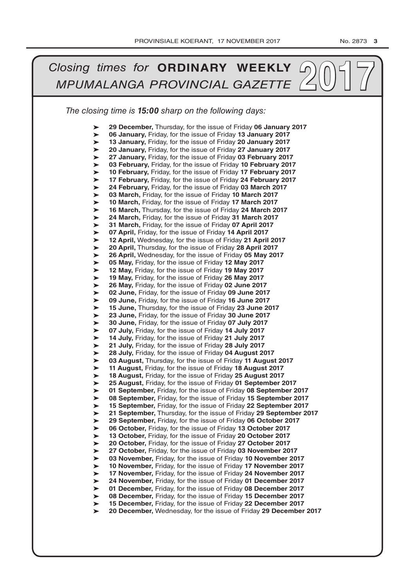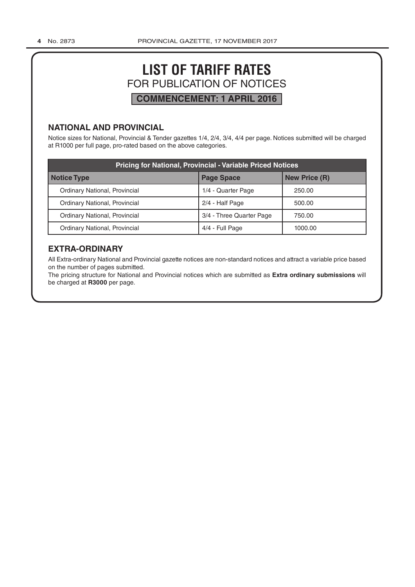## **LIST OF TARIFF RATES** FOR PUBLICATION OF NOTICES **COMMENCEMENT: 1 APRIL 2016**

## **NATIONAL AND PROVINCIAL**

Notice sizes for National, Provincial & Tender gazettes 1/4, 2/4, 3/4, 4/4 per page. Notices submitted will be charged at R1000 per full page, pro-rated based on the above categories.

| <b>Pricing for National, Provincial - Variable Priced Notices</b> |                          |                      |  |  |  |  |  |
|-------------------------------------------------------------------|--------------------------|----------------------|--|--|--|--|--|
| Notice Type                                                       | <b>Page Space</b>        | <b>New Price (R)</b> |  |  |  |  |  |
| Ordinary National, Provincial                                     | 1/4 - Quarter Page       | 250.00               |  |  |  |  |  |
| Ordinary National, Provincial                                     | 2/4 - Half Page          | 500.00               |  |  |  |  |  |
| Ordinary National, Provincial                                     | 3/4 - Three Quarter Page | 750.00               |  |  |  |  |  |
| Ordinary National, Provincial                                     | 4/4 - Full Page          | 1000.00              |  |  |  |  |  |

## **EXTRA-ORDINARY**

All Extra-ordinary National and Provincial gazette notices are non-standard notices and attract a variable price based on the number of pages submitted.

The pricing structure for National and Provincial notices which are submitted as **Extra ordinary submissions** will be charged at **R3000** per page.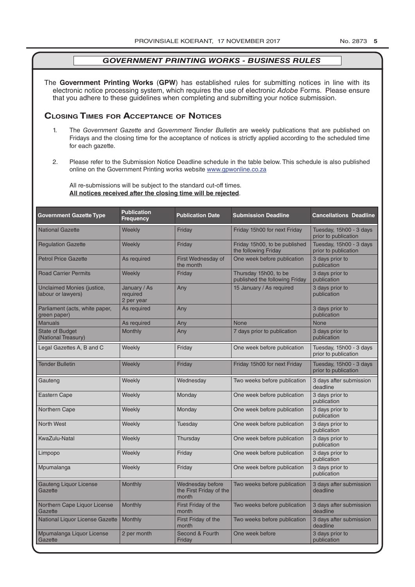The **Government Printing Works** (**GPW**) has established rules for submitting notices in line with its electronic notice processing system, which requires the use of electronic *Adobe* Forms. Please ensure that you adhere to these guidelines when completing and submitting your notice submission.

## **Closing Times for ACCepTAnCe of noTiCes**

- 1. The *Government Gazette* and *Government Tender Bulletin* are weekly publications that are published on Fridays and the closing time for the acceptance of notices is strictly applied according to the scheduled time for each gazette.
- 2. Please refer to the Submission Notice Deadline schedule in the table below. This schedule is also published online on the Government Printing works website www.gpwonline.co.za

All re-submissions will be subject to the standard cut-off times. **All notices received after the closing time will be rejected**.

| <b>Government Gazette Type</b>                   | <b>Publication</b><br><b>Frequency</b> | <b>Publication Date</b>                              | <b>Submission Deadline</b>                              | <b>Cancellations Deadline</b>                   |
|--------------------------------------------------|----------------------------------------|------------------------------------------------------|---------------------------------------------------------|-------------------------------------------------|
| <b>National Gazette</b>                          | Weekly                                 | Friday                                               | Friday 15h00 for next Friday                            | Tuesday, 15h00 - 3 days<br>prior to publication |
| <b>Regulation Gazette</b>                        | Weekly                                 | Friday                                               | Friday 15h00, to be published<br>the following Friday   | Tuesday, 15h00 - 3 days<br>prior to publication |
| <b>Petrol Price Gazette</b>                      | As required                            | First Wednesday of<br>the month                      | One week before publication                             | 3 days prior to<br>publication                  |
| <b>Road Carrier Permits</b>                      | Weekly                                 | Friday                                               | Thursday 15h00, to be<br>published the following Friday | 3 days prior to<br>publication                  |
| Unclaimed Monies (justice,<br>labour or lawyers) | January / As<br>required<br>2 per year | Any                                                  | 15 January / As required                                | 3 days prior to<br>publication                  |
| Parliament (acts, white paper,<br>green paper)   | As required                            | Any                                                  |                                                         | 3 days prior to<br>publication                  |
| <b>Manuals</b>                                   | As required                            | Any                                                  | <b>None</b>                                             | <b>None</b>                                     |
| <b>State of Budget</b><br>(National Treasury)    | <b>Monthly</b>                         | Any                                                  | 7 days prior to publication                             | 3 days prior to<br>publication                  |
| Legal Gazettes A, B and C                        | Weekly                                 | Friday                                               | One week before publication                             | Tuesday, 15h00 - 3 days<br>prior to publication |
| <b>Tender Bulletin</b>                           | Weekly                                 | Friday                                               | Friday 15h00 for next Friday                            | Tuesday, 15h00 - 3 days<br>prior to publication |
| Gauteng                                          | Weekly                                 | Wednesday                                            | Two weeks before publication                            | 3 days after submission<br>deadline             |
| <b>Eastern Cape</b>                              | Weekly                                 | Monday                                               | One week before publication                             | 3 days prior to<br>publication                  |
| Northern Cape                                    | Weekly                                 | Monday                                               | One week before publication                             | 3 days prior to<br>publication                  |
| <b>North West</b>                                | Weekly                                 | Tuesday                                              | One week before publication                             | 3 days prior to<br>publication                  |
| KwaZulu-Natal                                    | Weekly                                 | Thursday                                             | One week before publication                             | 3 days prior to<br>publication                  |
| Limpopo                                          | Weekly                                 | Friday                                               | One week before publication                             | 3 days prior to<br>publication                  |
| Mpumalanga                                       | Weekly                                 | Friday                                               | One week before publication                             | 3 days prior to<br>publication                  |
| <b>Gauteng Liquor License</b><br>Gazette         | Monthly                                | Wednesday before<br>the First Friday of the<br>month | Two weeks before publication                            | 3 days after submission<br>deadline             |
| Northern Cape Liquor License<br>Gazette          | Monthly                                | First Friday of the<br>month                         | Two weeks before publication                            | 3 days after submission<br>deadline             |
| National Liquor License Gazette                  | <b>Monthly</b>                         | First Friday of the<br>month                         | Two weeks before publication                            | 3 days after submission<br>deadline             |
| Mpumalanga Liquor License<br>Gazette             | 2 per month                            | Second & Fourth<br>Friday                            | One week before                                         | 3 days prior to<br>publication                  |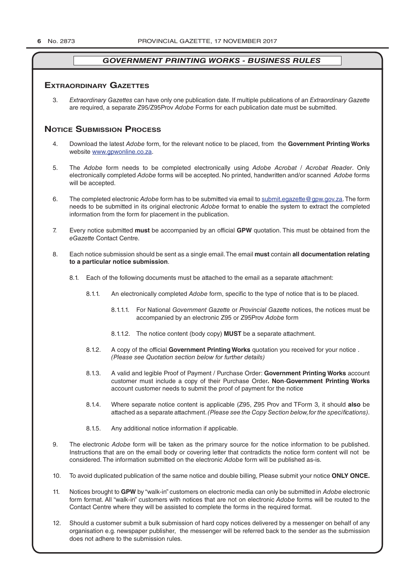### **exTrAordinAry gAzeTTes**

3. *Extraordinary Gazettes* can have only one publication date. If multiple publications of an *Extraordinary Gazette* are required, a separate Z95/Z95Prov *Adobe* Forms for each publication date must be submitted.

## **NOTICE SUBMISSION PROCESS**

- 4. Download the latest *Adobe* form, for the relevant notice to be placed, from the **Government Printing Works** website www.gpwonline.co.za.
- 5. The *Adobe* form needs to be completed electronically using *Adobe Acrobat* / *Acrobat Reader*. Only electronically completed *Adobe* forms will be accepted. No printed, handwritten and/or scanned *Adobe* forms will be accepted.
- 6. The completed electronic *Adobe* form has to be submitted via email to submit.egazette@gpw.gov.za. The form needs to be submitted in its original electronic *Adobe* format to enable the system to extract the completed information from the form for placement in the publication.
- 7. Every notice submitted **must** be accompanied by an official **GPW** quotation. This must be obtained from the *eGazette* Contact Centre.
- 8. Each notice submission should be sent as a single email. The email **must** contain **all documentation relating to a particular notice submission**.
	- 8.1. Each of the following documents must be attached to the email as a separate attachment:
		- 8.1.1. An electronically completed *Adobe* form, specific to the type of notice that is to be placed.
			- 8.1.1.1. For National *Government Gazette* or *Provincial Gazette* notices, the notices must be accompanied by an electronic Z95 or Z95Prov *Adobe* form
			- 8.1.1.2. The notice content (body copy) **MUST** be a separate attachment.
		- 8.1.2. A copy of the official **Government Printing Works** quotation you received for your notice . *(Please see Quotation section below for further details)*
		- 8.1.3. A valid and legible Proof of Payment / Purchase Order: **Government Printing Works** account customer must include a copy of their Purchase Order*.* **Non**-**Government Printing Works** account customer needs to submit the proof of payment for the notice
		- 8.1.4. Where separate notice content is applicable (Z95, Z95 Prov and TForm 3, it should **also** be attached as a separate attachment. *(Please see the Copy Section below, for the specifications)*.
		- 8.1.5. Any additional notice information if applicable.
- 9. The electronic *Adobe* form will be taken as the primary source for the notice information to be published. Instructions that are on the email body or covering letter that contradicts the notice form content will not be considered. The information submitted on the electronic *Adobe* form will be published as-is.
- 10. To avoid duplicated publication of the same notice and double billing, Please submit your notice **ONLY ONCE.**
- 11. Notices brought to **GPW** by "walk-in" customers on electronic media can only be submitted in *Adobe* electronic form format. All "walk-in" customers with notices that are not on electronic *Adobe* forms will be routed to the Contact Centre where they will be assisted to complete the forms in the required format.
- 12. Should a customer submit a bulk submission of hard copy notices delivered by a messenger on behalf of any organisation e.g. newspaper publisher, the messenger will be referred back to the sender as the submission does not adhere to the submission rules.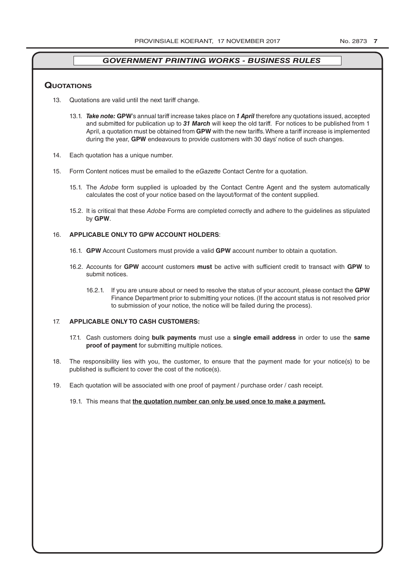### **QuoTATions**

- 13. Quotations are valid until the next tariff change.
	- 13.1. *Take note:* **GPW**'s annual tariff increase takes place on *1 April* therefore any quotations issued, accepted and submitted for publication up to *31 March* will keep the old tariff. For notices to be published from 1 April, a quotation must be obtained from **GPW** with the new tariffs. Where a tariff increase is implemented during the year, **GPW** endeavours to provide customers with 30 days' notice of such changes.
- 14. Each quotation has a unique number.
- 15. Form Content notices must be emailed to the *eGazette* Contact Centre for a quotation.
	- 15.1. The *Adobe* form supplied is uploaded by the Contact Centre Agent and the system automatically calculates the cost of your notice based on the layout/format of the content supplied.
	- 15.2. It is critical that these *Adobe* Forms are completed correctly and adhere to the guidelines as stipulated by **GPW**.

#### 16. **APPLICABLE ONLY TO GPW ACCOUNT HOLDERS**:

- 16.1. **GPW** Account Customers must provide a valid **GPW** account number to obtain a quotation.
- 16.2. Accounts for **GPW** account customers **must** be active with sufficient credit to transact with **GPW** to submit notices.
	- 16.2.1. If you are unsure about or need to resolve the status of your account, please contact the **GPW** Finance Department prior to submitting your notices. (If the account status is not resolved prior to submission of your notice, the notice will be failed during the process).

#### 17. **APPLICABLE ONLY TO CASH CUSTOMERS:**

- 17.1. Cash customers doing **bulk payments** must use a **single email address** in order to use the **same proof of payment** for submitting multiple notices.
- 18. The responsibility lies with you, the customer, to ensure that the payment made for your notice(s) to be published is sufficient to cover the cost of the notice(s).
- 19. Each quotation will be associated with one proof of payment / purchase order / cash receipt.
	- 19.1. This means that **the quotation number can only be used once to make a payment.**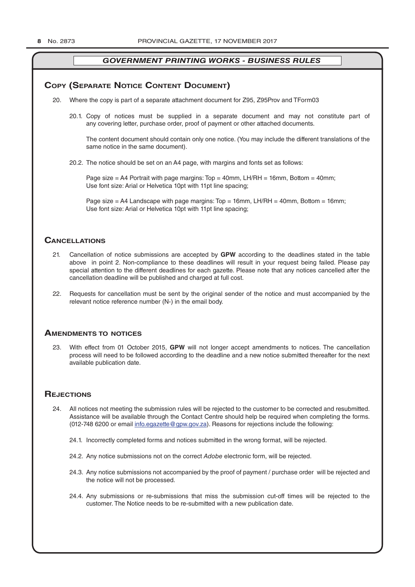## **COPY (SEPARATE NOTICE CONTENT DOCUMENT)**

- 20. Where the copy is part of a separate attachment document for Z95, Z95Prov and TForm03
	- 20.1. Copy of notices must be supplied in a separate document and may not constitute part of any covering letter, purchase order, proof of payment or other attached documents.

The content document should contain only one notice. (You may include the different translations of the same notice in the same document).

20.2. The notice should be set on an A4 page, with margins and fonts set as follows:

Page size  $=$  A4 Portrait with page margins: Top  $=$  40mm, LH/RH  $=$  16mm, Bottom  $=$  40mm; Use font size: Arial or Helvetica 10pt with 11pt line spacing;

Page size = A4 Landscape with page margins: Top = 16mm, LH/RH = 40mm, Bottom = 16mm; Use font size: Arial or Helvetica 10pt with 11pt line spacing;

## **CAnCellATions**

- 21. Cancellation of notice submissions are accepted by **GPW** according to the deadlines stated in the table above in point 2. Non-compliance to these deadlines will result in your request being failed. Please pay special attention to the different deadlines for each gazette. Please note that any notices cancelled after the cancellation deadline will be published and charged at full cost.
- 22. Requests for cancellation must be sent by the original sender of the notice and must accompanied by the relevant notice reference number (N-) in the email body.

## **AmendmenTs To noTiCes**

23. With effect from 01 October 2015, **GPW** will not longer accept amendments to notices. The cancellation process will need to be followed according to the deadline and a new notice submitted thereafter for the next available publication date.

## **REJECTIONS**

- 24. All notices not meeting the submission rules will be rejected to the customer to be corrected and resubmitted. Assistance will be available through the Contact Centre should help be required when completing the forms. (012-748 6200 or email info.egazette@gpw.gov.za). Reasons for rejections include the following:
	- 24.1. Incorrectly completed forms and notices submitted in the wrong format, will be rejected.
	- 24.2. Any notice submissions not on the correct *Adobe* electronic form, will be rejected.
	- 24.3. Any notice submissions not accompanied by the proof of payment / purchase order will be rejected and the notice will not be processed.
	- 24.4. Any submissions or re-submissions that miss the submission cut-off times will be rejected to the customer. The Notice needs to be re-submitted with a new publication date.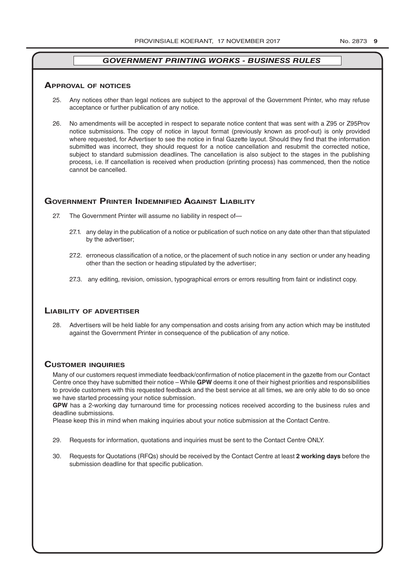#### **ApprovAl of noTiCes**

- 25. Any notices other than legal notices are subject to the approval of the Government Printer, who may refuse acceptance or further publication of any notice.
- 26. No amendments will be accepted in respect to separate notice content that was sent with a Z95 or Z95Prov notice submissions. The copy of notice in layout format (previously known as proof-out) is only provided where requested, for Advertiser to see the notice in final Gazette layout. Should they find that the information submitted was incorrect, they should request for a notice cancellation and resubmit the corrected notice, subject to standard submission deadlines. The cancellation is also subject to the stages in the publishing process, i.e. If cancellation is received when production (printing process) has commenced, then the notice cannot be cancelled.

## **governmenT prinTer indemnified AgAinsT liAbiliTy**

- 27. The Government Printer will assume no liability in respect of—
	- 27.1. any delay in the publication of a notice or publication of such notice on any date other than that stipulated by the advertiser;
	- 27.2. erroneous classification of a notice, or the placement of such notice in any section or under any heading other than the section or heading stipulated by the advertiser;
	- 27.3. any editing, revision, omission, typographical errors or errors resulting from faint or indistinct copy.

#### **liAbiliTy of AdverTiser**

28. Advertisers will be held liable for any compensation and costs arising from any action which may be instituted against the Government Printer in consequence of the publication of any notice.

### **CusTomer inQuiries**

Many of our customers request immediate feedback/confirmation of notice placement in the gazette from our Contact Centre once they have submitted their notice – While **GPW** deems it one of their highest priorities and responsibilities to provide customers with this requested feedback and the best service at all times, we are only able to do so once we have started processing your notice submission.

**GPW** has a 2-working day turnaround time for processing notices received according to the business rules and deadline submissions.

Please keep this in mind when making inquiries about your notice submission at the Contact Centre.

- 29. Requests for information, quotations and inquiries must be sent to the Contact Centre ONLY.
- 30. Requests for Quotations (RFQs) should be received by the Contact Centre at least **2 working days** before the submission deadline for that specific publication.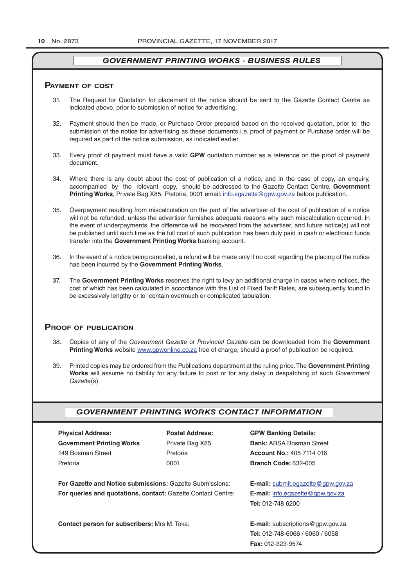#### **pAymenT of CosT**

- 31. The Request for Quotation for placement of the notice should be sent to the Gazette Contact Centre as indicated above, prior to submission of notice for advertising.
- 32. Payment should then be made, or Purchase Order prepared based on the received quotation, prior to the submission of the notice for advertising as these documents i.e. proof of payment or Purchase order will be required as part of the notice submission, as indicated earlier.
- 33. Every proof of payment must have a valid **GPW** quotation number as a reference on the proof of payment document.
- 34. Where there is any doubt about the cost of publication of a notice, and in the case of copy, an enquiry, accompanied by the relevant copy, should be addressed to the Gazette Contact Centre, **Government Printing Works**, Private Bag X85, Pretoria, 0001 email: info.egazette@gpw.gov.za before publication.
- 35. Overpayment resulting from miscalculation on the part of the advertiser of the cost of publication of a notice will not be refunded, unless the advertiser furnishes adequate reasons why such miscalculation occurred. In the event of underpayments, the difference will be recovered from the advertiser, and future notice(s) will not be published until such time as the full cost of such publication has been duly paid in cash or electronic funds transfer into the **Government Printing Works** banking account.
- 36. In the event of a notice being cancelled, a refund will be made only if no cost regarding the placing of the notice has been incurred by the **Government Printing Works**.
- 37. The **Government Printing Works** reserves the right to levy an additional charge in cases where notices, the cost of which has been calculated in accordance with the List of Fixed Tariff Rates, are subsequently found to be excessively lengthy or to contain overmuch or complicated tabulation.

### **proof of publiCATion**

- 38. Copies of any of the *Government Gazette* or *Provincial Gazette* can be downloaded from the **Government Printing Works** website www.gpwonline.co.za free of charge, should a proof of publication be required.
- 39. Printed copies may be ordered from the Publications department at the ruling price. The **Government Printing Works** will assume no liability for any failure to post or for any delay in despatching of such *Government Gazette*(s).

### *GOVERNMENT PRINTING WORKS CONTACT INFORMATION*

| <b>Physical Address:</b>                                            | <b>Postal Address:</b> | <b>GPW Banking Details:</b>                 |
|---------------------------------------------------------------------|------------------------|---------------------------------------------|
| <b>Government Printing Works</b>                                    | Private Bag X85        | <b>Bank: ABSA Bosman Street</b>             |
| 149 Bosman Street                                                   | Pretoria               | <b>Account No.: 405 7114 016</b>            |
| Pretoria                                                            | 0001                   | <b>Branch Code: 632-005</b>                 |
| For Gazette and Notice submissions: Gazette Submissions:            |                        | <b>E-mail:</b> submit.eqazette@gpw.gov.za   |
| <b>For queries and quotations, contact: Gazette Contact Centre:</b> |                        | <b>E-mail:</b> info.egazette@gpw.gov.za     |
|                                                                     |                        | <b>Tel: 012-748 6200</b>                    |
| <b>Contact person for subscribers: Mrs M. Toka:</b>                 |                        | <b>E-mail:</b> subscriptions $@$ gpw.gov.za |
|                                                                     |                        | <b>Tel: 012-748-6066 / 6060 / 6058</b>      |
|                                                                     |                        | <b>Fax: 012-323-9574</b>                    |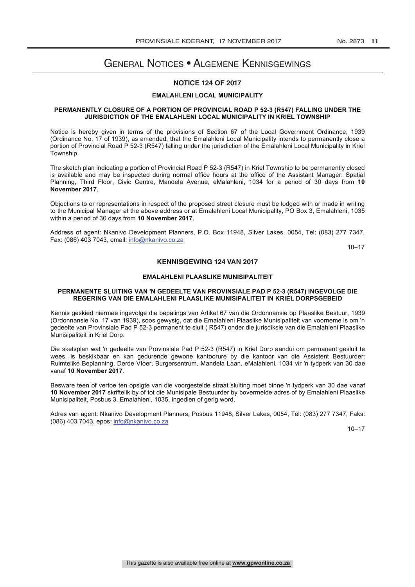## General Notices • Algemene Kennisgewings

### **NOTICE 124 OF 2017**

#### **EMALAHLENI LOCAL MUNICIPALITY**

#### **PERMANENTLY CLOSURE OF A PORTION OF PROVINCIAL ROAD P 52-3 (R547) FALLING UNDER THE JURISDICTION OF THE EMALAHLENI LOCAL MUNICIPALITY IN KRIEL TOWNSHIP**

Notice is hereby given in terms of the provisions of Section 67 of the Local Government Ordinance, 1939 (Ordinance No. 17 of 1939), as amended, that the Emalahleni Local Municipality intends to permanently close a portion of Provincial Road P 52-3 (R547) falling under the jurisdiction of the Emalahleni Local Municipality in Kriel Township.

The sketch plan indicating a portion of Provincial Road P 52-3 (R547) in Kriel Township to be permanently closed is available and may be inspected during normal office hours at the office of the Assistant Manager: Spatial Planning, Third Floor, Civic Centre, Mandela Avenue, eMalahleni, 1034 for a period of 30 days from **10 November 2017**.

Objections to or representations in respect of the proposed street closure must be lodged with or made in writing to the Municipal Manager at the above address or at Emalahleni Local Municipality, PO Box 3, Emalahleni, 1035 within a period of 30 days from **10 November 2017**.

Address of agent: Nkanivo Development Planners, P.O. Box 11948, Silver Lakes, 0054, Tel: (083) 277 7347, Fax: (086) 403 7043, email: info@nkanivo.co.za

10–17

#### **KENNISGEWING 124 VAN 2017**

#### **EMALAHLENI PLAASLIKE MUNISIPALITEIT**

#### **PERMANENTE SLUITING VAN 'N GEDEELTE VAN PROVINSIALE PAD P 52-3 (R547) INGEVOLGE DIE REGERING VAN DIE EMALAHLENI PLAASLIKE MUNISIPALITEIT IN KRIEL DORPSGEBEID**

Kennis geskied hiermee ingevolge die bepalings van Artikel 67 van die Ordonnansie op Plaaslike Bestuur, 1939 (Ordonnansie No. 17 van 1939), soos gewysig, dat die Emalahleni Plaaslike Munisipaliteit van voorneme is om 'n gedeelte van Provinsiale Pad P 52-3 permanent te sluit ( R547) onder die jurisdiksie van die Emalahleni Plaaslike Munisipaliteit in Kriel Dorp.

Die sketsplan wat 'n gedeelte van Provinsiale Pad P 52-3 (R547) in Kriel Dorp aandui om permanent gesluit te wees, is beskikbaar en kan gedurende gewone kantoorure by die kantoor van die Assistent Bestuurder: Ruimtelike Beplanning, Derde VIoer, Burgersentrum, Mandela Laan, eMalahleni, 1034 vir 'n tydperk van 30 dae vanaf **10 November 2017**.

Besware teen of vertoe ten opsigte van die voorgestelde straat sluiting moet binne 'n tydperk van 30 dae vanaf **10 November 2017** skriftelik by of tot die Munisipale Bestuurder by bovermelde adres of by Emalahleni Plaaslike Munisipaliteit, Posbus 3, Emalahleni, 1035, ingedien of gerig word.

Adres van agent: Nkanivo Development Planners, Posbus 11948, Silver Lakes, 0054, Tel: (083) 277 7347, Faks: (086) 403 7043, epos: info@nkanivo.co.za

 $10 - 17$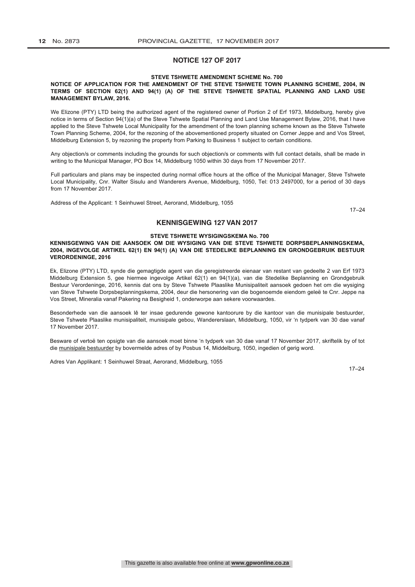#### **NOTICE 127 OF 2017**

#### **STEVE TSHWETE AMENDMENT SCHEME No. 700**

#### **NOTICE OF APPLICATION FOR THE AMENDMENT OF THE STEVE TSHWETE TOWN PLANNING SCHEME, 2004, IN TERMS OF SECTION 62(1) AND 94(1) (A) OF THE STEVE TSHWETE SPATIAL PLANNING AND LAND USE MANAGEMENT BYLAW, 2016.**

We Elizone (PTY) LTD being the authorized agent of the registered owner of Portion 2 of Erf 1973, Middelburg, hereby give notice in terms of Section 94(1)(a) of the Steve Tshwete Spatial Planning and Land Use Management Bylaw, 2016, that I have applied to the Steve Tshwete Local Municipality for the amendment of the town planning scheme known as the Steve Tshwete Town Planning Scheme, 2004, for the rezoning of the abovementioned property situated on Corner Jeppe and and Vos Street, Middelburg Extension 5, by rezoning the property from Parking to Business 1 subject to certain conditions.

Any objection/s or comments including the grounds for such objection/s or comments with full contact details, shall be made in writing to the Municipal Manager, PO Box 14, Middelburg 1050 within 30 days from 17 November 2017.

Full particulars and plans may be inspected during normal office hours at the office of the Municipal Manager, Steve Tshwete Local Municipality, Cnr. Walter Sisulu and Wanderers Avenue, Middelburg, 1050, Tel: 013 2497000, for a period of 30 days from 17 November 2017.

Address of the Applicant: 1 Seinhuwel Street, Aerorand, Middelburg, 1055

17–24

#### **KENNISGEWING 127 VAN 2017**

#### **STEVE TSHWETE WYSIGINGSKEMA No. 700**

#### **KENNISGEWING VAN DIE AANSOEK OM DIE WYSIGING VAN DIE STEVE TSHWETE DORPSBEPLANNINGSKEMA, 2004, INGEVOLGE ARTIKEL 62(1) EN 94(1) (A) VAN DIE STEDELIKE BEPLANNING EN GRONDGEBRUIK BESTUUR VERORDENINGE, 2016**

Ek, Elizone (PTY) LTD, synde die gemagtigde agent van die geregistreerde eienaar van restant van gedeelte 2 van Erf 1973 Middelburg Extension 5, gee hiermee ingevolge Artikel 62(1) en 94(1)(a), van die Stedelike Beplanning en Grondgebruik Bestuur Verordeninge, 2016, kennis dat ons by Steve Tshwete Plaaslike Munisipaliteit aansoek gedoen het om die wysiging van Steve Tshwete Dorpsbeplanningskema, 2004, deur die hersonering van die bogenoemde eiendom geleë te Cnr. Jeppe na Vos Street, Mineralia vanaf Pakering na Besigheid 1, onderworpe aan sekere voorwaardes.

Besonderhede van die aansoek lê ter insae gedurende gewone kantoorure by die kantoor van die munisipale bestuurder, Steve Tshwete Plaaslike munisipaliteit, munisipale gebou, Wandererslaan, Middelburg, 1050, vir 'n tydperk van 30 dae vanaf 17 November 2017.

Besware of vertoë ten opsigte van die aansoek moet binne 'n tydperk van 30 dae vanaf 17 November 2017, skriftelik by of tot die munisipale bestuurder by bovermelde adres of by Posbus 14, Middelburg, 1050, ingedien of gerig word.

Adres Van Applikant: 1 Seinhuwel Straat, Aerorand, Middelburg, 1055

17–24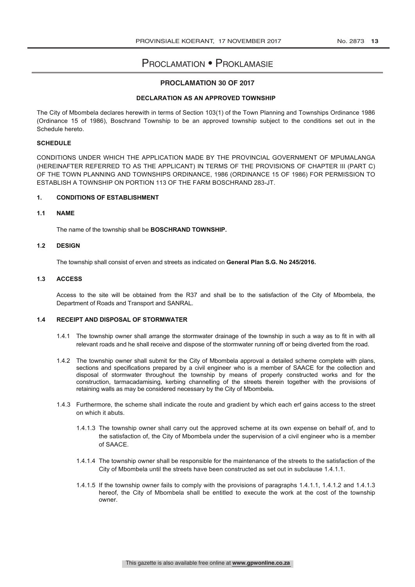## Proclamation • Proklamasie

### **PROCLAMATION 30 OF 2017**

#### **DECLARATION AS AN APPROVED TOWNSHIP**

The City of Mbombela declares herewith in terms of Section 103(1) of the Town Planning and Townships Ordinance 1986 (Ordinance 15 of 1986), Boschrand Township to be an approved township subject to the conditions set out in the Schedule hereto.

#### **SCHEDULE**

CONDITIONS UNDER WHICH THE APPLICATION MADE BY THE PROVINCIAL GOVERNMENT OF MPUMALANGA (HEREINAFTER REFERRED TO AS THE APPLICANT) IN TERMS OF THE PROVISIONS OF CHAPTER III (PART C) OF THE TOWN PLANNING AND TOWNSHIPS ORDINANCE, 1986 (ORDINANCE 15 OF 1986) FOR PERMISSION TO ESTABLISH A TOWNSHIP ON PORTION 113 OF THE FARM BOSCHRAND 283-JT.

#### **1. CONDITIONS OF ESTABLISHMENT**

#### **1.1 NAME**

The name of the township shall be **BOSCHRAND TOWNSHIP.**

#### **1.2 DESIGN**

The township shall consist of erven and streets as indicated on **General Plan S.G. No 245/2016.** 

#### **1.3 ACCESS**

Access to the site will be obtained from the R37 and shall be to the satisfaction of the City of Mbombela, the Department of Roads and Transport and SANRAL.

#### **1.4 RECEIPT AND DISPOSAL OF STORMWATER**

- 1.4.1 The township owner shall arrange the stormwater drainage of the township in such a way as to fit in with all relevant roads and he shall receive and dispose of the stormwater running off or being diverted from the road.
- 1.4.2 The township owner shall submit for the City of Mbombela approval a detailed scheme complete with plans, sections and specifications prepared by a civil engineer who is a member of SAACE for the collection and disposal of stormwater throughout the township by means of properly constructed works and for the construction, tarmacadamising, kerbing channelling of the streets therein together with the provisions of retaining walls as may be considered necessary by the City of Mbombela**.**
- 1.4.3 Furthermore, the scheme shall indicate the route and gradient by which each erf gains access to the street on which it abuts.
	- 1.4.1.3 The township owner shall carry out the approved scheme at its own expense on behalf of, and to the satisfaction of, the City of Mbombela under the supervision of a civil engineer who is a member of SAACE.
	- 1.4.1.4 The township owner shall be responsible for the maintenance of the streets to the satisfaction of the City of Mbombela until the streets have been constructed as set out in subclause 1.4.1.1.
	- 1.4.1.5 If the township owner fails to comply with the provisions of paragraphs 1.4.1.1, 1.4.1.2 and 1.4.1.3 hereof, the City of Mbombela shall be entitled to execute the work at the cost of the township owner.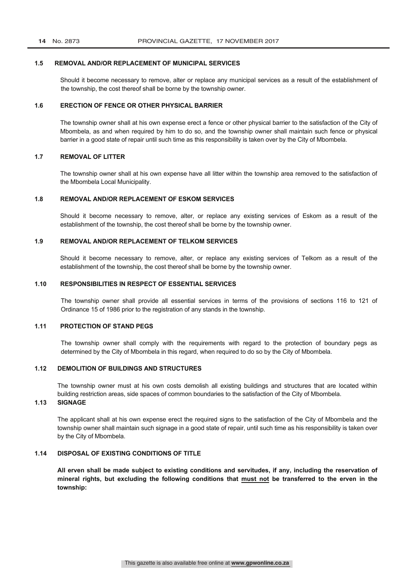#### **1.5 REMOVAL AND/OR REPLACEMENT OF MUNICIPAL SERVICES**

Should it become necessary to remove, alter or replace any municipal services as a result of the establishment of the township, the cost thereof shall be borne by the township owner.

#### **1.6 ERECTION OF FENCE OR OTHER PHYSICAL BARRIER**

The township owner shall at his own expense erect a fence or other physical barrier to the satisfaction of the City of Mbombela, as and when required by him to do so, and the township owner shall maintain such fence or physical barrier in a good state of repair until such time as this responsibility is taken over by the City of Mbombela.

#### **1.7 REMOVAL OF LITTER**

The township owner shall at his own expense have all litter within the township area removed to the satisfaction of the Mbombela Local Municipality.

#### **1.8 REMOVAL AND/OR REPLACEMENT OF ESKOM SERVICES**

Should it become necessary to remove, alter, or replace any existing services of Eskom as a result of the establishment of the township, the cost thereof shall be borne by the township owner.

### **1.9 REMOVAL AND/OR REPLACEMENT OF TELKOM SERVICES**

Should it become necessary to remove, alter, or replace any existing services of Telkom as a result of the establishment of the township, the cost thereof shall be borne by the township owner.

#### **1.10 RESPONSIBILITIES IN RESPECT OF ESSENTIAL SERVICES**

The township owner shall provide all essential services in terms of the provisions of sections 116 to 121 of Ordinance 15 of 1986 prior to the registration of any stands in the township.

### **1.11 PROTECTION OF STAND PEGS**

The township owner shall comply with the requirements with regard to the protection of boundary pegs as determined by the City of Mbombela in this regard, when required to do so by the City of Mbombela.

#### **1.12 DEMOLITION OF BUILDINGS AND STRUCTURES**

The township owner must at his own costs demolish all existing buildings and structures that are located within building restriction areas, side spaces of common boundaries to the satisfaction of the City of Mbombela.

## **1.13 SIGNAGE**

The applicant shall at his own expense erect the required signs to the satisfaction of the City of Mbombela and the township owner shall maintain such signage in a good state of repair, until such time as his responsibility is taken over by the City of Mbombela.

#### **1.14 DISPOSAL OF EXISTING CONDITIONS OF TITLE**

**All erven shall be made subject to existing conditions and servitudes, if any, including the reservation of mineral rights, but excluding the following conditions that must not be transferred to the erven in the township:**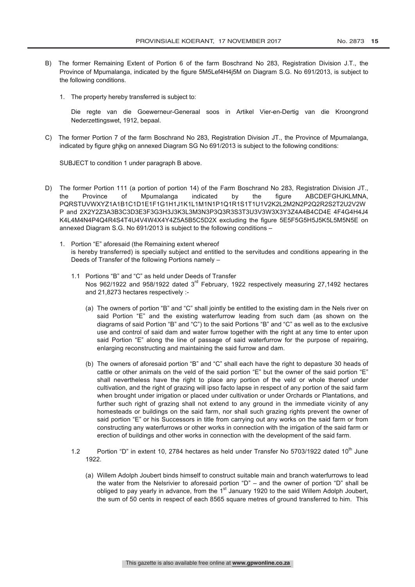- B) The former Remaining Extent of Portion 6 of the farm Boschrand No 283, Registration Division J.T., the Province of Mpumalanga, indicated by the figure 5M5Lef4H4j5M on Diagram S.G. No 691/2013, is subject to the following conditions.
	- 1. The property hereby transferred is subject to:

Die regte van die Goewerneur-Generaal soos in Artikel Vier-en-Dertig van die Kroongrond Nederzettingswet, 1912, bepaal.

C) The former Portion 7 of the farm Boschrand No 283, Registration Division JT., the Province of Mpumalanga, indicated by figure ghjkg on annexed Diagram SG No 691/2013 is subject to the following conditions:

SUBJECT to condition 1 under paragraph B above.

- D) The former Portion 111 (a portion of portion 14) of the Farm Boschrand No 283, Registration Division JT., the Province of Mpumalanga indicated by the figure ABCDEFGHJKLMNA, PQRSTUVWXYZ1A1B1C1D1E1F1G1H1J1K1L1M1N1P1Q1R1S1T1U1V2K2L2M2N2P2Q2R2S2T2U2V2W P and 2X2Y2Z3A3B3C3D3E3F3G3H3J3K3L3M3N3P3Q3R3S3T3U3V3W3X3Y3Z4A4B4CD4E 4F4G4H4J4 K4L4M4N4P4Q4R4S4T4U4V4W4X4Y4Z5A5B5C5D2X excluding the figure 5E5F5G5H5J5K5L5M5N5E on annexed Diagram S.G. No 691/2013 is subject to the following conditions –
	- 1. Portion "E" aforesaid (the Remaining extent whereof is hereby transferred) is specially subject and entitled to the servitudes and conditions appearing in the Deeds of Transfer of the following Portions namely –
		- 1.1 Portions "B" and "C" as held under Deeds of Transfer Nos 962/1922 and 958/1922 dated 3<sup>rd</sup> February, 1922 respectively measuring 27,1492 hectares and 21,8273 hectares respectively :-
			- (a) The owners of portion "B" and "C" shall jointly be entitled to the existing dam in the Nels river on said Portion "E" and the existing waterfurrow leading from such dam (as shown on the diagrams of said Portion "B" and "C") to the said Portions "B" and "C" as well as to the exclusive use and control of said dam and water furrow together with the right at any time to enter upon said Portion "E" along the line of passage of said waterfurrow for the purpose of repairing, enlarging reconstructing and maintaining the said furrow and dam.
			- (b) The owners of aforesaid portion "B" and "C" shall each have the right to depasture 30 heads of cattle or other animals on the veld of the said portion "E" but the owner of the said portion "E" shall nevertheless have the right to place any portion of the veld or whole thereof under cultivation, and the right of grazing will ipso facto lapse in respect of any portion of the said farm when brought under irrigation or placed under cultivation or under Orchards or Plantations, and further such right of grazing shall not extend to any ground in the immediate vicinity of any homesteads or buildings on the said farm, nor shall such grazing rights prevent the owner of said portion "E" or his Successors in title from carrying out any works on the said farm or from constructing any waterfurrows or other works in connection with the irrigation of the said farm or erection of buildings and other works in connection with the development of the said farm.
		- 1.2 Portion "D" in extent 10, 2784 hectares as held under Transfer No 5703/1922 dated  $10^{th}$  June 1922.
			- (a) Willem Adolph Joubert binds himself to construct suitable main and branch waterfurrows to lead the water from the Nelsrivier to aforesaid portion "D" – and the owner of portion "D" shall be obliged to pay yearly in advance, from the  $1<sup>st</sup>$  January 1920 to the said Willem Adolph Joubert, the sum of 50 cents in respect of each 8565 square metres of ground transferred to him. This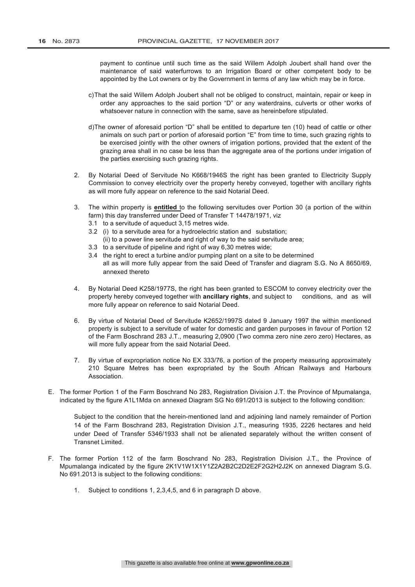payment to continue until such time as the said Willem Adolph Joubert shall hand over the maintenance of said waterfurrows to an Irrigation Board or other competent body to be appointed by the Lot owners or by the Government in terms of any law which may be in force.

- c)That the said Willem Adolph Joubert shall not be obliged to construct, maintain, repair or keep in order any approaches to the said portion "D" or any waterdrains, culverts or other works of whatsoever nature in connection with the same, save as hereinbefore stipulated.
- d)The owner of aforesaid portion "D" shall be entitled to departure ten (10) head of cattle or other animals on such part or portion of aforesaid portion "E" from time to time, such grazing rights to be exercised jointly with the other owners of irrigation portions, provided that the extent of the grazing area shall in no case be less than the aggregate area of the portions under irrigation of the parties exercising such grazing rights.
- 2. By Notarial Deed of Servitude No K668/1946S the right has been granted to Electricity Supply Commission to convey electricity over the property hereby conveyed, together with ancillary rights as will more fully appear on reference to the said Notarial Deed.
- 3. The within property is **entitled** to the following servitudes over Portion 30 (a portion of the within farm) this day transferred under Deed of Transfer T 14478/1971, viz
	- 3.1 to a servitude of aqueduct 3,15 metres wide.
	- 3.2 (i) to a servitude area for a hydroelectric station and substation;
		- (ii) to a power line servitude and right of way to the said servitude area;
	- 3.3 to a servitude of pipeline and right of way 6,30 metres wide;
	- 3.4 the right to erect a turbine and/or pumping plant on a site to be determined all as will more fully appear from the said Deed of Transfer and diagram S.G. No A 8650/69, annexed thereto
- 4. By Notarial Deed K258/1977S, the right has been granted to ESCOM to convey electricity over the property hereby conveyed together with **ancillary rights**, and subject to conditions, and as will more fully appear on reference to said Notarial Deed.
- 6. By virtue of Notarial Deed of Servitude K2652/1997S dated 9 January 1997 the within mentioned property is subject to a servitude of water for domestic and garden purposes in favour of Portion 12 of the Farm Boschrand 283 J.T., measuring 2,0900 (Two comma zero nine zero zero) Hectares, as will more fully appear from the said Notarial Deed.
- 7. By virtue of expropriation notice No EX 333/76, a portion of the property measuring approximately 210 Square Metres has been expropriated by the South African Railways and Harbours Association.
- E. The former Portion 1 of the Farm Boschrand No 283, Registration Division J.T. the Province of Mpumalanga, indicated by the figure A1L1Mda on annexed Diagram SG No 691/2013 is subject to the following condition:

Subject to the condition that the herein-mentioned land and adjoining land namely remainder of Portion 14 of the Farm Boschrand 283, Registration Division J.T., measuring 1935, 2226 hectares and held under Deed of Transfer 5346/1933 shall not be alienated separately without the written consent of Transnet Limited.

- F. The former Portion 112 of the farm Boschrand No 283, Registration Division J.T., the Province of Mpumalanga indicated by the figure 2K1V1W1X1Y1Z2A2B2C2D2E2F2G2H2J2K on annexed Diagram S.G. No 691.2013 is subject to the following conditions:
	- 1. Subject to conditions 1, 2,3,4,5, and 6 in paragraph D above.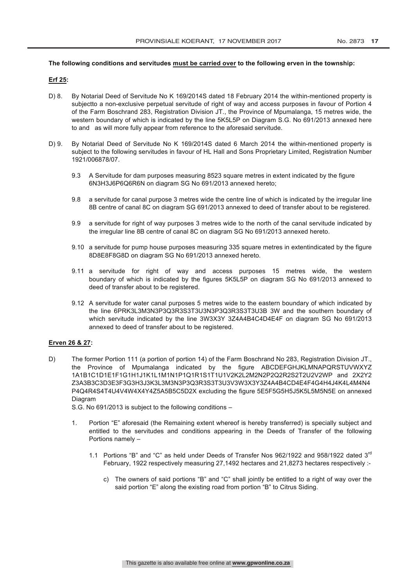#### **The following conditions and servitudes must be carried over to the following erven in the township:**

#### **Erf 25:**

- D) 8. By Notarial Deed of Servitude No K 169/2014S dated 18 February 2014 the within-mentioned property is subjectto a non-exclusive perpetual servitude of right of way and access purposes in favour of Portion 4 of the Farm Boschrand 283, Registration Division JT., the Province of Mpumalanga, 15 metres wide, the western boundary of which is indicated by the line 5K5L5P on Diagram S.G. No 691/2013 annexed here to and as will more fully appear from reference to the aforesaid servitude.
- D) 9. By Notarial Deed of Servitude No K 169/2014S dated 6 March 2014 the within-mentioned property is subject to the following servitudes in favour of HL Hall and Sons Proprietary Limited, Registration Number 1921/006878/07.
	- 9.3 A Servitude for dam purposes measuring 8523 square metres in extent indicated by the figure 6N3H3J6P6Q6R6N on diagram SG No 691/2013 annexed hereto;
	- 9.8 a servitude for canal purpose 3 metres wide the centre line of which is indicated by the irregular line 8B centre of canal 8C on diagram SG 691/2013 annexed to deed of transfer about to be registered.
	- 9.9 a servitude for right of way purposes 3 metres wide to the north of the canal servitude indicated by the irregular line 8B centre of canal 8C on diagram SG No 691/2013 annexed hereto.
	- 9.10 a servitude for pump house purposes measuring 335 square metres in extentindicated by the figure 8D8E8F8G8D on diagram SG No 691/2013 annexed hereto.
	- 9.11 a servitude for right of way and access purposes 15 metres wide, the western boundary of which is indicated by the figures 5K5L5P on diagram SG No 691/2013 annexed to deed of transfer about to be registered.
	- 9.12 A servitude for water canal purposes 5 metres wide to the eastern boundary of which indicated by the line 6PRK3L3M3N3P3Q3R3S3T3U3N3P3Q3R3S3T3U3B 3W and the southern boundary of which servitude indicated by the line 3W3X3Y 3Z4A4B4C4D4E4F on diagram SG No 691/2013 annexed to deed of transfer about to be registered.

#### **Erven 26 & 27:**

D) The former Portion 111 (a portion of portion 14) of the Farm Boschrand No 283, Registration Division JT., the Province of Mpumalanga indicated by the figure ABCDEFGHJKLMNAPQRSTUVWXYZ 1A1B1C1D1E1F1G1H1J1K1L1M1N1P1Q1R1S1T1U1V2K2L2M2N2P2Q2R2S2T2U2V2WP and 2X2Y2 Z3A3B3C3D3E3F3G3H3J3K3L3M3N3P3Q3R3S3T3U3V3W3X3Y3Z4A4B4CD4E4F4G4H4J4K4L4M4N4 P4Q4R4S4T4U4V4W4X4Y4Z5A5B5C5D2X excluding the figure 5E5F5G5H5J5K5L5M5N5E on annexed Diagram

S.G. No 691/2013 is subject to the following conditions –

- 1. Portion "E" aforesaid (the Remaining extent whereof is hereby transferred) is specially subject and entitled to the servitudes and conditions appearing in the Deeds of Transfer of the following Portions namely –
	- 1.1 Portions "B" and "C" as held under Deeds of Transfer Nos 962/1922 and 958/1922 dated  $3^{rd}$ February, 1922 respectively measuring 27,1492 hectares and 21,8273 hectares respectively :
		- c) The owners of said portions "B" and "C" shall jointly be entitled to a right of way over the said portion "E" along the existing road from portion "B" to Citrus Siding.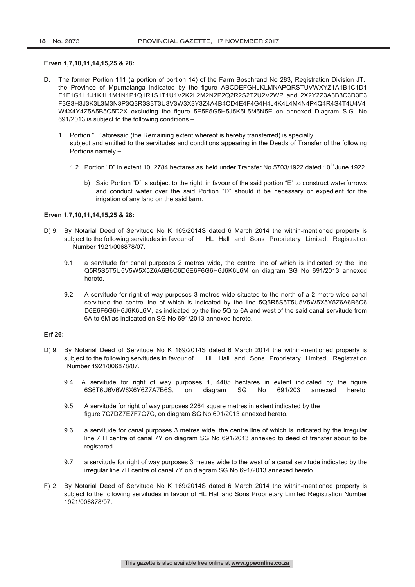## **Erven 1,7,10,11,14,15,25 & 28:**

- D. The former Portion 111 (a portion of portion 14) of the Farm Boschrand No 283, Registration Division JT., the Province of Mpumalanga indicated by the figure ABCDEFGHJKLMNAPQRSTUVWXYZ1A1B1C1D1 E1F1G1H1J1K1L1M1N1P1Q1R1S1T1U1V2K2L2M2N2P2Q2R2S2T2U2V2WP and 2X2Y2Z3A3B3C3D3E3 F3G3H3J3K3L3M3N3P3Q3R3S3T3U3V3W3X3Y3Z4A4B4CD4E4F4G4H4J4K4L4M4N4P4Q4R4S4T4U4V4 W4X4Y4Z5A5B5C5D2X excluding the figure 5E5F5G5H5J5K5L5M5N5E on annexed Diagram S.G. No 691/2013 is subject to the following conditions –
	- 1. Portion "E" aforesaid (the Remaining extent whereof is hereby transferred) is specially subject and entitled to the servitudes and conditions appearing in the Deeds of Transfer of the following Portions namely –
		- 1.2 Portion "D" in extent 10, 2784 hectares as held under Transfer No 5703/1922 dated 10<sup>th</sup> June 1922.
			- b) Said Portion "D" is subject to the right, in favour of the said portion "E" to construct waterfurrows and conduct water over the said Portion "D" should it be necessary or expedient for the irrigation of any land on the said farm.

#### **Erven 1,7,10,11,14,15,25 & 28:**

- D) 9. By Notarial Deed of Servitude No K 169/2014S dated 6 March 2014 the within-mentioned property is subject to the following servitudes in favour of HL Hall and Sons Proprietary Limited. Registration Number 1921/006878/07.
	- 9.1 a servitude for canal purposes 2 metres wide, the centre line of which is indicated by the line Q5R5S5T5U5V5W5X5Z6A6B6C6D6E6F6G6H6J6K6L6M on diagram SG No 691/2013 annexed hereto.
	- 9.2 A servitude for right of way purposes 3 metres wide situated to the north of a 2 metre wide canal servitude the centre line of which is indicated by the line 5Q5R5S5T5U5V5W5X5Y5Z6A6B6C6 D6E6F6G6H6J6K6L6M, as indicated by the line 5Q to 6A and west of the said canal servitude from 6A to 6M as indicated on SG No 691/2013 annexed hereto.

### **Erf 26:**

- D) 9. By Notarial Deed of Servitude No K 169/2014S dated 6 March 2014 the within-mentioned property is subject to the following servitudes in favour of HL Hall and Sons Proprietary Limited, Registration Number 1921/006878/07.
	- 9.4 A servitude for right of way purposes 1, 4405 hectares in extent indicated by the figure 6S6T6U6V6W6X6Y6Z7A7B6S, on diagram SG No 691/203 annexed hereto.
	- 9.5 A servitude for right of way purposes 2264 square metres in extent indicated by the figure 7C7DZ7E7F7G7C, on diagram SG No 691/2013 annexed hereto.
	- 9.6 a servitude for canal purposes 3 metres wide, the centre line of which is indicated by the irregular line 7 H centre of canal 7Y on diagram SG No 691/2013 annexed to deed of transfer about to be registered.
	- 9.7 a servitude for right of way purposes 3 metres wide to the west of a canal servitude indicated by the irregular line 7H centre of canal 7Y on diagram SG No 691/2013 annexed hereto
- F) 2. By Notarial Deed of Servitude No K 169/2014S dated 6 March 2014 the within-mentioned property is subject to the following servitudes in favour of HL Hall and Sons Proprietary Limited Registration Number 1921/006878/07.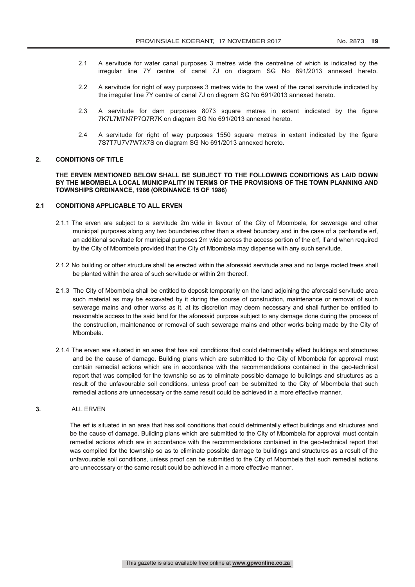- 2.1 A servitude for water canal purposes 3 metres wide the centreline of which is indicated by the irregular line 7Y centre of canal 7J on diagram SG No 691/2013 annexed hereto.
- 2.2 A servitude for right of way purposes 3 metres wide to the west of the canal servitude indicated by the irregular line 7Y centre of canal 7J on diagram SG No 691/2013 annexed hereto.
- 2.3 A servitude for dam purposes 8073 square metres in extent indicated by the figure 7K7L7M7N7P7Q7R7K on diagram SG No 691/2013 annexed hereto.
- 2.4 A servitude for right of way purposes 1550 square metres in extent indicated by the figure 7S7T7U7V7W7X7S on diagram SG No 691/2013 annexed hereto.

#### **2. CONDITIONS OF TITLE**

**THE ERVEN MENTIONED BELOW SHALL BE SUBJECT TO THE FOLLOWING CONDITIONS AS LAID DOWN BY THE MBOMBELA LOCAL MUNICIPALITY IN TERMS OF THE PROVISIONS OF THE TOWN PLANNING AND TOWNSHIPS ORDINANCE, 1986 (ORDINANCE 15 OF 1986)**

#### **2.1 CONDITIONS APPLICABLE TO ALL ERVEN**

- 2.1.1 The erven are subject to a servitude 2m wide in favour of the City of Mbombela, for sewerage and other municipal purposes along any two boundaries other than a street boundary and in the case of a panhandle erf, an additional servitude for municipal purposes 2m wide across the access portion of the erf, if and when required by the City of Mbombela provided that the City of Mbombela may dispense with any such servitude.
- 2.1.2 No building or other structure shall be erected within the aforesaid servitude area and no large rooted trees shall be planted within the area of such servitude or within 2m thereof.
- 2.1.3 The City of Mbombela shall be entitled to deposit temporarily on the land adjoining the aforesaid servitude area such material as may be excavated by it during the course of construction, maintenance or removal of such sewerage mains and other works as it, at its discretion may deem necessary and shall further be entitled to reasonable access to the said land for the aforesaid purpose subject to any damage done during the process of the construction, maintenance or removal of such sewerage mains and other works being made by the City of Mbombela.
- 2.1.4 The erven are situated in an area that has soil conditions that could detrimentally effect buildings and structures and be the cause of damage. Building plans which are submitted to the City of Mbombela for approval must contain remedial actions which are in accordance with the recommendations contained in the geo-technical report that was compiled for the township so as to eliminate possible damage to buildings and structures as a result of the unfavourable soil conditions, unless proof can be submitted to the City of Mbombela that such remedial actions are unnecessary or the same result could be achieved in a more effective manner.

### **3.** ALL ERVEN

The erf is situated in an area that has soil conditions that could detrimentally effect buildings and structures and be the cause of damage. Building plans which are submitted to the City of Mbombela for approval must contain remedial actions which are in accordance with the recommendations contained in the geo-technical report that was compiled for the township so as to eliminate possible damage to buildings and structures as a result of the unfavourable soil conditions, unless proof can be submitted to the City of Mbombela that such remedial actions are unnecessary or the same result could be achieved in a more effective manner.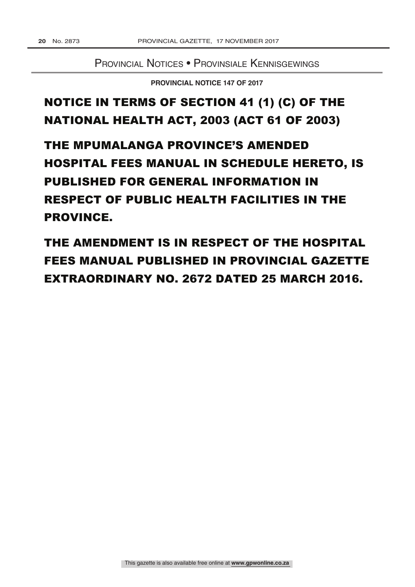Provincial Notices • Provinsiale Kennisgewings

**PROVINCIAL NOTICE 147 OF 2017** 

## NOTICE IN TERMS OF SECTION 41 (1) (C) OF THE NATIONAL HEALTH ACT, 2003 (ACT 61 OF 2003)

THE MPUMALANGA PROVINCE'S AMENDED **HOSPITAL FEES MANUAL IN SCHEDULE HERETO. IS PUBLISHED FOR GENERAL INFORMATION IN RESPECT OF PUBLIC HEALTH FACILITIES IN THE PROVINCE.** 

THE AMENDMENT IS IN RESPECT OF THE HOSPITAL **FEES MANUAL PUBLISHED IN PROVINCIAL GAZETTE** EXTRAORDINARY NO. 2672 DATED 25 MARCH 2016.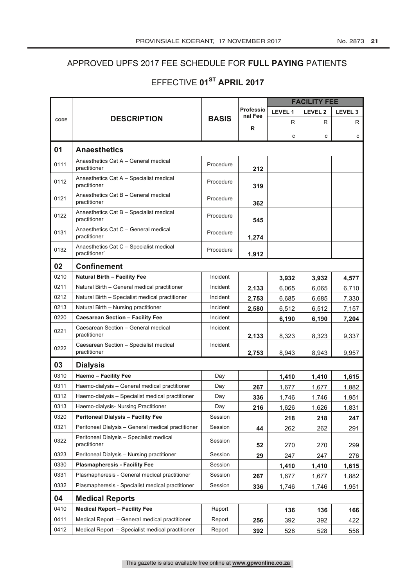## APPROVED UPFS 2017 FEE SCHEDULE FOR FULL PAYING PATIENTS

## EFFECTIVE 01<sup>ST</sup> APRIL 2017

|      |                                                          |              |                      | <b>FACILITY FEE</b> |                    |                    |
|------|----------------------------------------------------------|--------------|----------------------|---------------------|--------------------|--------------------|
|      | <b>DESCRIPTION</b>                                       | <b>BASIS</b> | Professio<br>nal Fee | LEVEL 1             | LEVEL <sub>2</sub> | LEVEL <sub>3</sub> |
| CODE |                                                          |              | R                    | R                   | R                  | R                  |
|      |                                                          |              |                      | с                   | с                  | с                  |
| 01   | <b>Anaesthetics</b>                                      |              |                      |                     |                    |                    |
| 0111 | Anaesthetics Cat A - General medical<br>practitioner     | Procedure    | 212                  |                     |                    |                    |
| 0112 | Anaesthetics Cat A - Specialist medical<br>practitioner  | Procedure    | 319                  |                     |                    |                    |
| 0121 | Anaesthetics Cat B - General medical<br>practitioner     | Procedure    | 362                  |                     |                    |                    |
| 0122 | Anaesthetics Cat B - Specialist medical<br>practitioner  | Procedure    | 545                  |                     |                    |                    |
| 0131 | Anaesthetics Cat C - General medical<br>practitioner     | Procedure    | 1,274                |                     |                    |                    |
| 0132 | Anaesthetics Cat C - Specialist medical<br>practitioner  | Procedure    | 1,912                |                     |                    |                    |
| 02   | <b>Confinement</b>                                       |              |                      |                     |                    |                    |
| 0210 | <b>Natural Birth - Facility Fee</b>                      | Incident     |                      | 3,932               | 3,932              | 4,577              |
| 0211 | Natural Birth - General medical practitioner             | Incident     | 2,133                | 6,065               | 6,065              | 6,710              |
| 0212 | Natural Birth - Specialist medical practitioner          | Incident     | 2,753                | 6.685               | 6,685              | 7,330              |
| 0213 | Natural Birth - Nursing practitioner                     | Incident     | 2,580                | 6,512               | 6,512              | 7,157              |
| 0220 | <b>Caesarean Section - Facility Fee</b>                  | Incident     |                      | 6,190               | 6,190              | 7,204              |
| 0221 | Caesarean Section - General medical<br>practitioner      | Incident     | 2,133                | 8,323               | 8,323              | 9,337              |
| 0222 | Caesarean Section - Specialist medical<br>practitioner   | Incident     | 2,753                | 8,943               | 8,943              | 9,957              |
| 03   | <b>Dialysis</b>                                          |              |                      |                     |                    |                    |
| 0310 | <b>Haemo - Facility Fee</b>                              | Day          |                      | 1,410               | 1,410              | 1,615              |
| 0311 | Haemo-dialysis - General medical practitioner            | Day          | 267                  | 1,677               | 1,677              | 1,882              |
| 0312 | Haemo-dialysis - Specialist medical practitioner         | Day          | 336                  | 1,746               | 1,746              | 1,951              |
| 0313 | Haemo-dialysis- Nursing Practitioner                     | Day          | 216                  | 1,626               | 1,626              | 1,831              |
| 0320 | <b>Peritoneal Dialysis - Facility Fee</b>                | Session      |                      | 218                 | 218                | 247                |
| 0321 | Peritoneal Dialysis - General medical practitioner       | Session      | 44                   | 262                 | 262                | 291                |
| 0322 | Peritoneal Dialysis - Specialist medical<br>practitioner | Session      | 52                   | 270                 | 270                | 299                |
| 0323 | Peritoneal Dialysis - Nursing practitioner               | Session      | 29                   | 247                 | 247                | 276                |
| 0330 | <b>Plasmapheresis - Facility Fee</b>                     | Session      |                      | 1,410               | 1,410              | 1,615              |
| 0331 | Plasmapheresis - General medical practitioner            | Session      | 267                  | 1,677               | 1,677              | 1,882              |
| 0332 | Plasmapheresis - Specialist medical practitioner         | Session      | 336                  | 1,746               | 1,746              | 1,951              |
| 04   | <b>Medical Reports</b>                                   |              |                      |                     |                    |                    |
| 0410 | <b>Medical Report - Facility Fee</b>                     | Report       |                      | 136                 | 136                | 166                |
| 0411 | Medical Report - General medical practitioner            | Report       | 256                  | 392                 | 392                | 422                |
| 0412 | Medical Report - Specialist medical practitioner         | Report       | 392                  | 528                 | 528                | 558                |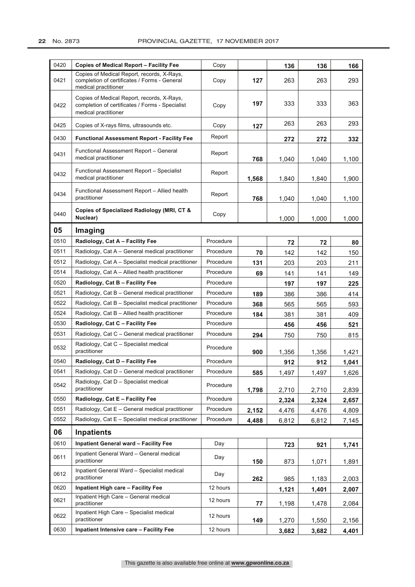| 0420 | <b>Copies of Medical Report - Facility Fee</b>                                                                        | Copy      |       | 136   | 136   | 166   |
|------|-----------------------------------------------------------------------------------------------------------------------|-----------|-------|-------|-------|-------|
| 0421 | Copies of Medical Report, records, X-Rays,<br>completion of certificates / Forms - General<br>medical practitioner    | Copy      | 127   | 263   | 263   | 293   |
| 0422 | Copies of Medical Report, records, X-Rays,<br>completion of certificates / Forms - Specialist<br>medical practitioner | Copy      | 197   | 333   | 333   | 363   |
| 0425 | Copies of X-rays films, ultrasounds etc.                                                                              | Copy      | 127   | 263   | 263   | 293   |
| 0430 | <b>Functional Assessment Report - Facility Fee</b>                                                                    | Report    |       | 272   | 272   | 332   |
| 0431 | Functional Assessment Report - General<br>medical practitioner                                                        | Report    | 768   | 1,040 | 1,040 | 1,100 |
| 0432 | Functional Assessment Report - Specialist<br>medical practitioner                                                     | Report    | 1,568 | 1,840 | 1,840 | 1,900 |
| 0434 | Functional Assessment Report - Allied health<br>practitioner                                                          | Report    | 768   | 1,040 | 1,040 | 1,100 |
| 0440 | Copies of Specialized Radiology (MRI, CT &<br>Nuclear)                                                                | Copy      |       | 1,000 | 1,000 | 1,000 |
| 05   | Imaging                                                                                                               |           |       |       |       |       |
| 0510 | Radiology, Cat A - Facility Fee                                                                                       | Procedure |       | 72    | 72    | 80    |
| 0511 | Radiology, Cat A – General medical practitioner                                                                       | Procedure | 70    | 142   | 142   | 150   |
| 0512 | Radiology, Cat A – Specialist medical practitioner                                                                    | Procedure | 131   | 203   | 203   | 211   |
| 0514 | Radiology, Cat $A -$ Allied health practitioner                                                                       | Procedure | 69    | 141   | 141   | 149   |
| 0520 | Radiology, Cat B - Facility Fee                                                                                       | Procedure |       | 197   | 197   | 225   |
| 0521 | Radiology, Cat B - General medical practitioner                                                                       | Procedure | 189   | 386   | 386   | 414   |
| 0522 | Radiology, Cat B - Specialist medical practitioner                                                                    | Procedure | 368   | 565   | 565   | 593   |
| 0524 | Radiology, Cat $B -$ Allied health practitioner                                                                       | Procedure | 184   | 381   | 381   | 409   |
| 0530 | Radiology, Cat C - Facility Fee                                                                                       | Procedure |       | 456   | 456   | 521   |
| 0531 | Radiology, Cat C - General medical practitioner                                                                       | Procedure | 294   | 750   | 750   | 815   |
| 0532 | Radiology, Cat C - Specialist medical<br>practitioner                                                                 | Procedure | 900   | 1,356 | 1,356 | 1,421 |
| 0540 | Radiology, Cat D - Facility Fee                                                                                       | Procedure |       | 912   | 912   | 1,041 |
| 0541 | Radiology, Cat D - General medical practitioner                                                                       | Procedure | 585   | 1,497 | 1,497 | 1,626 |
| 0542 | Radiology, Cat D - Specialist medical<br>practitioner                                                                 | Procedure | 1,798 | 2,710 | 2,710 | 2,839 |
| 0550 | Radiology, Cat E - Facility Fee                                                                                       | Procedure |       | 2,324 | 2,324 | 2,657 |
| 0551 | Radiology, Cat E - General medical practitioner                                                                       | Procedure | 2,152 | 4,476 | 4,476 | 4,809 |
| 0552 | Radiology, Cat E - Specialist medical practitioner                                                                    | Procedure | 4,488 | 6,812 | 6,812 | 7,145 |
| 06   | <b>Inpatients</b>                                                                                                     |           |       |       |       |       |
| 0610 | <b>Inpatient General ward - Facility Fee</b>                                                                          | Day       |       | 723   | 921   | 1,741 |
| 0611 | Inpatient General Ward - General medical<br>practitioner                                                              | Day       | 150   | 873   | 1,071 | 1,891 |
| 0612 | Inpatient General Ward - Specialist medical<br>practitioner                                                           | Day       | 262   | 985   | 1,183 | 2,003 |
| 0620 | Inpatient High care - Facility Fee                                                                                    | 12 hours  |       | 1,121 | 1,401 | 2,007 |
| 0621 | Inpatient High Care - General medical<br>practitioner                                                                 | 12 hours  | 77    | 1,198 | 1,478 | 2,084 |
| 0622 | Inpatient High Care - Specialist medical<br>practitioner                                                              | 12 hours  | 149   | 1,270 | 1,550 | 2,156 |
| 0630 | Inpatient Intensive care - Facility Fee                                                                               | 12 hours  |       | 3,682 | 3,682 | 4,401 |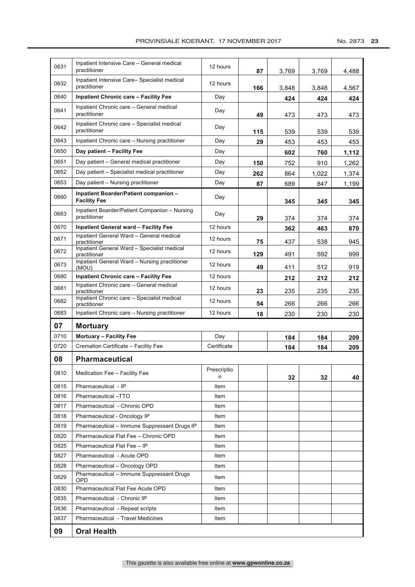| 0631 | Inpatient Intensive Care - General medical<br>practitioner    | 12 hours    | 87  | 3,769 | 3,769 | 4,488 |
|------|---------------------------------------------------------------|-------------|-----|-------|-------|-------|
| 0632 | Inpatient Intensive Care-Specialist medical<br>practitioner   | 12 hours    | 166 | 3,848 | 3,848 | 4,567 |
| 0640 | <b>Inpatient Chronic care - Facility Fee</b>                  | Day         |     | 424   | 424   | 424   |
| 0641 | Inpatient Chronic care - General medical<br>practitioner      | Day         | 49  | 473   | 473   | 473   |
| 0642 | Inpatient Chronic care - Specialist medical<br>practitioner   | Day         | 115 | 539   | 539   | 539   |
| 0643 | Inpatient Chronic care – Nursing practitioner                 | Day         | 29  | 453   | 453   | 453   |
| 0650 | Day patient - Facility Fee                                    | Day         |     | 602   | 760   | 1,112 |
| 0651 | Day patient - General medical practitioner                    | Day         | 150 | 752   | 910   | 1,262 |
| 0652 | Day patient - Specialist medical practitioner                 | Day         | 262 | 864   | 1,022 | 1,374 |
| 0653 | Day patient – Nursing practitioner                            | Day         | 87  | 689   | 847   | 1,199 |
| 0660 | Inpatient Boarder/Patient companion -<br><b>Facility Fee</b>  | Day         |     | 345   | 345   | 345   |
| 0663 | Inpatient Boarder/Patient Companion - Nursing<br>practitioner | Day         | 29  | 374   | 374   | 374   |
| 0670 | <b>Inpatient General ward - Facility Fee</b>                  | 12 hours    |     | 362   | 463   | 870   |
| 0671 | Inpatient General Ward - General medical<br>practitioner      | 12 hours    | 75  | 437   | 538   | 945   |
| 0672 | Inpatient General Ward - Specialist medical<br>practitioner   | 12 hours    | 129 | 491   | 592   | 999   |
| 0673 | Inpatient General Ward - Nursing practitioner<br>(MOU)        | 12 hours    | 49  | 411   | 512   | 919   |
| 0680 | <b>Inpatient Chronic care - Facility Fee</b>                  | 12 hours    |     | 212   | 212   | 212   |
| 0681 | Inpatient Chronic care - General medical<br>practitioner      | 12 hours    | 23  | 235   | 235   | 235   |
| 0682 | Inpatient Chronic care - Specialist medical<br>practitioner   | 12 hours    | 54  | 266   | 266   | 266   |
| 0683 | Inpatient Chronic care - Nursing practitioner                 | 12 hours    | 18  | 230   | 230   | 230   |
| 07   | <b>Mortuary</b>                                               |             |     |       |       |       |
| 0710 | Mortuary - Facility Fee                                       | Day         |     | 184   | 184   | 209   |
| 0720 | Cremation Certificate - Facility Fee                          | Certificate |     | 184   | 184   | 209   |
| 08   | <b>Pharmaceutical</b>                                         |             |     |       |       |       |
|      |                                                               | Prescriptio |     |       |       |       |
| 0810 | Medication Fee - Facility Fee                                 | n           |     | 32    | 32    | 40    |
| 0815 | Pharmaceutical - IP                                           | Item        |     |       |       |       |
| 0816 | Pharmaceutical -TTO                                           | Item        |     |       |       |       |
| 0817 | Pharmaceutical - Chronic OPD                                  | Item        |     |       |       |       |
| 0818 | Pharmaceutical - Oncology IP                                  | Item        |     |       |       |       |
| 0819 | Pharmaceutical - Immune Suppressant Drugs IP                  | Item        |     |       |       |       |
| 0820 | Pharmaceutical Flat Fee - Chronic OPD                         | Item        |     |       |       |       |
| 0825 | Pharmaceutical Flat Fee - IP                                  | Item        |     |       |       |       |
| 0827 | Pharmaceutical - Acute OPD                                    | Item        |     |       |       |       |
| 0828 | Pharmaceutical - Oncology OPD                                 | Item        |     |       |       |       |
| 0829 | Pharmaceutical - Immune Suppressant Drugs<br>OPD              | Item        |     |       |       |       |
| 0830 | Pharmaceutical Flat Fee Acute OPD                             | Item        |     |       |       |       |
| 0835 | Pharmaceutical - Chronic IP                                   | Item        |     |       |       |       |
| 0836 | Pharmaceutical - Repeat scripts                               | Item        |     |       |       |       |
|      |                                                               |             |     |       |       |       |
| 0837 | Pharmaceutical - Travel Medicines                             | Item        |     |       |       |       |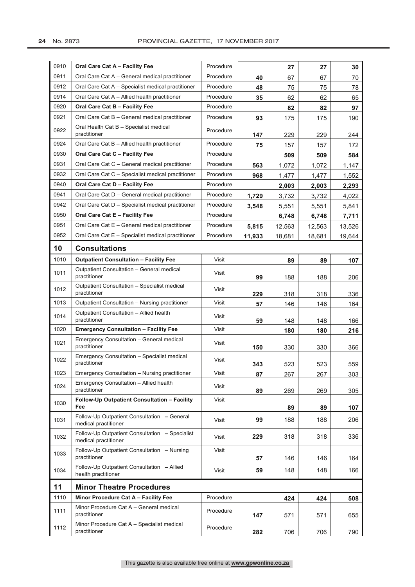| 0910 | Oral Care Cat A - Facility Fee                                         | Procedure |        | 27     | 27     | 30     |
|------|------------------------------------------------------------------------|-----------|--------|--------|--------|--------|
| 0911 | Oral Care Cat A - General medical practitioner                         | Procedure | 40     | 67     | 67     | 70     |
| 0912 | Oral Care Cat A - Specialist medical practitioner                      | Procedure | 48     | 75     | 75     | 78     |
| 0914 | Oral Care Cat A - Allied health practitioner                           | Procedure | 35     | 62     | 62     | 65     |
| 0920 | Oral Care Cat B - Facility Fee                                         | Procedure |        | 82     | 82     | 97     |
| 0921 | Oral Care Cat B - General medical practitioner                         | Procedure | 93     | 175    | 175    | 190    |
| 0922 | Oral Health Cat B - Specialist medical<br>practitioner                 | Procedure | 147    | 229    | 229    | 244    |
| 0924 | Oral Care Cat B - Allied health practitioner                           | Procedure | 75     | 157    | 157    | 172    |
| 0930 | Oral Care Cat C - Facility Fee                                         | Procedure |        | 509    | 509    | 584    |
| 0931 | Oral Care Cat C - General medical practitioner                         | Procedure | 563    | 1,072  | 1,072  | 1,147  |
| 0932 | Oral Care Cat C - Specialist medical practitioner                      | Procedure | 968    | 1,477  | 1,477  | 1,552  |
| 0940 | Oral Care Cat D - Facility Fee                                         | Procedure |        | 2,003  | 2,003  | 2,293  |
| 0941 | Oral Care Cat D - General medical practitioner                         | Procedure | 1,729  | 3,732  | 3,732  | 4,022  |
| 0942 | Oral Care Cat D - Specialist medical practitioner                      | Procedure | 3,548  | 5,551  | 5,551  | 5,841  |
| 0950 | Oral Care Cat E - Facility Fee                                         | Procedure |        | 6,748  | 6,748  | 7,711  |
| 0951 | Oral Care Cat E - General medical practitioner                         | Procedure | 5,815  | 12,563 | 12,563 | 13,526 |
| 0952 | Oral Care Cat E - Specialist medical practitioner                      | Procedure | 11,933 | 18,681 | 18,681 | 19,644 |
| 10   | <b>Consultations</b>                                                   |           |        |        |        |        |
| 1010 | <b>Outpatient Consultation - Facility Fee</b>                          | Visit     |        | 89     | 89     | 107    |
| 1011 | Outpatient Consultation - General medical<br>practitioner              | Visit     | 99     | 188    | 188    | 206    |
| 1012 | Outpatient Consultation - Specialist medical<br>practitioner           | Visit     | 229    | 318    | 318    | 336    |
| 1013 | Outpatient Consultation - Nursing practitioner                         | Visit     | 57     | 146    | 146    | 164    |
| 1014 | Outpatient Consultation - Allied health<br>practitioner                | Visit     | 59     | 148    | 148    | 166    |
| 1020 | <b>Emergency Consultation - Facility Fee</b>                           | Visit     |        | 180    | 180    | 216    |
| 1021 | Emergency Consultation - General medical<br>practitioner               | Visit     | 150    | 330    | 330    | 366    |
| 1022 | Emergency Consultation - Specialist medical<br>practitioner            | Visit     | 343    | 523    | 523    | 559    |
| 1023 | Emergency Consultation - Nursing practitioner                          | Visit     | 87     | 267    | 267    | 303    |
| 1024 | Emergency Consultation - Allied health<br>practitioner                 | Visit     | 89     | 269    | 269    | 305    |
| 1030 | Follow-Up Outpatient Consultation - Facility<br>Fee                    | Visit     |        | 89     | 89     | 107    |
| 1031 | Follow-Up Outpatient Consultation - General<br>medical practitioner    | Visit     | 99     | 188    | 188    | 206    |
| 1032 | Follow-Up Outpatient Consultation - Specialist<br>medical practitioner | Visit     | 229    | 318    | 318    | 336    |
| 1033 | Follow-Up Outpatient Consultation - Nursing<br>practitioner            | Visit     | 57     | 146    | 146    | 164    |
| 1034 | Follow-Up Outpatient Consultation - Allied<br>health practitioner      | Visit     | 59     | 148    | 148    | 166    |
| 11   | <b>Minor Theatre Procedures</b>                                        |           |        |        |        |        |
| 1110 | Minor Procedure Cat A - Facility Fee                                   | Procedure |        | 424    | 424    | 508    |
| 1111 | Minor Procedure Cat A - General medical<br>practitioner                | Procedure | 147    | 571    | 571    | 655    |
| 1112 | Minor Procedure Cat A - Specialist medical<br>practitioner             | Procedure | 282    | 706    | 706    | 790    |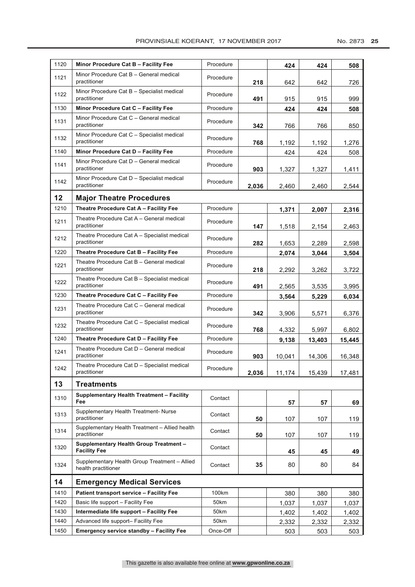| 1120 | Minor Procedure Cat B - Facility Fee                                 | Procedure |       | 424    | 424    | 508    |
|------|----------------------------------------------------------------------|-----------|-------|--------|--------|--------|
| 1121 | Minor Procedure Cat B - General medical<br>practitioner              | Procedure | 218   | 642    | 642    | 726    |
| 1122 | Minor Procedure Cat B - Specialist medical<br>practitioner           | Procedure | 491   | 915    | 915    | 999    |
| 1130 | Minor Procedure Cat C - Facility Fee                                 | Procedure |       | 424    | 424    | 508    |
| 1131 | Minor Procedure Cat C - General medical<br>practitioner              | Procedure | 342   | 766    | 766    | 850    |
| 1132 | Minor Procedure Cat C - Specialist medical<br>practitioner           | Procedure | 768   | 1,192  | 1,192  | 1,276  |
| 1140 | Minor Procedure Cat D - Facility Fee                                 | Procedure |       | 424    | 424    | 508    |
| 1141 | Minor Procedure Cat D - General medical<br>practitioner              | Procedure | 903   | 1,327  | 1,327  | 1,411  |
| 1142 | Minor Procedure Cat D - Specialist medical<br>practitioner           | Procedure | 2,036 | 2,460  | 2,460  | 2,544  |
| 12   | <b>Major Theatre Procedures</b>                                      |           |       |        |        |        |
| 1210 | Theatre Procedure Cat A - Facility Fee                               | Procedure |       | 1,371  | 2,007  | 2,316  |
| 1211 | Theatre Procedure Cat A - General medical<br>practitioner            | Procedure | 147   | 1,518  | 2,154  | 2,463  |
| 1212 | Theatre Procedure Cat A - Specialist medical<br>practitioner         | Procedure | 282   | 1,653  | 2,289  | 2,598  |
| 1220 | Theatre Procedure Cat B - Facility Fee                               | Procedure |       | 2,074  | 3,044  | 3,504  |
| 1221 | Theatre Procedure Cat B - General medical<br>practitioner            | Procedure | 218   | 2,292  | 3,262  | 3,722  |
| 1222 | Theatre Procedure Cat B - Specialist medical<br>practitioner         | Procedure | 491   | 2,565  | 3,535  | 3,995  |
| 1230 | Theatre Procedure Cat C - Facility Fee                               | Procedure |       | 3,564  | 5,229  | 6,034  |
| 1231 | Theatre Procedure Cat C - General medical<br>practitioner            | Procedure | 342   | 3,906  | 5,571  | 6,376  |
| 1232 | Theatre Procedure Cat C - Specialist medical<br>practitioner         | Procedure | 768   | 4,332  | 5,997  | 6,802  |
| 1240 | Theatre Procedure Cat D - Facility Fee                               | Procedure |       | 9,138  | 13,403 | 15,445 |
| 1241 | Theatre Procedure Cat D - General medical<br>practitioner            | Procedure | 903   | 10,041 | 14,306 | 16,348 |
| 1242 | Theatre Procedure Cat D - Specialist medical<br>practitioner         | Procedure | 2,036 | 11,174 | 15,439 | 17,481 |
| 13   | <b>Treatments</b>                                                    |           |       |        |        |        |
| 1310 | Supplementary Health Treatment - Facility<br>Fee                     | Contact   |       | 57     | 57     | 69     |
| 1313 | Supplementary Health Treatment- Nurse<br>practitioner                | Contact   | 50    | 107    | 107    | 119    |
| 1314 | Supplementary Health Treatment - Allied health<br>practitioner       | Contact   | 50    | 107    | 107    | 119    |
| 1320 | <b>Supplementary Health Group Treatment -</b><br><b>Facility Fee</b> | Contact   |       | 45     | 45     | 49     |
| 1324 | Supplementary Health Group Treatment - Allied<br>health practitioner | Contact   | 35    | 80     | 80     | 84     |
| 14   | <b>Emergency Medical Services</b>                                    |           |       |        |        |        |
| 1410 | Patient transport service - Facility Fee                             | 100km     |       | 380    | 380    | 380    |
| 1420 | Basic life support - Facility Fee                                    | 50km      |       | 1,037  | 1,037  | 1,037  |
| 1430 | Intermediate life support - Facility Fee                             | 50km      |       | 1,402  | 1,402  | 1,402  |
| 1440 | Advanced life support- Facility Fee                                  | 50km      |       | 2,332  | 2,332  | 2,332  |
| 1450 | <b>Emergency service standby - Facility Fee</b>                      | Once-Off  |       | 503    | 503    | 503    |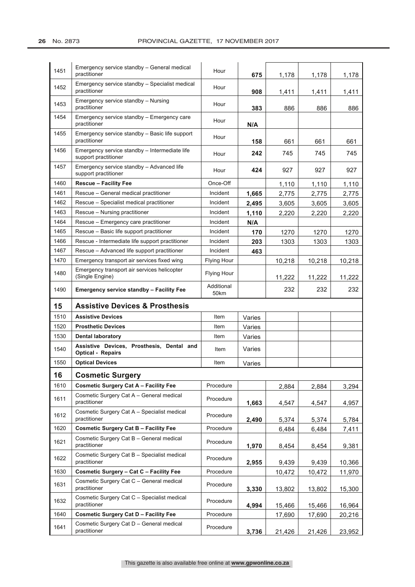| 1451 | Emergency service standby - General medical<br>practitioner           | Hour               | 675    | 1,178  | 1,178  | 1,178  |
|------|-----------------------------------------------------------------------|--------------------|--------|--------|--------|--------|
| 1452 | Emergency service standby - Specialist medical<br>practitioner        | Hour               | 908    | 1,411  | 1,411  | 1,411  |
| 1453 | Emergency service standby - Nursing<br>practitioner                   | Hour               | 383    | 886    | 886    | 886    |
| 1454 | Emergency service standby – Emergency care<br>practitioner            | Hour               | N/A    |        |        |        |
| 1455 | Emergency service standby – Basic life support<br>practitioner        | Hour               | 158    | 661    | 661    | 661    |
| 1456 | Emergency service standby – Intermediate life<br>support practitioner | Hour               | 242    | 745    | 745    | 745    |
| 1457 | Emergency service standby - Advanced life<br>support practitioner     | Hour               | 424    | 927    | 927    | 927    |
| 1460 | <b>Rescue - Facility Fee</b>                                          | Once-Off           |        | 1,110  | 1,110  | 1,110  |
| 1461 | Rescue - General medical practitioner                                 | Incident           | 1,665  | 2,775  | 2,775  | 2,775  |
| 1462 | Rescue – Specialist medical practitioner                              | Incident           | 2,495  | 3,605  | 3,605  | 3,605  |
| 1463 | Rescue - Nursing practitioner                                         | Incident           | 1,110  | 2,220  | 2,220  | 2,220  |
| 1464 | Rescue - Emergency care practitioner                                  | Incident           | N/A    |        |        |        |
| 1465 | Rescue - Basic life support practitioner                              | Incident           | 170    | 1270   | 1270   | 1270   |
| 1466 | Rescue - Intermediate life support practitioner                       | Incident           | 203    | 1303   | 1303   | 1303   |
| 1467 | Rescue - Advanced life support practitioner                           | Incident           | 463    |        |        |        |
| 1470 | Emergency transport air services fixed wing                           | Flying Hour        |        | 10,218 | 10,218 | 10,218 |
| 1480 | Emergency transport air services helicopter<br>(Single Engine)        | <b>Flying Hour</b> |        | 11,222 | 11,222 | 11,222 |
| 1490 | <b>Emergency service standby - Facility Fee</b>                       | Additional<br>50km |        | 232    | 232    | 232    |
|      |                                                                       |                    |        |        |        |        |
| 15   | <b>Assistive Devices &amp; Prosthesis</b>                             |                    |        |        |        |        |
| 1510 | <b>Assistive Devices</b>                                              | Item               | Varies |        |        |        |
| 1520 | <b>Prosthetic Devices</b>                                             | Item               | Varies |        |        |        |
| 1530 | <b>Dental laboratory</b>                                              | Item               | Varies |        |        |        |
| 1540 | Assistive Devices, Prosthesis, Dental and<br><b>Optical - Repairs</b> | Item               | Varies |        |        |        |
| 1550 | <b>Optical Devices</b>                                                | Item               | Varies |        |        |        |
| 16   | <b>Cosmetic Surgery</b>                                               |                    |        |        |        |        |
| 1610 | <b>Cosmetic Surgery Cat A - Facility Fee</b>                          | Procedure          |        | 2,884  | 2,884  | 3,294  |
| 1611 | Cosmetic Surgery Cat A - General medical<br>practitioner              | Procedure          | 1,663  | 4,547  | 4,547  | 4,957  |
| 1612 | Cosmetic Surgery Cat A - Specialist medical<br>practitioner           | Procedure          | 2,490  | 5,374  | 5,374  | 5,784  |
| 1620 | <b>Cosmetic Surgery Cat B - Facility Fee</b>                          | Procedure          |        | 6,484  | 6,484  | 7,411  |
| 1621 | Cosmetic Surgery Cat B - General medical<br>practitioner              | Procedure          | 1,970  | 8,454  | 8,454  | 9,381  |
| 1622 | Cosmetic Surgery Cat B - Specialist medical<br>practitioner           | Procedure          | 2,955  | 9,439  | 9,439  | 10,366 |
| 1630 | Cosmetic Surgery - Cat C - Facility Fee                               | Procedure          |        | 10,472 | 10,472 | 11,970 |
| 1631 | Cosmetic Surgery Cat C - General medical<br>practitioner              | Procedure          | 3,330  | 13,802 | 13,802 | 15,300 |
| 1632 | Cosmetic Surgery Cat C - Specialist medical<br>practitioner           | Procedure          | 4,994  | 15,466 | 15,466 | 16,964 |
| 1640 | <b>Cosmetic Surgery Cat D - Facility Fee</b>                          | Procedure          |        | 17,690 | 17,690 | 20,216 |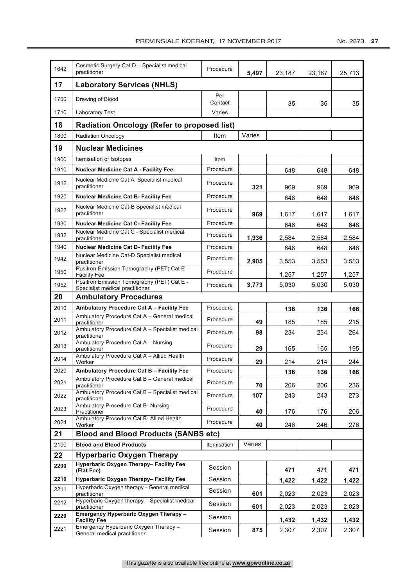| 1642 | Cosmetic Surgery Cat D - Specialist medical<br>practitioner                   | Procedure         | 5,497  | 23,187 | 23,187 | 25,713 |
|------|-------------------------------------------------------------------------------|-------------------|--------|--------|--------|--------|
| 17   | <b>Laboratory Services (NHLS)</b>                                             |                   |        |        |        |        |
| 1700 | Drawing of Blood                                                              | Per               |        |        |        |        |
| 1710 | Laboratory Test                                                               | Contact<br>Varies |        | 35     | 35     | 35     |
| 18   | <b>Radiation Oncology (Refer to proposed list)</b>                            |                   |        |        |        |        |
| 1800 | <b>Radiation Oncology</b>                                                     | Item              | Varies |        |        |        |
| 19   | <b>Nuclear Medicines</b>                                                      |                   |        |        |        |        |
| 1900 | Itemisation of Isotopes                                                       | Item              |        |        |        |        |
| 1910 | <b>Nuclear Medicine Cat A - Facility Fee</b>                                  | Procedure         |        | 648    | 648    | 648    |
| 1912 | Nuclear Medicine Cat A: Specialist medical<br>practitioner                    | Procedure         | 321    | 969    | 969    | 969    |
| 1920 | <b>Nuclear Medicine Cat B- Facility Fee</b>                                   | Procedure         |        | 648    | 648    | 648    |
| 1922 | Nuclear Medicine Cat-B Specialist medical<br>practitioner                     | Procedure         | 969    | 1,617  | 1,617  | 1,617  |
| 1930 | <b>Nuclear Medicine Cat C- Facility Fee</b>                                   | Procedure         |        | 648    | 648    | 648    |
| 1932 | Nuclear Medicine Cat C - Specialist medical<br>practitioner                   | Procedure         | 1,936  | 2,584  | 2,584  | 2,584  |
| 1940 | <b>Nuclear Medicine Cat D- Facility Fee</b>                                   | Procedure         |        | 648    | 648    | 648    |
| 1942 | Nuclear Medicine Cat-D Specialist medical<br>practitioner                     | Procedure         | 2,905  | 3,553  | 3,553  | 3,553  |
| 1950 | Positron Emission Tomography (PET) Cat E -<br><b>Facility Fee</b>             | Procedure         |        | 1,257  | 1,257  | 1,257  |
| 1952 | Positron Emission Tomography (PET) Cat E -<br>Specialist medical practitioner | Procedure         | 3,773  | 5,030  | 5,030  | 5,030  |
| 20   | <b>Ambulatory Procedures</b>                                                  |                   |        |        |        |        |
| 2010 | Ambulatory Procedure Cat A - Facility Fee                                     | Procedure         |        | 136    | 136    | 166    |
| 2011 | Ambulatory Procedure Cat A - General medical<br>practitioner                  | Procedure         | 49     | 185    | 185    | 215    |
| 2012 | Ambulatory Procedure Cat A - Specialist medical<br>practitioner               | Procedure         | 98     | 234    | 234    | 264    |
| 2013 | Ambulatory Procedure Cat A - Nursing<br>practitioner                          | Procedure         | 29     | 165    | 165    | 195    |
| 2014 | Ambulatory Procedure Cat A - Allied Health<br>Worker                          | Procedure         | 29     | 214    | 214    | 244    |
| 2020 | Ambulatory Procedure Cat B - Facility Fee                                     | Procedure         |        | 136    | 136    | 166    |
| 2021 | Ambulatory Procedure Cat B - General medical<br>practitioner                  | Procedure         | 70     | 206    | 206    | 236    |
| 2022 | Ambulatory Procedure Cat B - Specialist medical<br>practitioner               | Procedure         | 107    | 243    | 243    | 273    |
| 2023 | Ambulatory Procedure Cat B- Nursing<br>Practitioner                           | Procedure         | 40     | 176    | 176    | 206    |
| 2024 | Ambulatory Procedure Cat B- Allied Health<br>Worker                           | Procedure         | 40     | 246    | 246    | 276    |
| 21   | <b>Blood and Blood Products (SANBS etc)</b>                                   |                   |        |        |        |        |
| 2100 | <b>Blood and Blood Products</b>                                               | Itemisation       | Varies |        |        |        |
| 22   | <b>Hyperbaric Oxygen Therapy</b>                                              |                   |        |        |        |        |
| 2200 | Hyperbaric Oxygen Therapy- Facility Fee<br>(Flat Fee)                         | Session           |        | 471    | 471    | 471    |
| 2210 | Hyperbaric Oxygen Therapy- Facility Fee                                       | Session           |        | 1,422  | 1,422  | 1,422  |
| 2211 | Hyperbaric Oxygen therapy - General medical<br>practitioner                   | Session           | 601    | 2,023  | 2,023  | 2,023  |
| 2212 | Hyperbaric Oxygen therapy - Specialist medical<br>practitioner                | Session           | 601    | 2,023  | 2,023  | 2,023  |
| 2220 | Emergency Hyperbaric Oxygen Therapy -<br><b>Facility Fee</b>                  | Session           |        | 1,432  | 1,432  | 1,432  |
| 2221 | Emergency Hyperbaric Oxygen Therapy -<br>General medical practitioner         | Session           | 875    | 2,307  | 2,307  | 2,307  |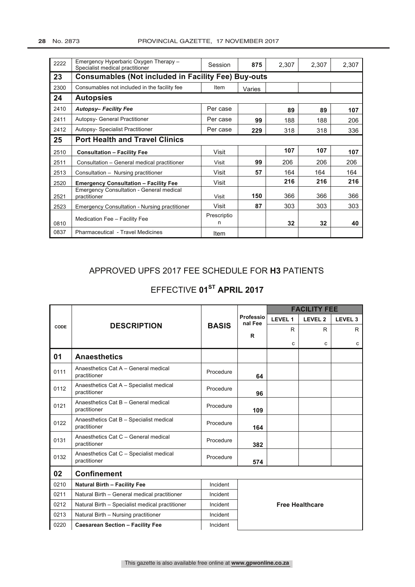| 2222 | Emergency Hyperbaric Oxygen Therapy -<br>Specialist medical practitioner | Session          | 875    | 2,307 | 2,307 | 2,307 |  |  |
|------|--------------------------------------------------------------------------|------------------|--------|-------|-------|-------|--|--|
| 23   | <b>Consumables (Not included in Facility Fee) Buy-outs</b>               |                  |        |       |       |       |  |  |
| 2300 | Consumables not included in the facility fee                             | Item             | Varies |       |       |       |  |  |
| 24   | <b>Autopsies</b>                                                         |                  |        |       |       |       |  |  |
| 2410 | <b>Autopsy-Facility Fee</b>                                              | Per case         |        | 89    | 89    | 107   |  |  |
| 2411 | <b>Autopsy- General Practitioner</b>                                     | Per case         | 99     | 188   | 188   | 206   |  |  |
| 2412 | <b>Autopsy- Specialist Practitioner</b>                                  | Per case         | 229    | 318   | 318   | 336   |  |  |
| 25   | <b>Port Health and Travel Clinics</b>                                    |                  |        |       |       |       |  |  |
| 2510 | <b>Consultation - Facility Fee</b>                                       | Visit            |        | 107   | 107   | 107   |  |  |
| 2511 | Consultation - General medical practitioner                              | Visit            | 99     | 206   | 206   | 206   |  |  |
| 2513 | Consultation - Nursing practitioner                                      | Visit            | 57     | 164   | 164   | 164   |  |  |
| 2520 | <b>Emergency Consultation - Facility Fee</b>                             | Visit            |        | 216   | 216   | 216   |  |  |
| 2521 | <b>Emergency Consultation - General medical</b><br>practitioner          | Visit            | 150    | 366   | 366   | 366   |  |  |
| 2523 | <b>Emergency Consultation - Nursing practitioner</b>                     | Visit            | 87     | 303   | 303   | 303   |  |  |
| 0810 | Medication Fee - Facility Fee                                            | Prescriptio<br>n |        | 32    | 32    | 40    |  |  |
| 0837 | Pharmaceutical - Travel Medicines                                        | Item             |        |       |       |       |  |  |

## APPROVED UPFS 2017 FEE SCHEDULE FOR H3 PATIENTS

## EFFECTIVE 01<sup>ST</sup> APRIL 2017

|      |                                                         |              | Professio<br>nal Fee   |         | <b>FACILITY FEE</b> |                    |  |  |
|------|---------------------------------------------------------|--------------|------------------------|---------|---------------------|--------------------|--|--|
|      |                                                         |              |                        | LEVEL 1 | LEVEL <sub>2</sub>  | LEVEL <sub>3</sub> |  |  |
| CODE | <b>DESCRIPTION</b>                                      | <b>BASIS</b> |                        | R       | R                   | R                  |  |  |
|      |                                                         |              | R                      | C       | C                   | C                  |  |  |
| 01   | <b>Anaesthetics</b>                                     |              |                        |         |                     |                    |  |  |
| 0111 | Anaesthetics Cat A - General medical<br>practitioner    | Procedure    | 64                     |         |                     |                    |  |  |
| 0112 | Anaesthetics Cat A - Specialist medical<br>practitioner | Procedure    | 96                     |         |                     |                    |  |  |
| 0121 | Anaesthetics Cat B - General medical<br>practitioner    | Procedure    | 109                    |         |                     |                    |  |  |
| 0122 | Anaesthetics Cat B - Specialist medical<br>practitioner | Procedure    | 164                    |         |                     |                    |  |  |
| 0131 | Anaesthetics Cat C - General medical<br>practitioner    | Procedure    | 382                    |         |                     |                    |  |  |
| 0132 | Anaesthetics Cat C - Specialist medical<br>practitioner | Procedure    | 574                    |         |                     |                    |  |  |
| 02   | <b>Confinement</b>                                      |              |                        |         |                     |                    |  |  |
| 0210 | <b>Natural Birth - Facility Fee</b>                     | Incident     |                        |         |                     |                    |  |  |
| 0211 | Natural Birth - General medical practitioner            | Incident     | <b>Free Healthcare</b> |         |                     |                    |  |  |
| 0212 | Natural Birth - Specialist medical practitioner         | Incident     |                        |         |                     |                    |  |  |
| 0213 | Natural Birth - Nursing practitioner                    | Incident     |                        |         |                     |                    |  |  |
| 0220 | <b>Caesarean Section - Facility Fee</b>                 | Incident     |                        |         |                     |                    |  |  |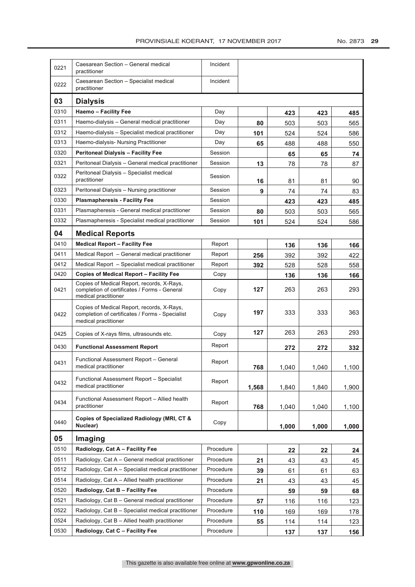| 0221 | Caesarean Section - General medical<br>practitioner                                                                   | Incident  |       |       |       |       |  |  |
|------|-----------------------------------------------------------------------------------------------------------------------|-----------|-------|-------|-------|-------|--|--|
| 0222 | Caesarean Section - Specialist medical<br>practitioner                                                                | Incident  |       |       |       |       |  |  |
| 03   | <b>Dialysis</b>                                                                                                       |           |       |       |       |       |  |  |
| 0310 | <b>Haemo - Facility Fee</b>                                                                                           | Day       |       | 423   | 423   | 485   |  |  |
| 0311 | Haemo-dialysis - General medical practitioner                                                                         | Day       | 80    | 503   | 503   | 565   |  |  |
| 0312 | Haemo-dialysis - Specialist medical practitioner                                                                      | Day       | 101   | 524   | 524   | 586   |  |  |
| 0313 | Haemo-dialysis- Nursing Practitioner                                                                                  | Day       | 65    | 488   | 488   | 550   |  |  |
| 0320 | <b>Peritoneal Dialysis - Facility Fee</b>                                                                             | Session   |       | 65    | 65    | 74    |  |  |
| 0321 | Peritoneal Dialysis - General medical practitioner                                                                    | Session   | 13    | 78    | 78    | 87    |  |  |
| 0322 | Peritoneal Dialysis - Specialist medical<br>practitioner                                                              | Session   | 16    | 81    | 81    | 90    |  |  |
| 0323 | Peritoneal Dialysis - Nursing practitioner                                                                            | Session   | 9     | 74    | 74    | 83    |  |  |
| 0330 | <b>Plasmapheresis - Facility Fee</b>                                                                                  | Session   |       | 423   | 423   | 485   |  |  |
| 0331 | Plasmapheresis - General medical practitioner                                                                         | Session   | 80    | 503   | 503   | 565   |  |  |
| 0332 | Plasmapheresis - Specialist medical practitioner                                                                      | Session   | 101   | 524   | 524   | 586   |  |  |
| 04   | <b>Medical Reports</b>                                                                                                |           |       |       |       |       |  |  |
| 0410 | <b>Medical Report - Facility Fee</b>                                                                                  | Report    |       | 136   | 136   | 166   |  |  |
| 0411 | Medical Report - General medical practitioner                                                                         | Report    | 256   | 392   | 392   | 422   |  |  |
| 0412 | Medical Report - Specialist medical practitioner                                                                      | Report    | 392   | 528   | 528   | 558   |  |  |
| 0420 | <b>Copies of Medical Report - Facility Fee</b>                                                                        | Copy      |       | 136   | 136   | 166   |  |  |
| 0421 | Copies of Medical Report, records, X-Rays,<br>completion of certificates / Forms - General<br>medical practitioner    | Copy      | 127   | 263   | 263   | 293   |  |  |
| 0422 | Copies of Medical Report, records, X-Rays,<br>completion of certificates / Forms - Specialist<br>medical practitioner | Copy      | 197   | 333   | 333   | 363   |  |  |
| 0425 | Copies of X-rays films, ultrasounds etc.                                                                              | Copy      | 127   | 263   | 263   | 293   |  |  |
| 0430 | <b>Functional Assessment Report</b>                                                                                   | Report    |       | 272   | 272   | 332   |  |  |
| 0431 | Functional Assessment Report - General<br>medical practitioner                                                        | Report    | 768   | 1,040 | 1,040 | 1,100 |  |  |
| 0432 | Functional Assessment Report - Specialist<br>medical practitioner                                                     | Report    | 1.568 | 1,840 | 1,840 | 1,900 |  |  |
| 0434 | Functional Assessment Report - Allied health<br>practitioner                                                          | Report    | 768   | 1,040 | 1,040 | 1,100 |  |  |
| 0440 | Copies of Specialized Radiology (MRI, CT &<br>Nuclear)                                                                | Copy      |       | 1,000 | 1,000 | 1,000 |  |  |
| 05   | Imaging                                                                                                               |           |       |       |       |       |  |  |
| 0510 | Radiology, Cat A - Facility Fee                                                                                       | Procedure |       | 22    | 22    | 24    |  |  |
| 0511 | Radiology, Cat A – General medical practitioner                                                                       | Procedure | 21    | 43    | 43    | 45    |  |  |
| 0512 | Radiology, Cat A - Specialist medical practitioner                                                                    | Procedure | 39    | 61    | 61    | 63    |  |  |
| 0514 | Radiology, Cat $A -$ Allied health practitioner                                                                       | Procedure | 21    | 43    | 43    | 45    |  |  |
| 0520 | Radiology, Cat B - Facility Fee                                                                                       | Procedure |       | 59    | 59    | 68    |  |  |
| 0521 | Radiology, Cat B - General medical practitioner                                                                       | Procedure | 57    | 116   | 116   | 123   |  |  |
| 0522 | Radiology, Cat B - Specialist medical practitioner                                                                    | Procedure | 110   | 169   | 169   | 178   |  |  |
| 0524 | Radiology, Cat $B -$ Allied health practitioner                                                                       | Procedure | 55    | 114   | 114   | 123   |  |  |
| 0530 | Radiology, Cat C - Facility Fee                                                                                       | Procedure |       | 137   | 137   | 156   |  |  |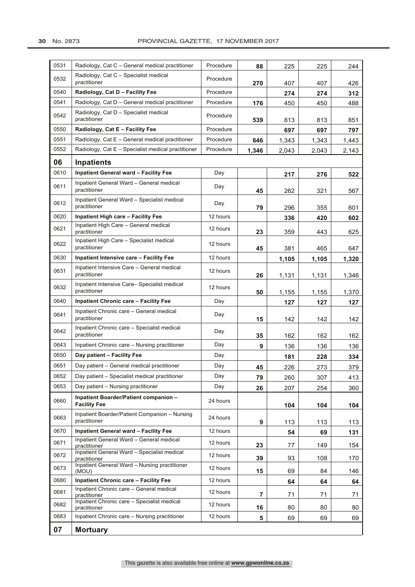| 0531 | Radiology, Cat C – General medical practitioner                                                         | Procedure | 88             | 225   | 225   | 244   |
|------|---------------------------------------------------------------------------------------------------------|-----------|----------------|-------|-------|-------|
| 0532 | Radiology, Cat C - Specialist medical<br>practitioner                                                   | Procedure | 270            | 407   | 407   | 426   |
| 0540 | Radiology, Cat D - Facility Fee                                                                         | Procedure |                | 274   | 274   | 312   |
| 0541 | Radiology, Cat D - General medical practitioner                                                         | Procedure | 176            | 450   | 450   | 488   |
| 0542 | Radiology, Cat D - Specialist medical<br>practitioner                                                   | Procedure | 539            | 813   | 813   | 851   |
| 0550 | Radiology, Cat E - Facility Fee                                                                         | Procedure |                | 697   | 697   | 797   |
| 0551 | Radiology, Cat E – General medical practitioner                                                         | Procedure | 646            | 1,343 | 1,343 | 1,443 |
| 0552 | Radiology, Cat E - Specialist medical practitioner                                                      | Procedure | 1,346          | 2,043 | 2,043 | 2,143 |
| 06   | <b>Inpatients</b>                                                                                       |           |                |       |       |       |
| 0610 | <b>Inpatient General ward - Facility Fee</b>                                                            | Day       |                | 217   | 276   | 522   |
| 0611 | Inpatient General Ward - General medical<br>practitioner                                                | Day       | 45             | 262   | 321   | 567   |
| 0612 | Inpatient General Ward - Specialist medical<br>practitioner                                             | Day       | 79             | 296   | 355   | 601   |
| 0620 | Inpatient High care - Facility Fee                                                                      | 12 hours  |                | 336   | 420   | 602   |
| 0621 | Inpatient High Care - General medical<br>practitioner                                                   | 12 hours  | 23             | 359   | 443   | 625   |
| 0622 | Inpatient High Care - Specialist medical<br>practitioner                                                | 12 hours  | 45             | 381   | 465   | 647   |
| 0630 | Inpatient Intensive care - Facility Fee                                                                 | 12 hours  |                | 1,105 | 1,105 | 1,320 |
| 0631 | Inpatient Intensive Care - General medical<br>practitioner                                              | 12 hours  | 26             | 1,131 | 1,131 | 1,346 |
| 0632 | Inpatient Intensive Care-Specialist medical<br>practitioner                                             | 12 hours  | 50             | 1,155 | 1,155 | 1,370 |
| 0640 | <b>Inpatient Chronic care - Facility Fee</b>                                                            | Day       |                | 127   | 127   | 127   |
| 0641 | Inpatient Chronic care - General medical<br>practitioner                                                | Day       | 15             | 142   | 142   | 142   |
| 0642 | Inpatient Chronic care - Specialist medical<br>practitioner                                             | Day       | 35             | 162   | 162   | 162   |
| 0643 | Inpatient Chronic care - Nursing practitioner                                                           | Day       | 9              | 136   | 136   | 136   |
| 0650 | Day patient - Facility Fee                                                                              | Day       |                | 181   | 228   | 334   |
| 0651 | Day patient - General medical practitioner                                                              | Day       | 45             | 226   | 273   | 379   |
| 0652 | Day patient - Specialist medical practitioner                                                           | Day       | 79             | 260   | 307   | 413   |
| 0653 | Day patient - Nursing practitioner                                                                      | Day       | 26             | 207   | 254   | 360   |
| 0660 | Inpatient Boarder/Patient companion -<br><b>Facility Fee</b>                                            | 24 hours  |                | 104   | 104   | 104   |
| 0663 | Inpatient Boarder/Patient Companion - Nursing<br>practitioner                                           | 24 hours  | 9              | 113   | 113   | 113   |
| 0670 | <b>Inpatient General ward - Facility Fee</b>                                                            | 12 hours  |                | 54    | 69    | 131   |
| 0671 | Inpatient General Ward - General medical<br>practitioner<br>Inpatient General Ward - Specialist medical | 12 hours  | 23             | 77    | 149   | 154   |
| 0672 | practitioner                                                                                            | 12 hours  | 39             | 93    | 108   | 170   |
| 0673 | Inpatient General Ward - Nursing practitioner<br>(MOU)                                                  | 12 hours  | 15             | 69    | 84    | 146   |
| 0680 | <b>Inpatient Chronic care - Facility Fee</b>                                                            | 12 hours  |                | 64    | 64    | 64    |
| 0681 | Inpatient Chronic care - General medical<br>practitioner                                                | 12 hours  | $\overline{7}$ | 71    | 71    | 71    |
| 0682 | Inpatient Chronic care - Specialist medical<br>practitioner                                             | 12 hours  | 16             | 80    | 80    | 80    |
| 0683 | Inpatient Chronic care - Nursing practitioner                                                           | 12 hours  | 5              | 69    | 69    | 69    |
| 07   | <b>Mortuary</b>                                                                                         |           |                |       |       |       |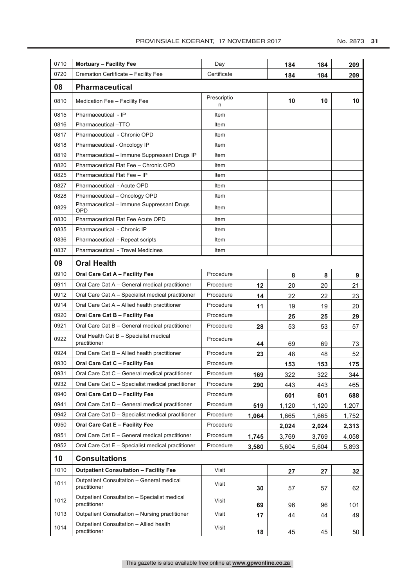| 0710 | <b>Mortuary - Facility Fee</b>                               | Day              |       | 184   | 184   | 209   |
|------|--------------------------------------------------------------|------------------|-------|-------|-------|-------|
| 0720 | Cremation Certificate - Facility Fee                         | Certificate      |       | 184   | 184   | 209   |
| 08   | <b>Pharmaceutical</b>                                        |                  |       |       |       |       |
| 0810 | Medication Fee - Facility Fee                                | Prescriptio<br>n |       | 10    | 10    | 10    |
| 0815 | Pharmaceutical - IP                                          | Item             |       |       |       |       |
| 0816 | Pharmaceutical-TTO                                           | Item             |       |       |       |       |
| 0817 | Pharmaceutical - Chronic OPD                                 | Item             |       |       |       |       |
| 0818 | Pharmaceutical - Oncology IP                                 | Item             |       |       |       |       |
| 0819 | Pharmaceutical - Immune Suppressant Drugs IP                 | Item             |       |       |       |       |
| 0820 | Pharmaceutical Flat Fee - Chronic OPD                        | Item             |       |       |       |       |
| 0825 | Pharmaceutical Flat Fee - IP                                 | Item             |       |       |       |       |
| 0827 | Pharmaceutical - Acute OPD                                   | Item             |       |       |       |       |
| 0828 | Pharmaceutical - Oncology OPD                                | Item             |       |       |       |       |
| 0829 | Pharmaceutical - Immune Suppressant Drugs<br><b>OPD</b>      | Item             |       |       |       |       |
| 0830 | <b>Pharmaceutical Flat Fee Acute OPD</b>                     | Item             |       |       |       |       |
| 0835 | Pharmaceutical - Chronic IP                                  | Item             |       |       |       |       |
| 0836 | Pharmaceutical - Repeat scripts                              | Item             |       |       |       |       |
| 0837 | <b>Pharmaceutical - Travel Medicines</b>                     | Item             |       |       |       |       |
| 09   | <b>Oral Health</b>                                           |                  |       |       |       |       |
| 0910 | Oral Care Cat A - Facility Fee                               | Procedure        |       | 8     | 8     | 9     |
| 0911 | Oral Care Cat A - General medical practitioner               | Procedure        | 12    | 20    | 20    | 21    |
| 0912 | Oral Care Cat A - Specialist medical practitioner            | Procedure        | 14    | 22    | 22    | 23    |
| 0914 | Oral Care Cat A - Allied health practitioner                 | Procedure        | 11    | 19    | 19    | 20    |
| 0920 | Oral Care Cat B - Facility Fee                               | Procedure        |       | 25    | 25    | 29    |
| 0921 | Oral Care Cat B - General medical practitioner               | Procedure        | 28    | 53    | 53    | 57    |
| 0922 | Oral Health Cat B - Specialist medical<br>practitioner       | Procedure        | 44    | 69    | 69    | 73    |
| 0924 | Oral Care Cat B - Allied health practitioner                 | Procedure        | 23    | 48    | 48    | 52    |
| 0930 | Oral Care Cat C - Facility Fee                               | Procedure        |       | 153   | 153   | 175   |
| 0931 | Oral Care Cat C - General medical practitioner               | Procedure        | 169   | 322   | 322   | 344   |
| 0932 | Oral Care Cat C - Specialist medical practitioner            | Procedure        | 290   | 443   | 443   | 465   |
| 0940 | Oral Care Cat D - Facility Fee                               | Procedure        |       | 601   | 601   | 688   |
| 0941 | Oral Care Cat D - General medical practitioner               | Procedure        | 519   | 1,120 | 1,120 | 1,207 |
| 0942 | Oral Care Cat D - Specialist medical practitioner            | Procedure        | 1,064 | 1,665 | 1,665 | 1,752 |
| 0950 | Oral Care Cat E - Facility Fee                               | Procedure        |       | 2,024 | 2,024 | 2,313 |
| 0951 | Oral Care Cat E - General medical practitioner               | Procedure        | 1,745 | 3,769 | 3,769 | 4,058 |
| 0952 | Oral Care Cat E - Specialist medical practitioner            | Procedure        | 3,580 | 5,604 | 5,604 | 5,893 |
| 10   | <b>Consultations</b>                                         |                  |       |       |       |       |
| 1010 | <b>Outpatient Consultation - Facility Fee</b>                | Visit            |       | 27    | 27    | 32    |
| 1011 | Outpatient Consultation - General medical<br>practitioner    | Visit            | 30    | 57    | 57    | 62    |
| 1012 | Outpatient Consultation - Specialist medical<br>practitioner | Visit            | 69    | 96    | 96    | 101   |
| 1013 | Outpatient Consultation - Nursing practitioner               | Visit            | 17    | 44    | 44    | 49    |
| 1014 | Outpatient Consultation - Allied health<br>practitioner      | Visit            | 18    | 45    | 45    | 50    |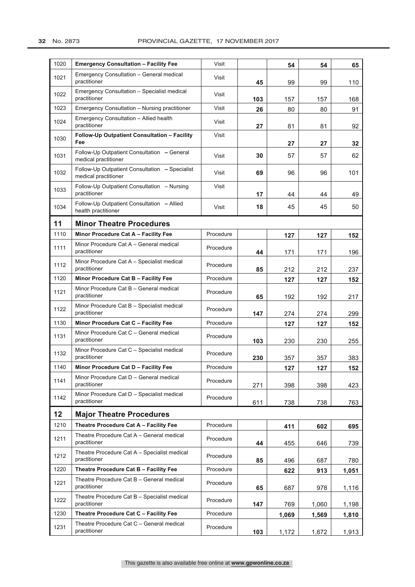### **32** No. 2873 PROVINCIAL GAZETTE, 17 NOVEMBER 2017

| 1020 | <b>Emergency Consultation - Facility Fee</b>                           | Visit     |     | 54    | 54    | 65    |
|------|------------------------------------------------------------------------|-----------|-----|-------|-------|-------|
| 1021 | Emergency Consultation - General medical<br>practitioner               | Visit     | 45  | 99    | 99    | 110   |
| 1022 | Emergency Consultation - Specialist medical<br>practitioner            | Visit     | 103 | 157   | 157   | 168   |
| 1023 | Emergency Consultation - Nursing practitioner                          | Visit     | 26  | 80    | 80    | 91    |
| 1024 | Emergency Consultation - Allied health<br>practitioner                 | Visit     | 27  | 81    | 81    | 92    |
| 1030 | Follow-Up Outpatient Consultation - Facility<br>Fee                    | Visit     |     | 27    | 27    | 32    |
| 1031 | Follow-Up Outpatient Consultation - General<br>medical practitioner    | Visit     | 30  | 57    | 57    | 62    |
| 1032 | Follow-Up Outpatient Consultation - Specialist<br>medical practitioner | Visit     | 69  | 96    | 96    | 101   |
| 1033 | Follow-Up Outpatient Consultation - Nursing<br>practitioner            | Visit     | 17  | 44    | 44    | 49    |
| 1034 | Follow-Up Outpatient Consultation - Allied<br>health practitioner      | Visit     | 18  | 45    | 45    | 50    |
| 11   | <b>Minor Theatre Procedures</b>                                        |           |     |       |       |       |
| 1110 | Minor Procedure Cat A - Facility Fee                                   | Procedure |     | 127   | 127   | 152   |
| 1111 | Minor Procedure Cat A - General medical<br>practitioner                | Procedure | 44  | 171   | 171   | 196   |
| 1112 | Minor Procedure Cat A - Specialist medical<br>practitioner             | Procedure | 85  | 212   | 212   | 237   |
| 1120 | Minor Procedure Cat B - Facility Fee                                   | Procedure |     | 127   | 127   | 152   |
| 1121 | Minor Procedure Cat B - General medical<br>practitioner                | Procedure | 65  | 192   | 192   | 217   |
| 1122 | Minor Procedure Cat B - Specialist medical<br>practitioner             | Procedure | 147 | 274   | 274   | 299   |
| 1130 | Minor Procedure Cat C - Facility Fee                                   | Procedure |     | 127   | 127   | 152   |
| 1131 | Minor Procedure Cat C - General medical<br>practitioner                | Procedure | 103 | 230   | 230   | 255   |
| 1132 | Minor Procedure Cat C - Specialist medical<br>practitioner             | Procedure | 230 | 357   | 357   | 383   |
| 1140 | Minor Procedure Cat D - Facility Fee                                   | Procedure |     | 127   | 127   | 152   |
| 1141 | Minor Procedure Cat D - General medical<br>practitioner                | Procedure | 271 | 398   | 398   | 423   |
| 1142 | Minor Procedure Cat D - Specialist medical<br>practitioner             | Procedure | 611 | 738   | 738   | 763   |
| 12   | <b>Major Theatre Procedures</b>                                        |           |     |       |       |       |
| 1210 | Theatre Procedure Cat A - Facility Fee                                 | Procedure |     | 411   | 602   | 695   |
| 1211 | Theatre Procedure Cat A - General medical<br>practitioner              | Procedure | 44  | 455   | 646   | 739   |
| 1212 | Theatre Procedure Cat A - Specialist medical<br>practitioner           | Procedure | 85  | 496   | 687   | 780   |
| 1220 | Theatre Procedure Cat B - Facility Fee                                 | Procedure |     | 622   | 913   | 1,051 |
| 1221 | Theatre Procedure Cat B - General medical<br>practitioner              | Procedure | 65  | 687   | 978   | 1,116 |
| 1222 | Theatre Procedure Cat B - Specialist medical<br>practitioner           | Procedure | 147 | 769   | 1,060 | 1,198 |
| 1230 | Theatre Procedure Cat C - Facility Fee                                 | Procedure |     | 1,069 | 1,569 | 1,810 |
| 1231 | Theatre Procedure Cat C - General medical<br>practitioner              | Procedure | 103 | 1,172 | 1,672 | 1,913 |

This gazette is also available free online at **www.gpwonline.co.za**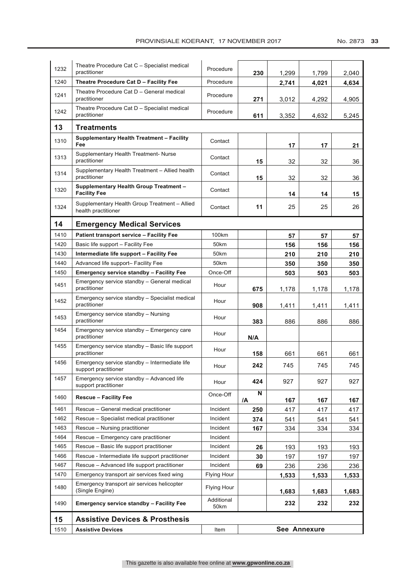| 1232 | Theatre Procedure Cat C - Specialist medical<br>practitioner          | Procedure          | 230          | 1,299 | 1,799 | 2,040 |  |
|------|-----------------------------------------------------------------------|--------------------|--------------|-------|-------|-------|--|
| 1240 | Theatre Procedure Cat D - Facility Fee                                | Procedure          |              | 2,741 | 4,021 | 4,634 |  |
| 1241 | Theatre Procedure Cat D - General medical<br>practitioner             | Procedure          | 271          | 3,012 | 4,292 | 4,905 |  |
| 1242 | Theatre Procedure Cat D - Specialist medical<br>practitioner          | Procedure          | 611          | 3,352 | 4,632 | 5,245 |  |
| 13   | <b>Treatments</b>                                                     |                    |              |       |       |       |  |
| 1310 | <b>Supplementary Health Treatment - Facility</b><br>Fee               | Contact            |              | 17    | 17    | 21    |  |
| 1313 | Supplementary Health Treatment- Nurse<br>practitioner                 | Contact            | 15           | 32    | 32    | 36    |  |
| 1314 | Supplementary Health Treatment - Allied health<br>practitioner        | Contact            | 15           | 32    | 32    | 36    |  |
| 1320 | <b>Supplementary Health Group Treatment -</b><br><b>Facility Fee</b>  | Contact            |              | 14    | 14    | 15    |  |
| 1324 | Supplementary Health Group Treatment - Allied<br>health practitioner  | Contact            | 11           | 25    | 25    | 26    |  |
| 14   | <b>Emergency Medical Services</b>                                     |                    |              |       |       |       |  |
| 1410 | <b>Patient transport service - Facility Fee</b>                       | 100km              |              | 57    | 57    | 57    |  |
| 1420 | Basic life support - Facility Fee                                     | 50km               |              | 156   | 156   | 156   |  |
| 1430 | Intermediate life support - Facility Fee                              | 50km               |              | 210   | 210   | 210   |  |
| 1440 | Advanced life support- Facility Fee                                   | 50km               |              | 350   | 350   | 350   |  |
| 1450 | <b>Emergency service standby - Facility Fee</b>                       | Once-Off           |              | 503   | 503   | 503   |  |
| 1451 | Emergency service standby - General medical<br>practitioner           | Hour               | 675          | 1,178 | 1,178 | 1,178 |  |
| 1452 | Emergency service standby - Specialist medical<br>practitioner        | Hour               | 908          | 1,411 | 1,411 | 1,411 |  |
| 1453 | Emergency service standby - Nursing<br>practitioner                   | Hour               | 383          | 886   | 886   | 886   |  |
| 1454 | Emergency service standby - Emergency care<br>practitioner            | Hour               | N/A          |       |       |       |  |
| 1455 | Emergency service standby - Basic life support<br>practitioner        | Hour               | 158          | 661   | 661   | 661   |  |
| 1456 | Emergency service standby - Intermediate life<br>support practitioner | Hour               | 242          | 745   | 745   | 745   |  |
| 1457 | Emergency service standby - Advanced life<br>support practitioner     | Hour               | 424          | 927   | 927   | 927   |  |
| 1460 | <b>Rescue - Facility Fee</b>                                          | Once-Off           | N<br>/A      | 167   | 167   | 167   |  |
| 1461 | Rescue - General medical practitioner                                 | Incident           | 250          | 417   | 417   | 417   |  |
| 1462 | Rescue - Specialist medical practitioner                              | Incident           | 374          | 541   | 541   | 541   |  |
| 1463 | Rescue - Nursing practitioner                                         | Incident           | 167          | 334   | 334   | 334   |  |
| 1464 | Rescue - Emergency care practitioner                                  | Incident           |              |       |       |       |  |
| 1465 | Rescue - Basic life support practitioner                              | Incident           | 26           | 193   | 193   | 193   |  |
| 1466 | Rescue - Intermediate life support practitioner                       | Incident           | 30           | 197   | 197   | 197   |  |
| 1467 | Rescue - Advanced life support practitioner                           | Incident           | 69           | 236   | 236   | 236   |  |
| 1470 | Emergency transport air services fixed wing                           | Flying Hour        |              | 1,533 | 1,533 | 1,533 |  |
| 1480 | Emergency transport air services helicopter<br>(Single Engine)        | <b>Flying Hour</b> |              | 1,683 | 1,683 | 1,683 |  |
| 1490 | <b>Emergency service standby - Facility Fee</b>                       | Additional<br>50km |              | 232   | 232   | 232   |  |
| 15   | <b>Assistive Devices &amp; Prosthesis</b>                             |                    |              |       |       |       |  |
| 1510 | <b>Assistive Devices</b>                                              | Item               | See Annexure |       |       |       |  |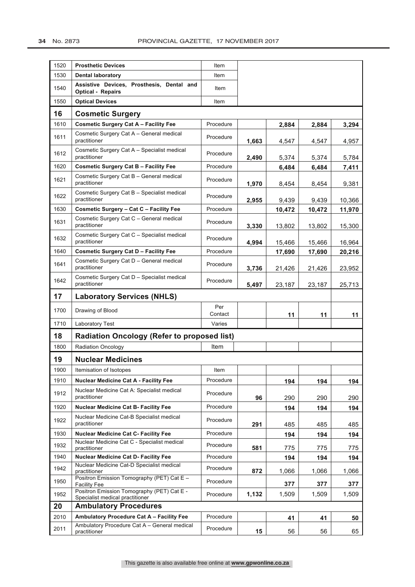| 1520 | <b>Prosthetic Devices</b>                                                     | Item           |       |        |        |        |  |
|------|-------------------------------------------------------------------------------|----------------|-------|--------|--------|--------|--|
| 1530 | <b>Dental laboratory</b>                                                      | Item           |       |        |        |        |  |
| 1540 | Assistive Devices, Prosthesis, Dental and<br><b>Optical - Repairs</b>         | Item           |       |        |        |        |  |
| 1550 | <b>Optical Devices</b>                                                        | Item           |       |        |        |        |  |
| 16   | <b>Cosmetic Surgery</b>                                                       |                |       |        |        |        |  |
| 1610 | <b>Cosmetic Surgery Cat A - Facility Fee</b>                                  | Procedure      |       | 2,884  | 2,884  | 3,294  |  |
| 1611 | Cosmetic Surgery Cat A - General medical<br>practitioner                      | Procedure      | 1.663 | 4,547  | 4,547  | 4,957  |  |
| 1612 | Cosmetic Surgery Cat A - Specialist medical<br>practitioner                   | Procedure      | 2,490 | 5,374  | 5,374  | 5,784  |  |
| 1620 | <b>Cosmetic Surgery Cat B - Facility Fee</b>                                  | Procedure      |       | 6,484  | 6,484  | 7,411  |  |
| 1621 | Cosmetic Surgery Cat B - General medical<br>practitioner                      | Procedure      | 1,970 | 8,454  | 8,454  | 9,381  |  |
| 1622 | Cosmetic Surgery Cat B - Specialist medical<br>practitioner                   | Procedure      | 2,955 | 9,439  | 9,439  | 10,366 |  |
| 1630 | Cosmetic Surgery - Cat C - Facility Fee                                       | Procedure      |       | 10,472 | 10,472 | 11,970 |  |
| 1631 | Cosmetic Surgery Cat C - General medical<br>practitioner                      | Procedure      | 3,330 | 13,802 | 13,802 | 15,300 |  |
| 1632 | Cosmetic Surgery Cat C - Specialist medical<br>practitioner                   | Procedure      | 4,994 | 15,466 | 15,466 | 16,964 |  |
| 1640 | <b>Cosmetic Surgery Cat D - Facility Fee</b>                                  | Procedure      |       | 17,690 | 17,690 | 20,216 |  |
| 1641 | Cosmetic Surgery Cat D - General medical<br>practitioner                      | Procedure      | 3,736 | 21,426 | 21,426 | 23,952 |  |
| 1642 | Cosmetic Surgery Cat D - Specialist medical<br>practitioner                   | Procedure      | 5,497 | 23,187 | 23,187 | 25,713 |  |
| 17   | <b>Laboratory Services (NHLS)</b>                                             |                |       |        |        |        |  |
| 1700 | Drawing of Blood                                                              | Per<br>Contact |       | 11     | 11     | 11     |  |
| 1710 | Laboratory Test                                                               | Varies         |       |        |        |        |  |
| 18   | <b>Radiation Oncology (Refer to proposed list)</b>                            |                |       |        |        |        |  |
| 1800 | <b>Radiation Oncology</b>                                                     | Item           |       |        |        |        |  |
| 19   | <b>Nuclear Medicines</b>                                                      |                |       |        |        |        |  |
| 1900 | Itemisation of Isotopes                                                       | Item           |       |        |        |        |  |
| 1910 | <b>Nuclear Medicine Cat A - Facility Fee</b>                                  | Procedure      |       | 194    | 194    | 194    |  |
| 1912 | Nuclear Medicine Cat A: Specialist medical<br>practitioner                    | Procedure      | 96    | 290    | 290    | 290    |  |
| 1920 | Nuclear Medicine Cat B- Facility Fee                                          | Procedure      |       | 194    | 194    | 194    |  |
| 1922 | Nuclear Medicine Cat-B Specialist medical<br>practitioner                     | Procedure      | 291   | 485    | 485    | 485    |  |
| 1930 | <b>Nuclear Medicine Cat C- Facility Fee</b>                                   | Procedure      |       | 194    | 194    | 194    |  |
| 1932 | Nuclear Medicine Cat C - Specialist medical<br>practitioner                   | Procedure      | 581   | 775    | 775    | 775    |  |
| 1940 | <b>Nuclear Medicine Cat D- Facility Fee</b>                                   | Procedure      |       | 194    | 194    | 194    |  |
| 1942 | Nuclear Medicine Cat-D Specialist medical<br>practitioner                     | Procedure      | 872   | 1,066  | 1,066  | 1,066  |  |
| 1950 | Positron Emission Tomography (PET) Cat E -<br><b>Facility Fee</b>             | Procedure      |       | 377    | 377    | 377    |  |
| 1952 | Positron Emission Tomography (PET) Cat E -<br>Specialist medical practitioner | Procedure      | 1,132 | 1,509  | 1,509  | 1,509  |  |
| 20   | <b>Ambulatory Procedures</b>                                                  |                |       |        |        |        |  |
| 2010 | Ambulatory Procedure Cat A - Facility Fee                                     | Procedure      |       | 41     | 41     | 50     |  |
| 2011 | Ambulatory Procedure Cat A - General medical<br>practitioner                  | Procedure      | 15    | 56     | 56     | 65     |  |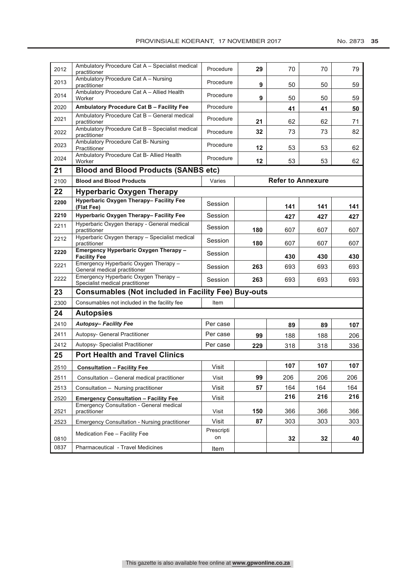| 2012 | Ambulatory Procedure Cat A - Specialist medical<br>practitioner          | Procedure        | 29  | 70                       | 70  | 79  |
|------|--------------------------------------------------------------------------|------------------|-----|--------------------------|-----|-----|
| 2013 | Ambulatory Procedure Cat A - Nursing<br>practitioner                     | Procedure        | 9   | 50                       | 50  | 59  |
| 2014 | Ambulatory Procedure Cat A - Allied Health<br>Worker                     | Procedure        | 9   | 50                       | 50  | 59  |
| 2020 | Ambulatory Procedure Cat B - Facility Fee                                | Procedure        |     | 41                       | 41  | 50  |
| 2021 | Ambulatory Procedure Cat B - General medical<br>practitioner             | Procedure        | 21  | 62                       | 62  | 71  |
| 2022 | Ambulatory Procedure Cat B - Specialist medical<br>practitioner          | Procedure        | 32  | 73                       | 73  | 82  |
| 2023 | Ambulatory Procedure Cat B- Nursing<br>Practitioner                      | Procedure        | 12  | 53                       | 53  | 62  |
| 2024 | Ambulatory Procedure Cat B- Allied Health<br>Worker                      | Procedure        | 12  | 53                       | 53  | 62  |
| 21   | <b>Blood and Blood Products (SANBS etc)</b>                              |                  |     |                          |     |     |
| 2100 | <b>Blood and Blood Products</b>                                          | Varies           |     | <b>Refer to Annexure</b> |     |     |
| 22   | <b>Hyperbaric Oxygen Therapy</b>                                         |                  |     |                          |     |     |
| 2200 | Hyperbaric Oxygen Therapy- Facility Fee<br>(Flat Fee)                    | Session          |     | 141                      | 141 | 141 |
| 2210 | Hyperbaric Oxygen Therapy- Facility Fee                                  | Session          |     | 427                      | 427 | 427 |
| 2211 | Hyperbaric Oxygen therapy - General medical<br>practitioner              | Session          | 180 | 607                      | 607 | 607 |
| 2212 | Hyperbaric Oxygen therapy - Specialist medical<br>practitioner           | Session          | 180 | 607                      | 607 | 607 |
| 2220 | Emergency Hyperbaric Oxygen Therapy -<br><b>Facility Fee</b>             | Session          |     | 430                      | 430 | 430 |
| 2221 | Emergency Hyperbaric Oxygen Therapy -<br>General medical practitioner    | Session          | 263 | 693                      | 693 | 693 |
| 2222 | Emergency Hyperbaric Oxygen Therapy -<br>Specialist medical practitioner | Session          | 263 | 693                      | 693 | 693 |
| 23   | <b>Consumables (Not included in Facility Fee) Buy-outs</b>               |                  |     |                          |     |     |
| 2300 | Consumables not included in the facility fee                             | Item             |     |                          |     |     |
| 24   | <b>Autopsies</b>                                                         |                  |     |                          |     |     |
| 2410 | <b>Autopsy-Facility Fee</b>                                              | Per case         |     | 89                       | 89  | 107 |
| 2411 | Autopsy- General Practitioner                                            | Per case         | 99  | 188                      | 188 | 206 |
| 2412 | Autopsy- Specialist Practitioner                                         | Per case         | 229 | 318                      | 318 | 336 |
| 25   | <b>Port Health and Travel Clinics</b>                                    |                  |     |                          |     |     |
| 2510 | <b>Consultation - Facility Fee</b>                                       | Visit            |     | 107                      | 107 | 107 |
| 2511 | Consultation - General medical practitioner                              | Visit            | 99  | 206                      | 206 | 206 |
| 2513 | Consultation - Nursing practitioner                                      | Visit            | 57  | 164                      | 164 | 164 |
| 2520 | <b>Emergency Consultation - Facility Fee</b>                             | Visit            |     | 216                      | 216 | 216 |
| 2521 | <b>Emergency Consultation - General medical</b><br>practitioner          | Visit            | 150 | 366                      | 366 | 366 |
| 2523 | <b>Emergency Consultation - Nursing practitioner</b>                     | Visit            | 87  | 303                      | 303 | 303 |
| 0810 | Medication Fee - Facility Fee                                            | Prescripti<br>on |     | 32                       | 32  | 40  |
| 0837 | Pharmaceutical - Travel Medicines                                        | Item             |     |                          |     |     |
|      |                                                                          |                  |     |                          |     |     |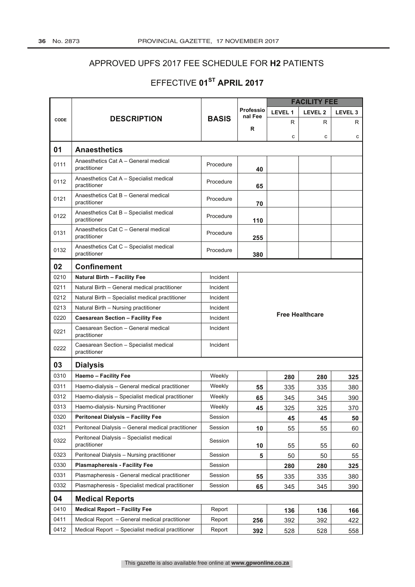## APPROVED UPFS 2017 FEE SCHEDULE FOR H2 PATIENTS

## EFFECTIVE 01ST APRIL 2017

|      |                                                          |              |                             | <b>FACILITY FEE</b> |                        |                    |
|------|----------------------------------------------------------|--------------|-----------------------------|---------------------|------------------------|--------------------|
|      |                                                          |              | <b>Professio</b><br>nal Fee | LEVEL 1             | LEVEL <sub>2</sub>     | LEVEL <sub>3</sub> |
| CODE | <b>DESCRIPTION</b>                                       | <b>BASIS</b> | R                           | R                   | R                      | R                  |
|      |                                                          |              |                             | C                   | с                      | с                  |
| 01   | <b>Anaesthetics</b>                                      |              |                             |                     |                        |                    |
| 0111 | Anaesthetics Cat A - General medical<br>practitioner     | Procedure    | 40                          |                     |                        |                    |
| 0112 | Anaesthetics Cat A - Specialist medical<br>practitioner  | Procedure    | 65                          |                     |                        |                    |
| 0121 | Anaesthetics Cat B - General medical<br>practitioner     | Procedure    | 70                          |                     |                        |                    |
| 0122 | Anaesthetics Cat B - Specialist medical<br>practitioner  | Procedure    | 110                         |                     |                        |                    |
| 0131 | Anaesthetics Cat C - General medical<br>practitioner     | Procedure    | 255                         |                     |                        |                    |
| 0132 | Anaesthetics Cat C - Specialist medical<br>practitioner  | Procedure    | 380                         |                     |                        |                    |
| 02   | <b>Confinement</b>                                       |              |                             |                     |                        |                    |
| 0210 | <b>Natural Birth - Facility Fee</b>                      | Incident     |                             |                     |                        |                    |
| 0211 | Natural Birth - General medical practitioner             | Incident     |                             |                     |                        |                    |
| 0212 | Natural Birth - Specialist medical practitioner          | Incident     |                             |                     |                        |                    |
| 0213 | Natural Birth - Nursing practitioner                     | Incident     |                             |                     |                        |                    |
| 0220 | <b>Caesarean Section - Facility Fee</b>                  | Incident     |                             |                     | <b>Free Healthcare</b> |                    |
| 0221 | Caesarean Section - General medical<br>practitioner      | Incident     |                             |                     |                        |                    |
| 0222 | Caesarean Section - Specialist medical<br>practitioner   | Incident     |                             |                     |                        |                    |
| 03   | <b>Dialysis</b>                                          |              |                             |                     |                        |                    |
| 0310 | <b>Haemo - Facility Fee</b>                              | Weekly       |                             | 280                 | 280                    | 325                |
| 0311 | Haemo-dialysis - General medical practitioner            | Weekly       | 55                          | 335                 | 335                    | 380                |
| 0312 | Haemo-dialysis - Specialist medical practitioner         | Weekly       | 65                          | 345                 | 345                    | 390                |
| 0313 | Haemo-dialysis- Nursing Practitioner                     | Weekly       | 45                          | 325                 | 325                    | 370                |
| 0320 | <b>Peritoneal Dialysis - Facility Fee</b>                | Session      |                             | 45                  | 45                     | 50                 |
| 0321 | Peritoneal Dialysis - General medical practitioner       | Session      | 10                          | 55                  | 55                     | 60                 |
| 0322 | Peritoneal Dialysis - Specialist medical<br>practitioner | Session      | 10                          | 55                  | 55                     | 60                 |
| 0323 | Peritoneal Dialysis - Nursing practitioner               | Session      | 5                           | 50                  | 50                     | 55                 |
| 0330 | <b>Plasmapheresis - Facility Fee</b>                     | Session      |                             | 280                 | 280                    | 325                |
| 0331 | Plasmapheresis - General medical practitioner            | Session      | 55                          | 335                 | 335                    | 380                |
| 0332 | Plasmapheresis - Specialist medical practitioner         | Session      | 65                          | 345                 | 345                    | 390                |
| 04   | <b>Medical Reports</b>                                   |              |                             |                     |                        |                    |
| 0410 | <b>Medical Report - Facility Fee</b>                     | Report       |                             | 136                 | 136                    | 166                |
| 0411 | Medical Report - General medical practitioner            | Report       | 256                         | 392                 | 392                    | 422                |
| 0412 | Medical Report - Specialist medical practitioner         | Report       | 392                         | 528                 | 528                    | 558                |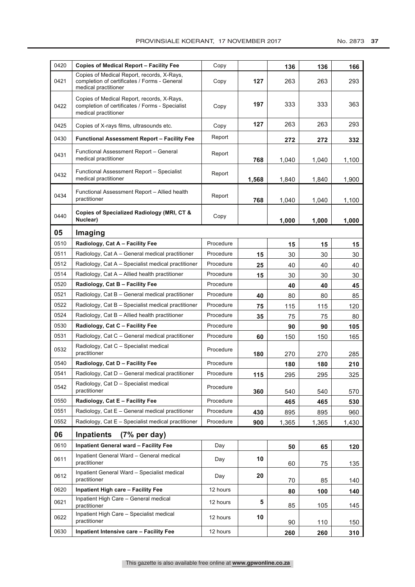| 0420 | <b>Copies of Medical Report – Facility Fee</b>                                                                        | Copy      |       | 136   | 136   | 166   |
|------|-----------------------------------------------------------------------------------------------------------------------|-----------|-------|-------|-------|-------|
| 0421 | Copies of Medical Report, records, X-Rays,<br>completion of certificates / Forms - General<br>medical practitioner    | Copy      | 127   | 263   | 263   | 293   |
| 0422 | Copies of Medical Report, records, X-Rays,<br>completion of certificates / Forms - Specialist<br>medical practitioner | Copy      | 197   | 333   | 333   | 363   |
| 0425 | Copies of X-rays films, ultrasounds etc.                                                                              | Copy      | 127   | 263   | 263   | 293   |
| 0430 | Functional Assessment Report – Facility Fee                                                                           | Report    |       | 272   | 272   | 332   |
| 0431 | Functional Assessment Report - General<br>medical practitioner                                                        | Report    | 768   | 1,040 | 1,040 | 1,100 |
| 0432 | Functional Assessment Report - Specialist<br>medical practitioner                                                     | Report    | 1,568 | 1,840 | 1,840 | 1,900 |
| 0434 | Functional Assessment Report - Allied health<br>practitioner                                                          | Report    | 768   | 1,040 | 1,040 | 1,100 |
| 0440 | Copies of Specialized Radiology (MRI, CT &<br>Nuclear)                                                                | Copy      |       | 1,000 | 1,000 | 1,000 |
| 05   | Imaging                                                                                                               |           |       |       |       |       |
| 0510 | Radiology, Cat A – Facility Fee                                                                                       | Procedure |       | 15    | 15    | 15    |
| 0511 | Radiology, Cat A - General medical practitioner                                                                       | Procedure | 15    | 30    | 30    | 30    |
| 0512 | Radiology, Cat A – Specialist medical practitioner                                                                    | Procedure | 25    | 40    | 40    | 40    |
| 0514 | Radiology, Cat A – Allied health practitioner                                                                         | Procedure | 15    | 30    | 30    | 30    |
| 0520 | Radiology, Cat B - Facility Fee                                                                                       | Procedure |       | 40    | 40    | 45    |
| 0521 | Radiology, Cat B - General medical practitioner                                                                       | Procedure | 40    | 80    | 80    | 85    |
| 0522 | Radiology, Cat B – Specialist medical practitioner                                                                    | Procedure | 75    | 115   | 115   | 120   |
| 0524 | Radiology, Cat B - Allied health practitioner                                                                         | Procedure | 35    | 75    | 75    | 80    |
| 0530 | Radiology, Cat C - Facility Fee                                                                                       | Procedure |       | 90    | 90    | 105   |
| 0531 | Radiology, Cat C - General medical practitioner                                                                       | Procedure | 60    | 150   | 150   | 165   |
| 0532 | Radiology, Cat C - Specialist medical<br>practitioner                                                                 | Procedure | 180   | 270   | 270   | 285   |
| 0540 | Radiology, Cat D - Facility Fee                                                                                       | Procedure |       | 180   | 180   | 210   |
| 0541 | Radiology, Cat D - General medical practitioner                                                                       | Procedure | 115   | 295   | 295   | 325   |
| 0542 | Radiology, Cat D - Specialist medical<br>practitioner                                                                 | Procedure | 360   | 540   | 540   | 570   |
| 0550 | Radiology, Cat E - Facility Fee                                                                                       | Procedure |       | 465   | 465   | 530   |
| 0551 | Radiology, Cat E - General medical practitioner                                                                       | Procedure | 430   | 895   | 895   | 960   |
| 0552 | Radiology, Cat E - Specialist medical practitioner                                                                    | Procedure | 900   | 1,365 | 1,365 | 1,430 |
| 06   | <b>Inpatients</b><br>$(7%$ per day)                                                                                   |           |       |       |       |       |
| 0610 | <b>Inpatient General ward - Facility Fee</b>                                                                          | Day       |       | 50    | 65    | 120   |
| 0611 | Inpatient General Ward - General medical<br>practitioner                                                              | Day       | 10    | 60    | 75    | 135   |
| 0612 | Inpatient General Ward - Specialist medical<br>practitioner                                                           | Day       | 20    | 70    | 85    | 140   |
| 0620 | <b>Inpatient High care - Facility Fee</b>                                                                             | 12 hours  |       | 80    | 100   | 140   |
| 0621 | Inpatient High Care - General medical<br>practitioner                                                                 | 12 hours  | 5     | 85    | 105   | 145   |
| 0622 | Inpatient High Care - Specialist medical<br>practitioner                                                              | 12 hours  | 10    | 90    | 110   | 150   |
| 0630 | <b>Inpatient Intensive care - Facility Fee</b>                                                                        | 12 hours  |       | 260   | 260   | 310   |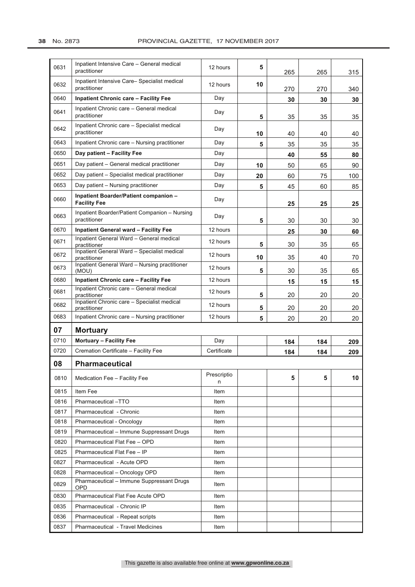| 0631 | Inpatient Intensive Care - General medical<br>practitioner    | 12 hours         | 5  | 265 | 265 | 315 |
|------|---------------------------------------------------------------|------------------|----|-----|-----|-----|
| 0632 | Inpatient Intensive Care- Specialist medical<br>practitioner  | 12 hours         | 10 | 270 | 270 | 340 |
| 0640 | <b>Inpatient Chronic care - Facility Fee</b>                  | Day              |    | 30  | 30  | 30  |
| 0641 | Inpatient Chronic care - General medical<br>practitioner      | Day              | 5  | 35  | 35  | 35  |
| 0642 | Inpatient Chronic care - Specialist medical<br>practitioner   | Day              | 10 | 40  | 40  | 40  |
| 0643 | Inpatient Chronic care - Nursing practitioner                 | Day              | 5  | 35  | 35  | 35  |
| 0650 | Day patient - Facility Fee                                    | Day              |    | 40  | 55  | 80  |
| 0651 | Day patient - General medical practitioner                    | Day              | 10 | 50  | 65  | 90  |
| 0652 | Day patient – Specialist medical practitioner                 | Day              | 20 | 60  | 75  | 100 |
| 0653 | Day patient – Nursing practitioner                            | Day              | 5  | 45  | 60  | 85  |
| 0660 | Inpatient Boarder/Patient companion -<br><b>Facility Fee</b>  | Day              |    | 25  | 25  | 25  |
| 0663 | Inpatient Boarder/Patient Companion - Nursing<br>practitioner | Day              | 5  | 30  | 30  | 30  |
| 0670 | <b>Inpatient General ward - Facility Fee</b>                  | 12 hours         |    | 25  | 30  | 60  |
| 0671 | Inpatient General Ward - General medical<br>practitioner      | 12 hours         | 5  | 30  | 35  | 65  |
| 0672 | Inpatient General Ward - Specialist medical<br>practitioner   | 12 hours         | 10 | 35  | 40  | 70  |
| 0673 | Inpatient General Ward - Nursing practitioner<br>(MOU)        | 12 hours         | 5  | 30  | 35  | 65  |
| 0680 | <b>Inpatient Chronic care - Facility Fee</b>                  | 12 hours         |    | 15  | 15  | 15  |
| 0681 | Inpatient Chronic care - General medical<br>practitioner      | 12 hours         | 5  | 20  | 20  | 20  |
| 0682 | Inpatient Chronic care - Specialist medical<br>practitioner   | 12 hours         | 5  | 20  | 20  | 20  |
| 0683 | Inpatient Chronic care - Nursing practitioner                 | 12 hours         | 5  | 20  | 20  | 20  |
| 07   | <b>Mortuary</b>                                               |                  |    |     |     |     |
| 0710 | <b>Mortuary - Facility Fee</b>                                | Day              |    | 184 | 184 | 209 |
| 0720 | Cremation Certificate - Facility Fee                          | Certificate      |    | 184 | 184 | 209 |
| 08   | <b>Pharmaceutical</b>                                         |                  |    |     |     |     |
| 0810 | Medication Fee - Facility Fee                                 | Prescriptio<br>n |    | 5   | 5   | 10  |
| 0815 | Item Fee                                                      | Item             |    |     |     |     |
| 0816 | Pharmaceutical -TTO                                           | Item             |    |     |     |     |
| 0817 | Pharmaceutical - Chronic                                      | Item             |    |     |     |     |
| 0818 | Pharmaceutical - Oncology                                     | Item             |    |     |     |     |
| 0819 | Pharmaceutical - Immune Suppressant Drugs                     | Item             |    |     |     |     |
| 0820 | Pharmaceutical Flat Fee - OPD                                 | Item             |    |     |     |     |
| 0825 | Pharmaceutical Flat Fee - IP                                  | Item             |    |     |     |     |
| 0827 | Pharmaceutical - Acute OPD                                    | Item             |    |     |     |     |
| 0828 | Pharmaceutical - Oncology OPD                                 | Item             |    |     |     |     |
| 0829 | Pharmaceutical - Immune Suppressant Drugs<br>OPD              | Item             |    |     |     |     |
| 0830 | Pharmaceutical Flat Fee Acute OPD                             | Item             |    |     |     |     |
| 0835 | Pharmaceutical - Chronic IP                                   | Item             |    |     |     |     |
| 0836 | Pharmaceutical - Repeat scripts                               | Item             |    |     |     |     |
| 0837 | Pharmaceutical - Travel Medicines                             | Item             |    |     |     |     |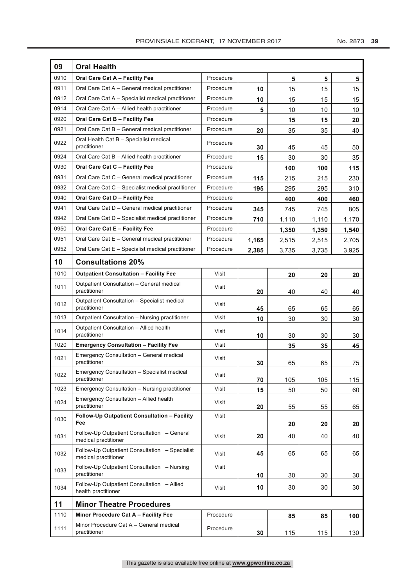| 09   | <b>Oral Health</b>                                                     |           |       |       |       |       |  |  |
|------|------------------------------------------------------------------------|-----------|-------|-------|-------|-------|--|--|
| 0910 | Oral Care Cat A - Facility Fee                                         | Procedure |       | 5     | 5     | 5     |  |  |
| 0911 | Oral Care Cat A - General medical practitioner                         | Procedure | 10    | 15    | 15    | 15    |  |  |
| 0912 | Oral Care Cat A - Specialist medical practitioner                      | Procedure | 10    | 15    | 15    | 15    |  |  |
| 0914 | Oral Care Cat A - Allied health practitioner                           | Procedure | 5     | 10    | 10    | 10    |  |  |
| 0920 | Oral Care Cat B - Facility Fee                                         | Procedure |       | 15    | 15    | 20    |  |  |
| 0921 | Oral Care Cat B - General medical practitioner                         | Procedure | 20    | 35    | 35    | 40    |  |  |
| 0922 | Oral Health Cat B - Specialist medical<br>practitioner                 | Procedure | 30    | 45    | 45    | 50    |  |  |
| 0924 | Oral Care Cat B - Allied health practitioner                           | Procedure | 15    | 30    | 30    | 35    |  |  |
| 0930 | Oral Care Cat C - Facility Fee                                         | Procedure |       | 100   | 100   | 115   |  |  |
| 0931 | Oral Care Cat C - General medical practitioner                         | Procedure | 115   | 215   | 215   | 230   |  |  |
| 0932 | Oral Care Cat C - Specialist medical practitioner                      | Procedure | 195   | 295   | 295   | 310   |  |  |
| 0940 | Oral Care Cat D - Facility Fee                                         | Procedure |       | 400   | 400   | 460   |  |  |
| 0941 | Oral Care Cat D - General medical practitioner                         | Procedure | 345   | 745   | 745   | 805   |  |  |
| 0942 | Oral Care Cat D - Specialist medical practitioner                      | Procedure | 710   | 1,110 | 1,110 | 1,170 |  |  |
| 0950 | Oral Care Cat E - Facility Fee                                         | Procedure |       | 1,350 | 1,350 | 1,540 |  |  |
| 0951 | Oral Care Cat E - General medical practitioner                         | Procedure | 1,165 | 2,515 | 2,515 | 2,705 |  |  |
| 0952 | Oral Care Cat E - Specialist medical practitioner                      | Procedure | 2,385 | 3,735 | 3,735 | 3,925 |  |  |
| 10   | <b>Consultations 20%</b>                                               |           |       |       |       |       |  |  |
| 1010 | <b>Outpatient Consultation - Facility Fee</b>                          | Visit     |       | 20    | 20    | 20    |  |  |
| 1011 | Outpatient Consultation - General medical<br>practitioner              | Visit     | 20    | 40    | 40    | 40    |  |  |
| 1012 | Outpatient Consultation - Specialist medical<br>practitioner           | Visit     | 45    | 65    | 65    | 65    |  |  |
| 1013 | Outpatient Consultation - Nursing practitioner                         | Visit     | 10    | 30    | 30    | 30    |  |  |
| 1014 | Outpatient Consultation - Allied health<br>practitioner                | Visit     | 10    | 30    | 30    | 30    |  |  |
| 1020 | <b>Emergency Consultation - Facility Fee</b>                           | Visit     |       | 35    | 35    | 45    |  |  |
| 1021 | Emergency Consultation - General medical<br>practitioner               | Visit     | 30    | 65    | 65    | 75    |  |  |
| 1022 | Emergency Consultation - Specialist medical<br>practitioner            | Visit     | 70    | 105   | 105   | 115   |  |  |
| 1023 | Emergency Consultation - Nursing practitioner                          | Visit     | 15    | 50    | 50    | 60    |  |  |
| 1024 | Emergency Consultation - Allied health<br>practitioner                 | Visit     | 20    | 55    | 55    | 65    |  |  |
| 1030 | Follow-Up Outpatient Consultation - Facility<br>Fee                    | Visit     |       | 20    | 20    | 20    |  |  |
| 1031 | Follow-Up Outpatient Consultation - General<br>medical practitioner    | Visit     | 20    | 40    | 40    | 40    |  |  |
| 1032 | Follow-Up Outpatient Consultation - Specialist<br>medical practitioner | Visit     | 45    | 65    | 65    | 65    |  |  |
| 1033 | Follow-Up Outpatient Consultation - Nursing<br>practitioner            | Visit     | 10    | 30    | 30    | 30    |  |  |
| 1034 | Follow-Up Outpatient Consultation - Allied<br>health practitioner      | Visit     | 10    | 30    | 30    | 30    |  |  |
| 11   | <b>Minor Theatre Procedures</b>                                        |           |       |       |       |       |  |  |
| 1110 | Minor Procedure Cat A - Facility Fee                                   | Procedure |       | 85    | 85    | 100   |  |  |
| 1111 | Minor Procedure Cat A - General medical<br>practitioner                | Procedure | 30    | 115   | 115   | 130   |  |  |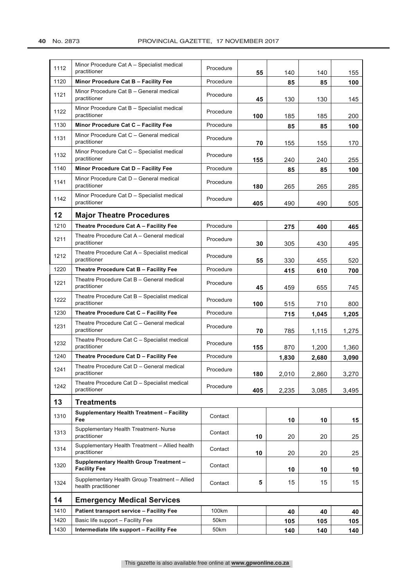| 1112 | Minor Procedure Cat A - Specialist medical<br>practitioner           | Procedure | 55  | 140   | 140   | 155   |
|------|----------------------------------------------------------------------|-----------|-----|-------|-------|-------|
| 1120 | Minor Procedure Cat B - Facility Fee                                 | Procedure |     | 85    | 85    | 100   |
| 1121 | Minor Procedure Cat B - General medical<br>practitioner              | Procedure | 45  | 130   | 130   | 145   |
| 1122 | Minor Procedure Cat B - Specialist medical<br>practitioner           | Procedure | 100 | 185   | 185   | 200   |
| 1130 | Minor Procedure Cat C - Facility Fee                                 | Procedure |     | 85    | 85    | 100   |
| 1131 | Minor Procedure Cat C - General medical<br>practitioner              | Procedure | 70  | 155   | 155   | 170   |
| 1132 | Minor Procedure Cat C - Specialist medical<br>practitioner           | Procedure | 155 | 240   | 240   | 255   |
| 1140 | Minor Procedure Cat D - Facility Fee                                 | Procedure |     | 85    | 85    | 100   |
| 1141 | Minor Procedure Cat D - General medical<br>practitioner              | Procedure | 180 | 265   | 265   | 285   |
| 1142 | Minor Procedure Cat D - Specialist medical<br>practitioner           | Procedure | 405 | 490   | 490   | 505   |
| 12   | <b>Major Theatre Procedures</b>                                      |           |     |       |       |       |
| 1210 | Theatre Procedure Cat A - Facility Fee                               | Procedure |     | 275   | 400   | 465   |
| 1211 | Theatre Procedure Cat A - General medical<br>practitioner            | Procedure | 30  | 305   | 430   | 495   |
| 1212 | Theatre Procedure Cat A - Specialist medical<br>practitioner         | Procedure | 55  | 330   | 455   | 520   |
| 1220 | Theatre Procedure Cat B - Facility Fee                               | Procedure |     | 415   | 610   | 700   |
| 1221 | Theatre Procedure Cat B - General medical<br>practitioner            | Procedure | 45  | 459   | 655   | 745   |
| 1222 | Theatre Procedure Cat B - Specialist medical<br>practitioner         | Procedure | 100 | 515   | 710   | 800   |
| 1230 | Theatre Procedure Cat C - Facility Fee                               | Procedure |     | 715   | 1,045 | 1,205 |
| 1231 | Theatre Procedure Cat C - General medical<br>practitioner            | Procedure | 70  | 785   | 1,115 | 1,275 |
| 1232 | Theatre Procedure Cat C - Specialist medical<br>practitioner         | Procedure | 155 | 870   | 1,200 | 1,360 |
| 1240 | Theatre Procedure Cat D - Facility Fee                               | Procedure |     | 1,830 | 2,680 | 3,090 |
| 1241 | Theatre Procedure Cat D - General medical<br>practitioner            | Procedure | 180 | 2,010 | 2,860 | 3,270 |
| 1242 | Theatre Procedure Cat D - Specialist medical<br>practitioner         | Procedure | 405 | 2,235 | 3,085 | 3,495 |
| 13   | <b>Treatments</b>                                                    |           |     |       |       |       |
| 1310 | <b>Supplementary Health Treatment - Facility</b><br>Fee              | Contact   |     | 10    | 10    | 15    |
| 1313 | Supplementary Health Treatment- Nurse<br>practitioner                | Contact   | 10  | 20    | 20    | 25    |
| 1314 | Supplementary Health Treatment - Allied health<br>practitioner       | Contact   | 10  | 20    | 20    | 25    |
| 1320 | <b>Supplementary Health Group Treatment -</b><br><b>Facility Fee</b> | Contact   |     | 10    | 10    | 10    |
| 1324 | Supplementary Health Group Treatment - Allied<br>health practitioner | Contact   | 5   | 15    | 15    | 15    |
| 14   | <b>Emergency Medical Services</b>                                    |           |     |       |       |       |
| 1410 | <b>Patient transport service - Facility Fee</b>                      | 100km     |     | 40    | 40    | 40    |
| 1420 | Basic life support - Facility Fee                                    | 50km      |     | 105   | 105   | 105   |
| 1430 | Intermediate life support - Facility Fee                             | 50km      |     | 140   | 140   | 140   |
|      |                                                                      |           |     |       |       |       |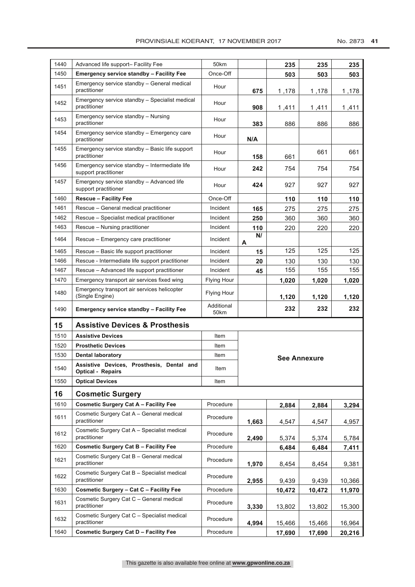| 1440 |                                                                       |                    |         |        |                     |                |  |  |  |
|------|-----------------------------------------------------------------------|--------------------|---------|--------|---------------------|----------------|--|--|--|
|      | Advanced life support- Facility Fee                                   | 50km               |         | 235    | 235                 | 235            |  |  |  |
| 1450 | <b>Emergency service standby - Facility Fee</b>                       | Once-Off           |         | 503    | 503                 | 503            |  |  |  |
| 1451 | Emergency service standby - General medical<br>practitioner           | Hour               | 675     | 1,178  | 1,178               | 1,178          |  |  |  |
| 1452 | Emergency service standby - Specialist medical<br>practitioner        | Hour               | 908     | 1,411  | 1,411               | 1,411          |  |  |  |
| 1453 | Emergency service standby - Nursing<br>practitioner                   | Hour               | 383     | 886    | 886                 | 886            |  |  |  |
| 1454 | Emergency service standby - Emergency care<br>practitioner            | Hour               | N/A     |        |                     |                |  |  |  |
| 1455 | Emergency service standby - Basic life support<br>practitioner        | Hour               | 158     | 661    | 661                 | 661            |  |  |  |
| 1456 | Emergency service standby - Intermediate life<br>support practitioner | Hour               | 242     | 754    | 754                 | 754            |  |  |  |
| 1457 | Emergency service standby - Advanced life<br>support practitioner     | Hour               | 424     | 927    | 927                 | 927            |  |  |  |
| 1460 | <b>Rescue - Facility Fee</b>                                          | Once-Off           |         | 110    | 110                 | 110            |  |  |  |
| 1461 | Rescue - General medical practitioner                                 | Incident           | 165     | 275    | 275                 | 275            |  |  |  |
| 1462 | Rescue - Specialist medical practitioner                              | Incident           | 250     | 360    | 360                 | 360            |  |  |  |
| 1463 | Rescue - Nursing practitioner                                         | Incident           | 110     | 220    | 220                 | 220            |  |  |  |
| 1464 | Rescue - Emergency care practitioner                                  | Incident           | N/<br>A |        |                     |                |  |  |  |
| 1465 | Rescue – Basic life support practitioner                              | Incident           | 15      | 125    | 125                 | 125            |  |  |  |
| 1466 | Rescue - Intermediate life support practitioner                       | Incident           | 20      | 130    | 130                 | 130            |  |  |  |
| 1467 | Rescue - Advanced life support practitioner                           | Incident           | 45      | 155    | 155                 | 155            |  |  |  |
| 1470 | Emergency transport air services fixed wing                           | <b>Flying Hour</b> |         | 1,020  | 1,020               | 1,020          |  |  |  |
| 1480 | Emergency transport air services helicopter<br>(Single Engine)        | <b>Flying Hour</b> |         | 1,120  | 1,120               | 1,120          |  |  |  |
| 1490 | <b>Emergency service standby - Facility Fee</b>                       | Additional<br>50km |         | 232    | 232                 | 232            |  |  |  |
| 15   | <b>Assistive Devices &amp; Prosthesis</b>                             |                    |         |        |                     |                |  |  |  |
| 1510 | <b>Assistive Devices</b>                                              | Item               |         |        |                     |                |  |  |  |
| 1520 | <b>Prosthetic Devices</b>                                             |                    |         |        |                     |                |  |  |  |
|      |                                                                       | Item               |         |        |                     |                |  |  |  |
| 1530 | <b>Dental laboratory</b>                                              | Item               |         |        |                     |                |  |  |  |
| 1540 | Assistive Devices, Prosthesis, Dental and<br><b>Optical - Repairs</b> | Item               |         |        | <b>See Annexure</b> |                |  |  |  |
| 1550 | <b>Optical Devices</b>                                                | Item               |         |        |                     |                |  |  |  |
| 16   | <b>Cosmetic Surgery</b>                                               |                    |         |        |                     |                |  |  |  |
| 1610 | <b>Cosmetic Surgery Cat A - Facility Fee</b>                          | Procedure          |         | 2.884  | 2,884               |                |  |  |  |
| 1611 | Cosmetic Surgery Cat A - General medical<br>practitioner              | Procedure          | 1,663   | 4,547  | 4,547               | 3,294<br>4,957 |  |  |  |
| 1612 | Cosmetic Surgery Cat A - Specialist medical<br>practitioner           | Procedure          | 2,490   | 5,374  | 5,374               | 5,784          |  |  |  |
| 1620 | <b>Cosmetic Surgery Cat B - Facility Fee</b>                          | Procedure          |         | 6,484  | 6,484               | 7,411          |  |  |  |
| 1621 | Cosmetic Surgery Cat B - General medical<br>practitioner              | Procedure          | 1,970   | 8,454  | 8,454               | 9,381          |  |  |  |
| 1622 | Cosmetic Surgery Cat B - Specialist medical<br>practitioner           | Procedure          | 2,955   | 9,439  | 9,439               | 10,366         |  |  |  |
| 1630 | Cosmetic Surgery - Cat C - Facility Fee                               | Procedure          |         | 10,472 | 10,472              | 11,970         |  |  |  |
| 1631 | Cosmetic Surgery Cat C - General medical<br>practitioner              | Procedure          | 3,330   | 13,802 | 13,802              | 15,300         |  |  |  |
| 1632 | Cosmetic Surgery Cat C - Specialist medical<br>practitioner           | Procedure          | 4,994   | 15,466 | 15,466              | 16,964         |  |  |  |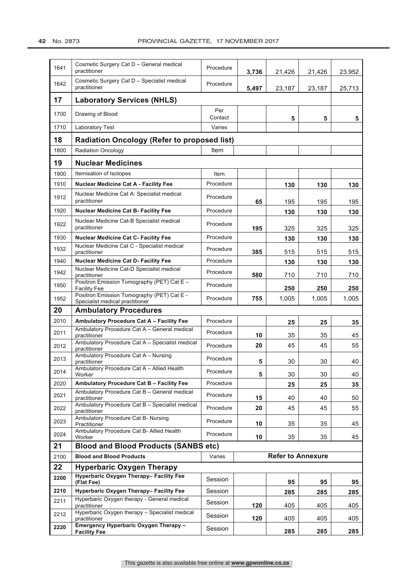42 No. 2873

| 1641 | Cosmetic Surgery Cat D - General medical<br>practitioner                                                      | Procedure      | 3,736 | 21,426                   | 21,426 | 23,952 |
|------|---------------------------------------------------------------------------------------------------------------|----------------|-------|--------------------------|--------|--------|
| 1642 | Cosmetic Surgery Cat D - Specialist medical<br>practitioner                                                   | Procedure      | 5,497 | 23,187                   | 23,187 | 25,713 |
| 17   | <b>Laboratory Services (NHLS)</b>                                                                             |                |       |                          |        |        |
| 1700 | Drawing of Blood                                                                                              | Per<br>Contact |       | 5                        | 5      | 5      |
| 1710 | Laboratory Test                                                                                               | Varies         |       |                          |        |        |
| 18   | <b>Radiation Oncology (Refer to proposed list)</b>                                                            |                |       |                          |        |        |
| 1800 | <b>Radiation Oncology</b>                                                                                     | Item           |       |                          |        |        |
| 19   | <b>Nuclear Medicines</b>                                                                                      |                |       |                          |        |        |
| 1900 | Itemisation of Isotopes                                                                                       | Item           |       |                          |        |        |
| 1910 | <b>Nuclear Medicine Cat A - Facility Fee</b>                                                                  | Procedure      |       | 130                      | 130    | 130    |
| 1912 | Nuclear Medicine Cat A: Specialist medical<br>practitioner                                                    | Procedure      | 65    | 195                      | 195    | 195    |
| 1920 | <b>Nuclear Medicine Cat B- Facility Fee</b>                                                                   | Procedure      |       | 130                      | 130    | 130    |
| 1922 | Nuclear Medicine Cat-B Specialist medical<br>practitioner                                                     | Procedure      | 195   | 325                      | 325    | 325    |
| 1930 | <b>Nuclear Medicine Cat C- Facility Fee</b>                                                                   | Procedure      |       | 130                      | 130    | 130    |
| 1932 | Nuclear Medicine Cat C - Specialist medical<br>practitioner                                                   | Procedure      | 385   | 515                      | 515    | 515    |
| 1940 | Nuclear Medicine Cat D- Facility Fee                                                                          | Procedure      |       | 130                      | 130    | 130    |
| 1942 | Nuclear Medicine Cat-D Specialist medical<br>practitioner                                                     | Procedure      | 580   | 710                      | 710    | 710    |
| 1950 | Positron Emission Tomography (PET) Cat E -<br><b>Facility Fee</b>                                             | Procedure      |       | 250                      | 250    | 250    |
| 1952 | Positron Emission Tomography (PET) Cat E -<br>Specialist medical practitioner                                 | Procedure      | 755   | 1,005                    | 1,005  | 1,005  |
| 20   | <b>Ambulatory Procedures</b>                                                                                  |                |       |                          |        |        |
| 2010 | Ambulatory Procedure Cat A - Facility Fee                                                                     | Procedure      |       | 25                       | 25     | 35     |
| 2011 | Ambulatory Procedure Cat A - General medical<br>practitioner                                                  | Procedure      | 10    | 35                       | 35     | 45     |
| 2012 | Ambulatory Procedure Cat A - Specialist medical<br>practitioner                                               | Procedure      | 20    | 45                       | 45     | 55     |
| 2013 | Ambulatory Procedure Cat A - Nursing<br>practitioner                                                          | Procedure      | 5     | 30                       | 30     | 40     |
| 2014 | Ambulatory Procedure Cat A - Allied Health<br>Worker                                                          | Procedure      | 5     | 30                       | 30     | 40     |
| 2020 | Ambulatory Procedure Cat B - Facility Fee                                                                     | Procedure      |       | 25                       | 25     | 35     |
| 2021 | Ambulatory Procedure Cat B - General medical<br>practitioner                                                  | Procedure      | 15    | 40                       | 40     | 50     |
| 2022 | Ambulatory Procedure Cat B - Specialist medical<br>practitioner                                               | Procedure      | 20    | 45                       | 45     | 55     |
| 2023 | Ambulatory Procedure Cat B- Nursing<br>Practitioner                                                           | Procedure      | 10    | 35                       | 35     | 45     |
| 2024 | Ambulatory Procedure Cat B- Allied Health<br>Worker                                                           | Procedure      | 10    | 35                       | 35     | 45     |
| 21   | <b>Blood and Blood Products (SANBS etc)</b>                                                                   |                |       |                          |        |        |
| 2100 | <b>Blood and Blood Products</b>                                                                               | Varies         |       | <b>Refer to Annexure</b> |        |        |
| 22   | <b>Hyperbaric Oxygen Therapy</b>                                                                              |                |       |                          |        |        |
| 2200 | Hyperbaric Oxygen Therapy- Facility Fee<br>(Flat Fee)                                                         | Session        |       | 95                       | 95     | 95     |
| 2210 | Hyperbaric Oxygen Therapy- Facility Fee                                                                       | Session        |       | 285                      | 285    | 285    |
| 2211 | Hyperbaric Oxygen therapy - General medical<br>practitioner<br>Hyperbaric Oxygen therapy - Specialist medical | Session        | 120   | 405                      | 405    | 405    |
| 2212 | practitioner                                                                                                  | Session        | 120   | 405                      | 405    | 405    |
| 2220 | Emergency Hyperbaric Oxygen Therapy -<br><b>Facility Fee</b>                                                  | Session        |       | 285                      | 285    | 285    |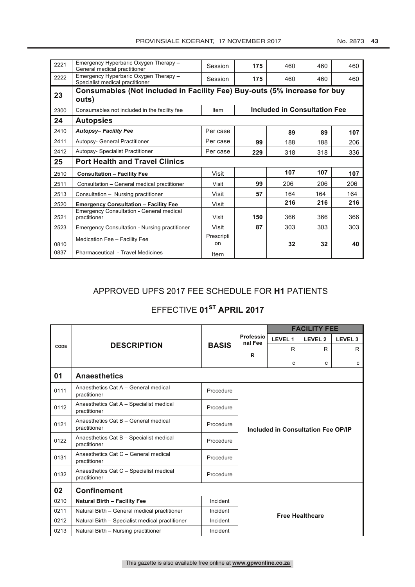| 2221 | Emergency Hyperbaric Oxygen Therapy -<br>General medical practitioner             | Session          | 175 | 460                          | 460 | 460 |
|------|-----------------------------------------------------------------------------------|------------------|-----|------------------------------|-----|-----|
| 2222 | Emergency Hyperbaric Oxygen Therapy -<br>Specialist medical practitioner          | Session          | 175 | 460                          | 460 | 460 |
| 23   | Consumables (Not included in Facility Fee) Buy-outs (5% increase for buy<br>outs) |                  |     |                              |     |     |
| 2300 | Consumables not included in the facility fee                                      | Item             |     | Included in Consultation Fee |     |     |
| 24   | <b>Autopsies</b>                                                                  |                  |     |                              |     |     |
| 2410 | <b>Autopsy-Facility Fee</b>                                                       | Per case         |     | 89                           | 89  | 107 |
| 2411 | Autopsy- General Practitioner                                                     | Per case         | 99  | 188                          | 188 | 206 |
| 2412 | <b>Autopsy- Specialist Practitioner</b>                                           | Per case         | 229 | 318                          | 318 | 336 |
| 25   | <b>Port Health and Travel Clinics</b>                                             |                  |     |                              |     |     |
| 2510 | <b>Consultation - Facility Fee</b>                                                | Visit            |     | 107                          | 107 | 107 |
| 2511 | Consultation - General medical practitioner                                       | Visit            | 99  | 206                          | 206 | 206 |
| 2513 | Consultation - Nursing practitioner                                               | Visit            | 57  | 164                          | 164 | 164 |
| 2520 | <b>Emergency Consultation - Facility Fee</b>                                      | Visit            |     | 216                          | 216 | 216 |
| 2521 | <b>Emergency Consultation - General medical</b><br>practitioner                   | Visit            | 150 | 366                          | 366 | 366 |
| 2523 | <b>Emergency Consultation - Nursing practitioner</b>                              | Visit            | 87  | 303                          | 303 | 303 |
| 0810 | Medication Fee - Facility Fee                                                     | Prescripti<br>on |     | 32                           | 32  | 40  |
| 0837 | Pharmaceutical - Travel Medicines                                                 | Item             |     |                              |     |     |

## APPROVED UPFS 2017 FEE SCHEDULE FOR **H1** PATIENTS

## **EFFECTIVE 01<sup>st</sup> APRIL 2017**

|      |                                                         |              | <b>FACILITY FEE</b>                |                |                        |                |  |
|------|---------------------------------------------------------|--------------|------------------------------------|----------------|------------------------|----------------|--|
|      |                                                         |              | Professio<br>nal Fee               | <b>LEVEL 1</b> | <b>LEVEL 2</b>         | <b>LEVEL 3</b> |  |
| CODE | <b>DESCRIPTION</b>                                      | <b>BASIS</b> |                                    | R              | R                      | R.             |  |
|      |                                                         |              | R                                  | c              | c                      | C              |  |
| 01   | <b>Anaesthetics</b>                                     |              |                                    |                |                        |                |  |
| 0111 | Anaesthetics Cat A - General medical<br>practitioner    | Procedure    |                                    |                |                        |                |  |
| 0112 | Anaesthetics Cat A - Specialist medical<br>practitioner | Procedure    |                                    |                |                        |                |  |
| 0121 | Anaesthetics Cat B - General medical<br>practitioner    | Procedure    | Included in Consultation Fee OP/IP |                |                        |                |  |
| 0122 | Anaesthetics Cat B - Specialist medical<br>practitioner | Procedure    |                                    |                |                        |                |  |
| 0131 | Anaesthetics Cat C - General medical<br>practitioner    | Procedure    |                                    |                |                        |                |  |
| 0132 | Anaesthetics Cat C - Specialist medical<br>practitioner | Procedure    |                                    |                |                        |                |  |
| 02   | <b>Confinement</b>                                      |              |                                    |                |                        |                |  |
| 0210 | <b>Natural Birth - Facility Fee</b>                     | Incident     |                                    |                |                        |                |  |
| 0211 | Natural Birth - General medical practitioner            | Incident     |                                    |                | <b>Free Healthcare</b> |                |  |
| 0212 | Natural Birth - Specialist medical practitioner         | Incident     |                                    |                |                        |                |  |
| 0213 | Natural Birth - Nursing practitioner                    | Incident     |                                    |                |                        |                |  |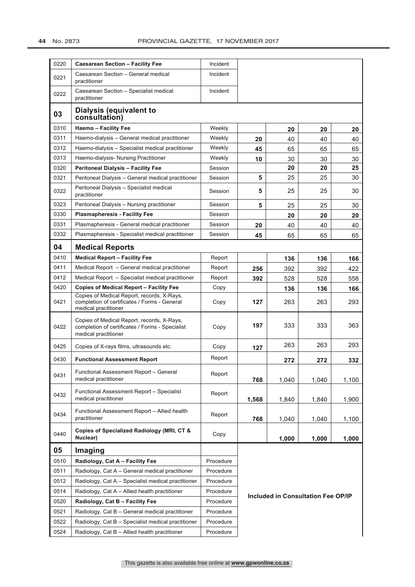| 0220 | <b>Caesarean Section - Facility Fee</b>                                                                               | Incident  |       |                                    |       |       |
|------|-----------------------------------------------------------------------------------------------------------------------|-----------|-------|------------------------------------|-------|-------|
| 0221 | Caesarean Section - General medical<br>practitioner                                                                   | Incident  |       |                                    |       |       |
| 0222 | Caesarean Section - Specialist medical<br>practitioner                                                                | Incident  |       |                                    |       |       |
| 03   | Dialysis (equivalent to<br>consultation)                                                                              |           |       |                                    |       |       |
| 0310 | <b>Haemo - Facility Fee</b>                                                                                           | Weekly    |       | 20                                 | 20    | 20    |
| 0311 | Haemo-dialysis - General medical practitioner                                                                         | Weekly    | 20    | 40                                 | 40    | 40    |
| 0312 | Haemo-dialysis - Specialist medical practitioner                                                                      | Weekly    | 45    | 65                                 | 65    | 65    |
| 0313 | Haemo-dialysis- Nursing Practitioner                                                                                  | Weekly    | 10    | 30                                 | 30    | 30    |
| 0320 | <b>Peritoneal Dialysis - Facility Fee</b>                                                                             | Session   |       | 20                                 | 20    | 25    |
| 0321 | Peritoneal Dialysis - General medical practitioner                                                                    | Session   | 5     | 25                                 | 25    | 30    |
| 0322 | Peritoneal Dialysis - Specialist medical<br>practitioner                                                              | Session   | 5     | 25                                 | 25    | 30    |
| 0323 | Peritoneal Dialysis - Nursing practitioner                                                                            | Session   | 5     | 25                                 | 25    | 30    |
| 0330 | <b>Plasmapheresis - Facility Fee</b>                                                                                  | Session   |       | 20                                 | 20    | 20    |
| 0331 | Plasmapheresis - General medical practitioner                                                                         | Session   | 20    | 40                                 | 40    | 40    |
| 0332 | Plasmapheresis - Specialist medical practitioner                                                                      | Session   | 45    | 65                                 | 65    | 65    |
| 04   | <b>Medical Reports</b>                                                                                                |           |       |                                    |       |       |
| 0410 | <b>Medical Report - Facility Fee</b>                                                                                  | Report    |       | 136                                | 136   | 166   |
| 0411 | Medical Report - General medical practitioner                                                                         | Report    | 256   | 392                                | 392   | 422   |
| 0412 | Medical Report - Specialist medical practitioner                                                                      | Report    | 392   | 528                                | 528   | 558   |
| 0420 | <b>Copies of Medical Report - Facility Fee</b>                                                                        | Copy      |       | 136                                | 136   | 166   |
| 0421 | Copies of Medical Report, records, X-Rays,<br>completion of certificates / Forms - General<br>medical practitioner    | Copy      | 127   | 263                                | 263   | 293   |
| 0422 | Copies of Medical Report, records, X-Rays,<br>completion of certificates / Forms - Specialist<br>medical practitioner | Copy      | 197   | 333                                | 333   | 363   |
| 0425 | Copies of X-rays films, ultrasounds etc.                                                                              | Copy      | 127   | 263                                | 263   | 293   |
| 0430 | <b>Functional Assessment Report</b>                                                                                   | Report    |       | 272                                | 272   | 332   |
| 0431 | Functional Assessment Report - General<br>medical practitioner                                                        | Report    | 768   | 1,040                              | 1,040 | 1,100 |
| 0432 | Functional Assessment Report - Specialist<br>medical practitioner                                                     | Report    | 1,568 | 1,840                              | 1,840 | 1,900 |
| 0434 | Functional Assessment Report - Allied health<br>practitioner                                                          | Report    | 768   | 1,040                              | 1,040 | 1,100 |
| 0440 | Copies of Specialized Radiology (MRI, CT &<br>Nuclear)                                                                | Copy      |       | 1,000                              | 1,000 | 1,000 |
| 05   | Imaging                                                                                                               |           |       |                                    |       |       |
| 0510 | Radiology, Cat A - Facility Fee                                                                                       | Procedure |       |                                    |       |       |
| 0511 | Radiology, Cat A - General medical practitioner                                                                       | Procedure |       |                                    |       |       |
| 0512 | Radiology, Cat A – Specialist medical practitioner                                                                    | Procedure |       |                                    |       |       |
| 0514 | Radiology, Cat A – Allied health practitioner                                                                         | Procedure |       |                                    |       |       |
| 0520 | Radiology, Cat B - Facility Fee                                                                                       | Procedure |       | Included in Consultation Fee OP/IP |       |       |
| 0521 | Radiology, Cat B - General medical practitioner                                                                       | Procedure |       |                                    |       |       |
| 0522 | Radiology, Cat B - Specialist medical practitioner                                                                    | Procedure |       |                                    |       |       |
| 0524 | Radiology, Cat B - Allied health practitioner                                                                         | Procedure |       |                                    |       |       |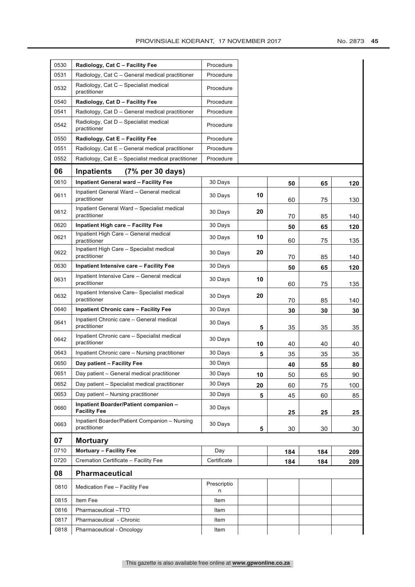| 0530 | Radiology, Cat C - Facility Fee                               | Procedure        |    |     |     |     |
|------|---------------------------------------------------------------|------------------|----|-----|-----|-----|
| 0531 | Radiology, Cat C – General medical practitioner               | Procedure        |    |     |     |     |
| 0532 | Radiology, Cat C - Specialist medical<br>practitioner         | Procedure        |    |     |     |     |
| 0540 | Radiology, Cat D - Facility Fee                               | Procedure        |    |     |     |     |
| 0541 | Radiology, Cat D - General medical practitioner               | Procedure        |    |     |     |     |
| 0542 | Radiology, Cat D - Specialist medical<br>practitioner         | Procedure        |    |     |     |     |
| 0550 | Radiology, Cat E - Facility Fee                               | Procedure        |    |     |     |     |
| 0551 | Radiology, Cat E - General medical practitioner               | Procedure        |    |     |     |     |
| 0552 | Radiology, Cat E - Specialist medical practitioner            | Procedure        |    |     |     |     |
| 06   | <b>Inpatients</b><br>$(7\%$ per 30 days)                      |                  |    |     |     |     |
| 0610 | <b>Inpatient General ward - Facility Fee</b>                  | 30 Days          |    | 50  | 65  | 120 |
| 0611 | Inpatient General Ward - General medical<br>practitioner      | 30 Days          | 10 | 60  | 75  | 130 |
| 0612 | Inpatient General Ward - Specialist medical<br>practitioner   | 30 Days          | 20 | 70  | 85  | 140 |
| 0620 | <b>Inpatient High care - Facility Fee</b>                     | 30 Days          |    | 50  | 65  | 120 |
| 0621 | Inpatient High Care - General medical<br>practitioner         | 30 Days          | 10 | 60  | 75  | 135 |
| 0622 | Inpatient High Care - Specialist medical<br>practitioner      | 30 Days          | 20 | 70  | 85  | 140 |
| 0630 | Inpatient Intensive care - Facility Fee                       | 30 Days          |    | 50  | 65  | 120 |
| 0631 | Inpatient Intensive Care - General medical<br>practitioner    | 30 Days          | 10 | 60  | 75  | 135 |
| 0632 | Inpatient Intensive Care-Specialist medical<br>practitioner   | 30 Days          | 20 | 70  | 85  | 140 |
| 0640 | <b>Inpatient Chronic care - Facility Fee</b>                  | 30 Days          |    | 30  | 30  | 30  |
| 0641 | Inpatient Chronic care - General medical<br>practitioner      | 30 Days          | 5  | 35  | 35  | 35  |
| 0642 | Inpatient Chronic care - Specialist medical<br>practitioner   | 30 Days          | 10 | 40  | 40  | 40  |
| 0643 | Inpatient Chronic care – Nursing practitioner                 | 30 Days          | 5  | 35  | 35  | 35  |
| 0650 | Day patient - Facility Fee                                    | 30 Days          |    | 40  | 55  | 80  |
| 0651 | Day patient - General medical practitioner                    | 30 Days          | 10 | 50  | 65  | 90  |
| 0652 | Day patient - Specialist medical practitioner                 | 30 Days          | 20 | 60  | 75  | 100 |
| 0653 | Day patient - Nursing practitioner                            | 30 Days          | 5  | 45  | 60  | 85  |
| 0660 | Inpatient Boarder/Patient companion -<br><b>Facility Fee</b>  | 30 Days          |    | 25  | 25  | 25  |
| 0663 | Inpatient Boarder/Patient Companion - Nursing<br>practitioner | 30 Days          | 5  | 30  | 30  | 30  |
| 07   | <b>Mortuary</b>                                               |                  |    |     |     |     |
| 0710 | <b>Mortuary - Facility Fee</b>                                | Day              |    | 184 | 184 | 209 |
| 0720 | Cremation Certificate - Facility Fee                          | Certificate      |    | 184 | 184 | 209 |
| 08   | Pharmaceutical                                                |                  |    |     |     |     |
| 0810 | Medication Fee - Facility Fee                                 | Prescriptio<br>n |    |     |     |     |
| 0815 | Item Fee                                                      | Item             |    |     |     |     |
| 0816 | Pharmaceutical-TTO                                            | Item             |    |     |     |     |
|      |                                                               |                  |    |     |     |     |
| 0817 | Pharmaceutical - Chronic<br>Pharmaceutical - Oncology         | Item             |    |     |     |     |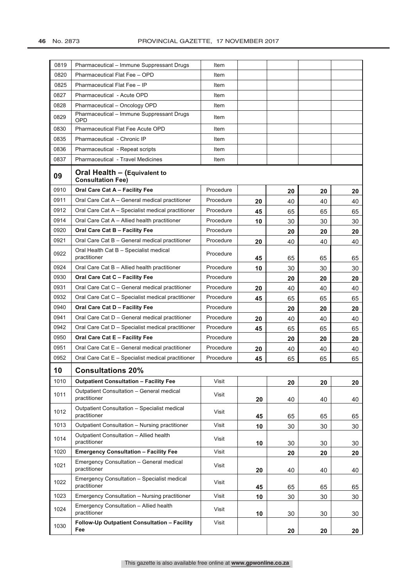| 0819 | Pharmaceutical - Immune Suppressant Drugs                    | Item      |    |    |    |    |
|------|--------------------------------------------------------------|-----------|----|----|----|----|
| 0820 | Pharmaceutical Flat Fee - OPD                                | Item      |    |    |    |    |
| 0825 | Pharmaceutical Flat Fee - IP                                 | Item      |    |    |    |    |
| 0827 | Pharmaceutical - Acute OPD                                   | Item      |    |    |    |    |
| 0828 | Pharmaceutical - Oncology OPD                                | Item      |    |    |    |    |
| 0829 | Pharmaceutical - Immune Suppressant Drugs<br>OPD             | Item      |    |    |    |    |
| 0830 | <b>Pharmaceutical Flat Fee Acute OPD</b>                     | Item      |    |    |    |    |
| 0835 | Pharmaceutical - Chronic IP                                  | Item      |    |    |    |    |
| 0836 | Pharmaceutical - Repeat scripts                              | Item      |    |    |    |    |
| 0837 | <b>Pharmaceutical - Travel Medicines</b>                     | Item      |    |    |    |    |
| 09   | Oral Health - (Equivalent to<br><b>Consultation Fee)</b>     |           |    |    |    |    |
| 0910 | Oral Care Cat A - Facility Fee                               | Procedure |    | 20 | 20 | 20 |
| 0911 | Oral Care Cat A - General medical practitioner               | Procedure | 20 | 40 | 40 | 40 |
| 0912 | Oral Care Cat A - Specialist medical practitioner            | Procedure | 45 | 65 | 65 | 65 |
| 0914 | Oral Care Cat A - Allied health practitioner                 | Procedure | 10 | 30 | 30 | 30 |
| 0920 | Oral Care Cat B - Facility Fee                               | Procedure |    | 20 | 20 | 20 |
| 0921 | Oral Care Cat B - General medical practitioner               | Procedure | 20 | 40 | 40 | 40 |
| 0922 | Oral Health Cat B - Specialist medical<br>practitioner       | Procedure | 45 | 65 | 65 | 65 |
| 0924 | Oral Care Cat B - Allied health practitioner                 | Procedure | 10 | 30 | 30 | 30 |
| 0930 | Oral Care Cat C - Facility Fee                               | Procedure |    | 20 | 20 | 20 |
| 0931 | Oral Care Cat C - General medical practitioner               | Procedure | 20 | 40 | 40 | 40 |
| 0932 | Oral Care Cat C - Specialist medical practitioner            | Procedure | 45 | 65 | 65 | 65 |
| 0940 | Oral Care Cat D - Facility Fee                               | Procedure |    | 20 | 20 | 20 |
| 0941 | Oral Care Cat D - General medical practitioner               | Procedure | 20 | 40 | 40 | 40 |
| 0942 | Oral Care Cat D - Specialist medical practitioner            | Procedure | 45 | 65 | 65 | 65 |
| 0950 | Oral Care Cat E - Facility Fee                               | Procedure |    | 20 | 20 | 20 |
| 0951 | Oral Care Cat E - General medical practitioner               | Procedure | 20 | 40 | 40 | 40 |
| 0952 | Oral Care Cat E - Specialist medical practitioner            | Procedure | 45 | 65 | 65 | 65 |
| 10   | <b>Consultations 20%</b>                                     |           |    |    |    |    |
| 1010 | <b>Outpatient Consultation - Facility Fee</b>                | Visit     |    | 20 | 20 | 20 |
| 1011 | Outpatient Consultation - General medical<br>practitioner    | Visit     | 20 | 40 | 40 | 40 |
| 1012 | Outpatient Consultation - Specialist medical<br>practitioner | Visit     | 45 | 65 | 65 | 65 |
| 1013 | Outpatient Consultation - Nursing practitioner               | Visit     | 10 | 30 | 30 | 30 |
| 1014 | Outpatient Consultation - Allied health<br>practitioner      | Visit     | 10 | 30 | 30 | 30 |
| 1020 | <b>Emergency Consultation - Facility Fee</b>                 | Visit     |    | 20 | 20 | 20 |
| 1021 | Emergency Consultation - General medical<br>practitioner     | Visit     | 20 | 40 | 40 | 40 |
| 1022 | Emergency Consultation - Specialist medical<br>practitioner  | Visit     | 45 | 65 | 65 | 65 |
| 1023 | Emergency Consultation - Nursing practitioner                | Visit     | 10 | 30 | 30 | 30 |
| 1024 | Emergency Consultation - Allied health<br>practitioner       | Visit     | 10 | 30 | 30 | 30 |
| 1030 | Follow-Up Outpatient Consultation - Facility<br>Fee          | Visit     |    | 20 | 20 | 20 |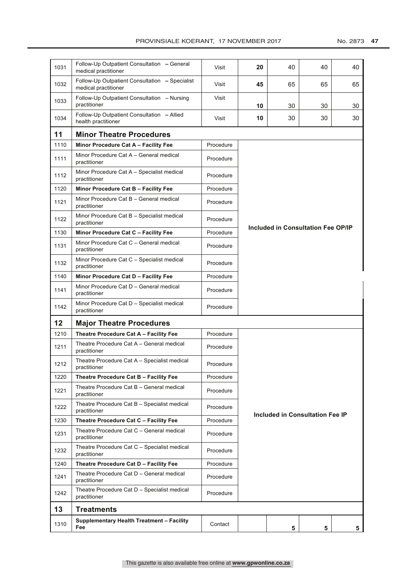### PROVINSIALE KOERANT, 17 NOVEMBER 2017 No. 2873 47

| 1031 | Follow-Up Outpatient Consultation - General<br>medical practitioner    | Visit     | 20                                 | 40 | 40                              | 40 |  |
|------|------------------------------------------------------------------------|-----------|------------------------------------|----|---------------------------------|----|--|
| 1032 | Follow-Up Outpatient Consultation - Specialist<br>medical practitioner | Visit     | 45                                 | 65 | 65                              | 65 |  |
| 1033 | Follow-Up Outpatient Consultation - Nursing<br>practitioner            | Visit     | 10                                 | 30 | 30                              | 30 |  |
| 1034 | Follow-Up Outpatient Consultation - Allied<br>health practitioner      | Visit     | 10                                 | 30 | 30                              | 30 |  |
| 11   | <b>Minor Theatre Procedures</b>                                        |           |                                    |    |                                 |    |  |
| 1110 | Minor Procedure Cat A - Facility Fee                                   | Procedure |                                    |    |                                 |    |  |
| 1111 | Minor Procedure Cat A - General medical<br>practitioner                | Procedure |                                    |    |                                 |    |  |
| 1112 | Minor Procedure Cat A - Specialist medical<br>practitioner             | Procedure |                                    |    |                                 |    |  |
| 1120 | Minor Procedure Cat B - Facility Fee                                   | Procedure |                                    |    |                                 |    |  |
| 1121 | Minor Procedure Cat B - General medical<br>practitioner                | Procedure | Included in Consultation Fee OP/IP |    |                                 |    |  |
| 1122 | Minor Procedure Cat B - Specialist medical<br>practitioner             | Procedure |                                    |    |                                 |    |  |
| 1130 | Minor Procedure Cat C - Facility Fee                                   | Procedure |                                    |    |                                 |    |  |
| 1131 | Minor Procedure Cat C - General medical<br>practitioner                | Procedure |                                    |    |                                 |    |  |
| 1132 | Minor Procedure Cat C - Specialist medical<br>practitioner             | Procedure |                                    |    |                                 |    |  |
| 1140 | Minor Procedure Cat D - Facility Fee                                   | Procedure |                                    |    |                                 |    |  |
| 1141 | Minor Procedure Cat D - General medical<br>practitioner                | Procedure |                                    |    |                                 |    |  |
|      | Minor Procedure Cat D - Specialist medical                             |           |                                    |    |                                 |    |  |
| 1142 | practitioner                                                           | Procedure |                                    |    |                                 |    |  |
| 12   | <b>Major Theatre Procedures</b>                                        |           |                                    |    |                                 |    |  |
| 1210 | Theatre Procedure Cat A - Facility Fee                                 | Procedure |                                    |    |                                 |    |  |
| 1211 | Theatre Procedure Cat A - General medical<br>practitioner              | Procedure |                                    |    |                                 |    |  |
| 1212 | Theatre Procedure Cat A - Specialist medical<br>practitioner           | Procedure |                                    |    |                                 |    |  |
| 1220 | Theatre Procedure Cat B - Facility Fee                                 | Procedure |                                    |    |                                 |    |  |
| 1221 | Theatre Procedure Cat B - General medical<br>practitioner              | Procedure |                                    |    |                                 |    |  |
| 1222 | Theatre Procedure Cat B - Specialist medical<br>practitioner           | Procedure |                                    |    |                                 |    |  |
| 1230 | Theatre Procedure Cat C - Facility Fee                                 | Procedure |                                    |    | Included in Consultation Fee IP |    |  |
| 1231 | Theatre Procedure Cat C - General medical<br>practitioner              | Procedure |                                    |    |                                 |    |  |
| 1232 | Theatre Procedure Cat C - Specialist medical<br>practitioner           | Procedure |                                    |    |                                 |    |  |
| 1240 | Theatre Procedure Cat D - Facility Fee                                 | Procedure |                                    |    |                                 |    |  |
| 1241 | Theatre Procedure Cat D - General medical<br>practitioner              | Procedure |                                    |    |                                 |    |  |
| 1242 | Theatre Procedure Cat D - Specialist medical<br>practitioner           | Procedure |                                    |    |                                 |    |  |
| 13   | Treatments                                                             |           |                                    |    |                                 |    |  |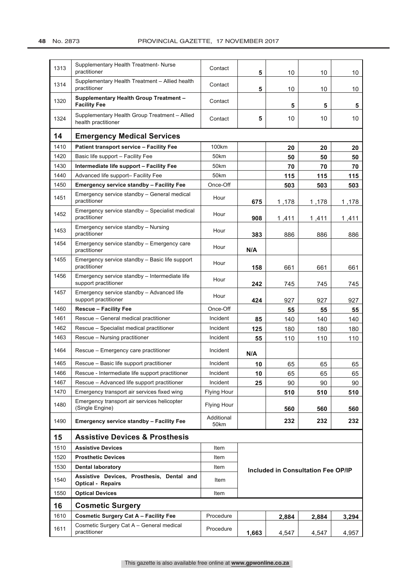| 1313 | Supplementary Health Treatment- Nurse<br>practitioner                 | Contact            | 5     | 10    | 10                                        | 10    |
|------|-----------------------------------------------------------------------|--------------------|-------|-------|-------------------------------------------|-------|
| 1314 | Supplementary Health Treatment - Allied health<br>practitioner        | Contact            | 5     | 10    | 10                                        | 10    |
| 1320 | <b>Supplementary Health Group Treatment -</b><br><b>Facility Fee</b>  | Contact            |       | 5     | 5                                         | 5     |
| 1324 | Supplementary Health Group Treatment - Allied<br>health practitioner  | Contact            | 5     | 10    | 10                                        | 10    |
| 14   | <b>Emergency Medical Services</b>                                     |                    |       |       |                                           |       |
| 1410 | <b>Patient transport service - Facility Fee</b>                       | 100km              |       | 20    | 20                                        | 20    |
| 1420 | Basic life support - Facility Fee                                     | 50 <sub>km</sub>   |       | 50    | 50                                        | 50    |
| 1430 | Intermediate life support - Facility Fee                              | 50km               |       | 70    | 70                                        | 70    |
| 1440 | Advanced life support- Facility Fee                                   | 50km               |       | 115   | 115                                       | 115   |
| 1450 | <b>Emergency service standby - Facility Fee</b>                       | Once-Off           |       | 503   | 503                                       | 503   |
| 1451 | Emergency service standby - General medical<br>practitioner           | Hour               | 675   | 1,178 | 1,178                                     | 1,178 |
| 1452 | Emergency service standby - Specialist medical<br>practitioner        | Hour               | 908   | 1,411 | 1,411                                     | 1,411 |
| 1453 | Emergency service standby - Nursing<br>practitioner                   | Hour               | 383   | 886   | 886                                       | 886   |
| 1454 | Emergency service standby - Emergency care<br>practitioner            | Hour               | N/A   |       |                                           |       |
| 1455 | Emergency service standby - Basic life support<br>practitioner        | Hour               | 158   | 661   | 661                                       | 661   |
| 1456 | Emergency service standby - Intermediate life<br>support practitioner | Hour               | 242   | 745   | 745                                       | 745   |
| 1457 | Emergency service standby - Advanced life<br>support practitioner     | Hour               | 424   | 927   | 927                                       | 927   |
| 1460 | <b>Rescue - Facility Fee</b>                                          | Once-Off           |       | 55    | 55                                        | 55    |
| 1461 | Rescue - General medical practitioner                                 | Incident           | 85    | 140   | 140                                       | 140   |
| 1462 | Rescue - Specialist medical practitioner                              | Incident           | 125   | 180   | 180                                       | 180   |
| 1463 | Rescue - Nursing practitioner                                         | Incident           | 55    | 110   | 110                                       | 110   |
| 1464 | Rescue - Emergency care practitioner                                  | Incident           | N/A   |       |                                           |       |
| 1465 | Rescue - Basic life support practitioner                              | Incident           | 10    | 65    | 65                                        | 65    |
| 1466 | Rescue - Intermediate life support practitioner                       | Incident           | 10    | 65    | 65                                        | 65    |
| 1467 | Rescue - Advanced life support practitioner                           | Incident           | 25    | 90    | 90                                        | 90    |
| 1470 | Emergency transport air services fixed wing                           | <b>Flying Hour</b> |       | 510   | 510                                       | 510   |
| 1480 | Emergency transport air services helicopter<br>(Single Engine)        | <b>Flying Hour</b> |       | 560   | 560                                       | 560   |
| 1490 | <b>Emergency service standby - Facility Fee</b>                       | Additional<br>50km |       | 232   | 232                                       | 232   |
| 15   | <b>Assistive Devices &amp; Prosthesis</b>                             |                    |       |       |                                           |       |
| 1510 | <b>Assistive Devices</b>                                              | Item               |       |       |                                           |       |
| 1520 | <b>Prosthetic Devices</b>                                             | Item               |       |       |                                           |       |
| 1530 | <b>Dental laboratory</b>                                              | Item               |       |       | <b>Included in Consultation Fee OP/IP</b> |       |
| 1540 | Assistive Devices, Prosthesis, Dental and<br><b>Optical - Repairs</b> | Item               |       |       |                                           |       |
| 1550 | <b>Optical Devices</b>                                                | Item               |       |       |                                           |       |
| 16   | <b>Cosmetic Surgery</b>                                               |                    |       |       |                                           |       |
| 1610 | <b>Cosmetic Surgery Cat A - Facility Fee</b>                          | Procedure          |       | 2,884 | 2,884                                     | 3,294 |
| 1611 | Cosmetic Surgery Cat A - General medical<br>practitioner              | Procedure          | 1,663 | 4,547 | 4,547                                     | 4,957 |
|      |                                                                       |                    |       |       |                                           |       |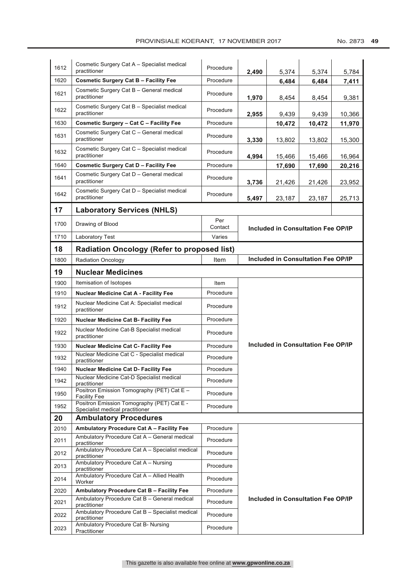| 1612 | Cosmetic Surgery Cat A - Specialist medical                                   | Procedure      |       |                                           |        |        |
|------|-------------------------------------------------------------------------------|----------------|-------|-------------------------------------------|--------|--------|
| 1620 | practitioner<br><b>Cosmetic Surgery Cat B - Facility Fee</b>                  | Procedure      | 2,490 | 5,374<br>6,484                            | 5,374  | 5,784  |
|      | Cosmetic Surgery Cat B - General medical                                      |                |       |                                           | 6,484  | 7,411  |
| 1621 | practitioner                                                                  | Procedure      | 1,970 | 8,454                                     | 8,454  | 9,381  |
| 1622 | Cosmetic Surgery Cat B - Specialist medical<br>practitioner                   | Procedure      | 2,955 | 9,439                                     | 9,439  | 10,366 |
| 1630 | Cosmetic Surgery - Cat C - Facility Fee                                       | Procedure      |       | 10,472                                    | 10,472 | 11,970 |
| 1631 | Cosmetic Surgery Cat C - General medical<br>practitioner                      | Procedure      | 3,330 | 13,802                                    | 13,802 | 15,300 |
| 1632 | Cosmetic Surgery Cat C - Specialist medical<br>practitioner                   | Procedure      | 4,994 | 15,466                                    | 15,466 | 16,964 |
| 1640 | <b>Cosmetic Surgery Cat D - Facility Fee</b>                                  | Procedure      |       | 17,690                                    | 17,690 | 20,216 |
| 1641 | Cosmetic Surgery Cat D - General medical<br>practitioner                      | Procedure      | 3,736 | 21,426                                    | 21,426 | 23,952 |
| 1642 | Cosmetic Surgery Cat D - Specialist medical<br>practitioner                   | Procedure      | 5,497 | 23,187                                    | 23,187 | 25,713 |
| 17   | <b>Laboratory Services (NHLS)</b>                                             |                |       |                                           |        |        |
| 1700 | Drawing of Blood                                                              | Per<br>Contact |       |                                           |        |        |
| 1710 | Laboratory Test                                                               | Varies         |       | <b>Included in Consultation Fee OP/IP</b> |        |        |
| 18   | <b>Radiation Oncology (Refer to proposed list)</b>                            |                |       |                                           |        |        |
| 1800 | <b>Radiation Oncology</b>                                                     | Item           |       | Included in Consultation Fee OP/IP        |        |        |
| 19   | <b>Nuclear Medicines</b>                                                      |                |       |                                           |        |        |
| 1900 | Itemisation of Isotopes                                                       | Item           |       |                                           |        |        |
| 1910 | <b>Nuclear Medicine Cat A - Facility Fee</b>                                  | Procedure      |       |                                           |        |        |
| 1912 | Nuclear Medicine Cat A: Specialist medical<br>practitioner                    | Procedure      |       |                                           |        |        |
| 1920 | <b>Nuclear Medicine Cat B- Facility Fee</b>                                   | Procedure      |       |                                           |        |        |
| 1922 | Nuclear Medicine Cat-B Specialist medical<br>practitioner                     | Procedure      |       |                                           |        |        |
| 1930 | <b>Nuclear Medicine Cat C- Facility Fee</b>                                   | Procedure      |       | <b>Included in Consultation Fee OP/IP</b> |        |        |
| 1932 | Nuclear Medicine Cat C - Specialist medical<br>practitioner                   | Procedure      |       |                                           |        |        |
| 1940 | Nuclear Medicine Cat D- Facility Fee                                          | Procedure      |       |                                           |        |        |
| 1942 | Nuclear Medicine Cat-D Specialist medical<br>practitioner                     | Procedure      |       |                                           |        |        |
| 1950 | Positron Emission Tomography (PET) Cat E -<br><b>Facility Fee</b>             | Procedure      |       |                                           |        |        |
| 1952 | Positron Emission Tomography (PET) Cat E -<br>Specialist medical practitioner | Procedure      |       |                                           |        |        |
| 20   | <b>Ambulatory Procedures</b>                                                  |                |       |                                           |        |        |
| 2010 | Ambulatory Procedure Cat A - Facility Fee                                     | Procedure      |       |                                           |        |        |
| 2011 | Ambulatory Procedure Cat A - General medical<br>practitioner                  | Procedure      |       |                                           |        |        |
| 2012 | Ambulatory Procedure Cat A - Specialist medical<br>practitioner               | Procedure      |       |                                           |        |        |
| 2013 | Ambulatory Procedure Cat A - Nursing<br>practitioner                          | Procedure      |       |                                           |        |        |
| 2014 | Ambulatory Procedure Cat A - Allied Health<br>Worker                          | Procedure      |       |                                           |        |        |
| 2020 | Ambulatory Procedure Cat B - Facility Fee                                     | Procedure      |       |                                           |        |        |
| 2021 | Ambulatory Procedure Cat B - General medical<br>practitioner                  | Procedure      |       | Included in Consultation Fee OP/IP        |        |        |
| 2022 | Ambulatory Procedure Cat B - Specialist medical<br>practitioner               | Procedure      |       |                                           |        |        |
| 2023 | Ambulatory Procedure Cat B- Nursing<br>Practitioner                           | Procedure      |       |                                           |        |        |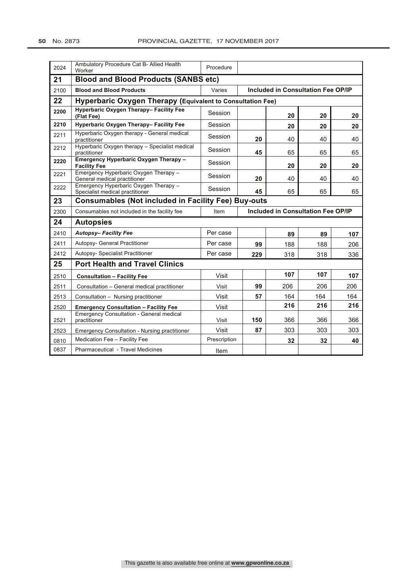| 2024 | Ambulatory Procedure Cat B- Allied Health<br>Worker                      | Procedure    |     |                                           |     |     |
|------|--------------------------------------------------------------------------|--------------|-----|-------------------------------------------|-----|-----|
| 21   | <b>Blood and Blood Products (SANBS etc)</b>                              |              |     |                                           |     |     |
| 2100 | <b>Blood and Blood Products</b>                                          | Varies       |     | <b>Included in Consultation Fee OP/IP</b> |     |     |
| 22   | <b>Hyperbaric Oxygen Therapy (Equivalent to Consultation Fee)</b>        |              |     |                                           |     |     |
| 2200 | Hyperbaric Oxygen Therapy- Facility Fee<br>(Flat Fee)                    | Session      |     | 20                                        | 20  | 20  |
| 2210 | Hyperbaric Oxygen Therapy- Facility Fee                                  | Session      |     | 20                                        | 20  | 20  |
| 2211 | Hyperbaric Oxygen therapy - General medical<br>practitioner              | Session      | 20  | 40                                        | 40  | 40  |
| 2212 | Hyperbaric Oxygen therapy - Specialist medical<br>practitioner           | Session      | 45  | 65                                        | 65  | 65  |
| 2220 | Emergency Hyperbaric Oxygen Therapy -<br><b>Facility Fee</b>             | Session      |     | 20                                        | 20  | 20  |
| 2221 | Emergency Hyperbaric Oxygen Therapy -<br>General medical practitioner    | Session      | 20  | 40                                        | 40  | 40  |
| 2222 | Emergency Hyperbaric Oxygen Therapy -<br>Specialist medical practitioner | Session      | 45  | 65                                        | 65  | 65  |
| 23   | <b>Consumables (Not included in Facility Fee) Buy-outs</b>               |              |     |                                           |     |     |
|      |                                                                          |              |     |                                           |     |     |
| 2300 | Consumables not included in the facility fee                             | Item         |     | <b>Included in Consultation Fee OP/IP</b> |     |     |
| 24   | <b>Autopsies</b>                                                         |              |     |                                           |     |     |
| 2410 | <b>Autopsy-Facility Fee</b>                                              | Per case     |     | 89                                        | 89  | 107 |
| 2411 | Autopsy- General Practitioner                                            | Per case     | 99  | 188                                       | 188 | 206 |
| 2412 | Autopsy- Specialist Practitioner                                         | Per case     | 229 | 318                                       | 318 | 336 |
| 25   | <b>Port Health and Travel Clinics</b>                                    |              |     |                                           |     |     |
| 2510 | <b>Consultation - Facility Fee</b>                                       | Visit        |     | 107                                       | 107 | 107 |
| 2511 | Consultation - General medical practitioner                              | Visit        | 99  | 206                                       | 206 | 206 |
| 2513 | Consultation - Nursing practitioner                                      | Visit        | 57  | 164                                       | 164 | 164 |
| 2520 | <b>Emergency Consultation - Facility Fee</b>                             | Visit        |     | 216                                       | 216 | 216 |
| 2521 | Emergency Consultation - General medical<br>practitioner                 | Visit        | 150 | 366                                       | 366 | 366 |
| 2523 | <b>Emergency Consultation - Nursing practitioner</b>                     | Visit        | 87  | 303                                       | 303 | 303 |
| 0810 | Medication Fee - Facility Fee                                            | Prescription |     | 32                                        | 32  | 40  |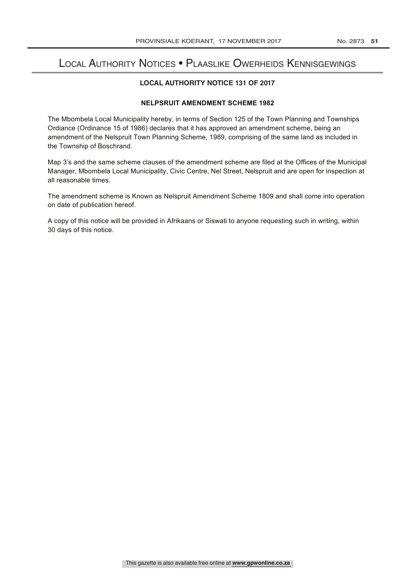## Local Authority Notices • Plaaslike Owerheids Kennisgewings

### **LOCAL AUTHORITY NOTICE 131 OF 2017**

## **NELPSRUIT AMENDMENT SCHEME 1982**

The Mbombela Local Municipality hereby, in terms of Section 125 of the Town Planning and Townships Ordiance (Ordinance 15 of 1986) declares that it has approved an amendment scheme, being an amendment of the Nelspruit Town Planning Scheme, 1989, comprising of the same land as included in the Township of Boschrand.

Map 3's and the same scheme clauses of the amendment scheme are filed at the Offices of the Municipal Manager, Mbombela Local Municipality, Civic Centre, Nel Street, Nelspruit and are open for inspection at all reasonable times.

The amendment scheme is Known as Nelspruit Amendment Scheme 1809 and shall come into operation on date of publication hereof.

A copy of this notice will be provided in Afrikaans or Siswati to anyone requesting such in writing, within 30 days of this notice.